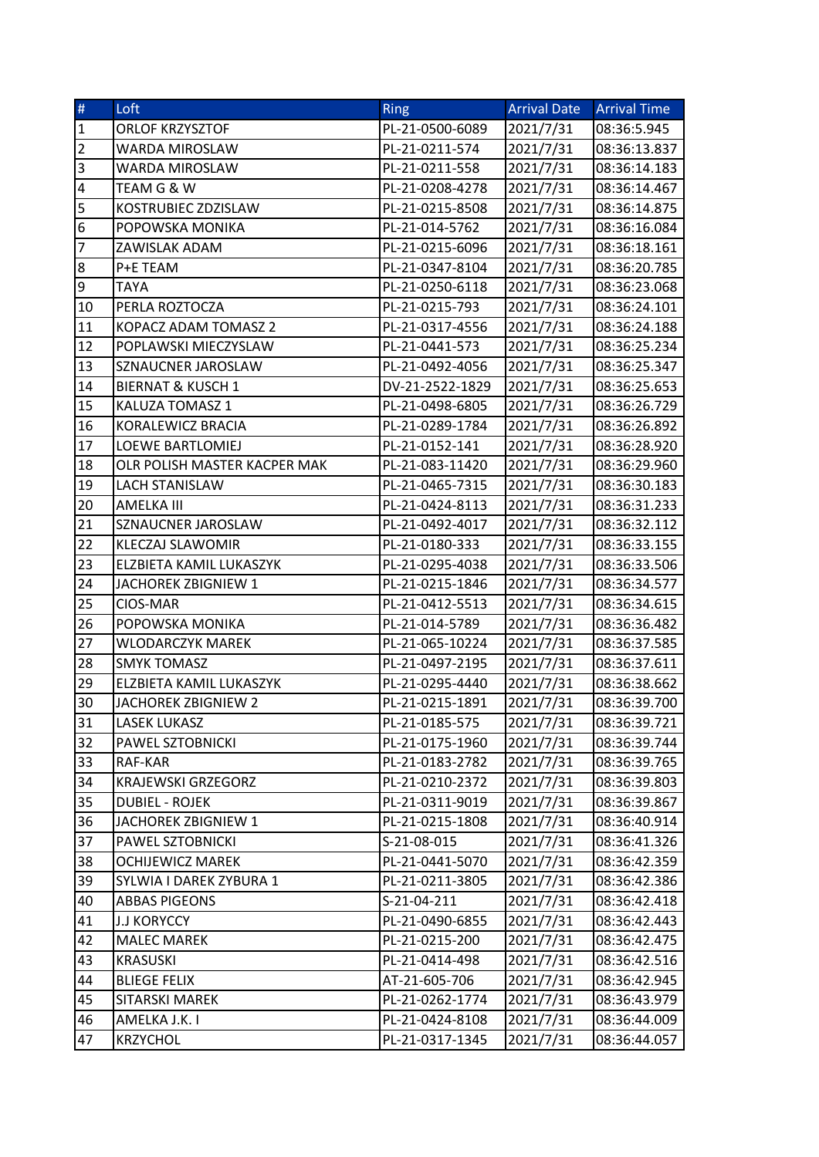| $\#$                    | Loft                         | Ring            | <b>Arrival Date</b> | <b>Arrival Time</b> |
|-------------------------|------------------------------|-----------------|---------------------|---------------------|
| ${\bf 1}$               | ORLOF KRZYSZTOF              | PL-21-0500-6089 | 2021/7/31           | 08:36:5.945         |
| $\overline{2}$          | <b>WARDA MIROSLAW</b>        | PL-21-0211-574  | 2021/7/31           | 08:36:13.837        |
| 3                       | WARDA MIROSLAW               | PL-21-0211-558  | 2021/7/31           | 08:36:14.183        |
| $\overline{\mathbf{4}}$ | TEAM G & W                   | PL-21-0208-4278 | 2021/7/31           | 08:36:14.467        |
| 5                       | KOSTRUBIEC ZDZISLAW          | PL-21-0215-8508 | 2021/7/31           | 08:36:14.875        |
| 6                       | POPOWSKA MONIKA              | PL-21-014-5762  | 2021/7/31           | 08:36:16.084        |
| $\overline{7}$          | ZAWISLAK ADAM                | PL-21-0215-6096 | 2021/7/31           | 08:36:18.161        |
| $\bf 8$                 | P+E TEAM                     | PL-21-0347-8104 | 2021/7/31           | 08:36:20.785        |
| 9                       | <b>TAYA</b>                  | PL-21-0250-6118 | 2021/7/31           | 08:36:23.068        |
| 10                      | PERLA ROZTOCZA               | PL-21-0215-793  | 2021/7/31           | 08:36:24.101        |
| 11                      | KOPACZ ADAM TOMASZ 2         | PL-21-0317-4556 | 2021/7/31           | 08:36:24.188        |
| 12                      | POPLAWSKI MIECZYSLAW         | PL-21-0441-573  | 2021/7/31           | 08:36:25.234        |
| 13                      | SZNAUCNER JAROSLAW           | PL-21-0492-4056 | 2021/7/31           | 08:36:25.347        |
| 14                      | <b>BIERNAT &amp; KUSCH 1</b> | DV-21-2522-1829 | 2021/7/31           | 08:36:25.653        |
| 15                      | KALUZA TOMASZ 1              | PL-21-0498-6805 | 2021/7/31           | 08:36:26.729        |
| 16                      | KORALEWICZ BRACIA            | PL-21-0289-1784 | 2021/7/31           | 08:36:26.892        |
| 17                      | LOEWE BARTLOMIEJ             | PL-21-0152-141  | 2021/7/31           | 08:36:28.920        |
| 18                      | OLR POLISH MASTER KACPER MAK | PL-21-083-11420 | 2021/7/31           | 08:36:29.960        |
| 19                      | <b>LACH STANISLAW</b>        | PL-21-0465-7315 | 2021/7/31           | 08:36:30.183        |
| 20                      | AMELKA III                   | PL-21-0424-8113 | 2021/7/31           | 08:36:31.233        |
| 21                      | SZNAUCNER JAROSLAW           | PL-21-0492-4017 | 2021/7/31           | 08:36:32.112        |
| 22                      | KLECZAJ SLAWOMIR             | PL-21-0180-333  | 2021/7/31           | 08:36:33.155        |
| 23                      | ELZBIETA KAMIL LUKASZYK      | PL-21-0295-4038 | 2021/7/31           | 08:36:33.506        |
| 24                      | JACHOREK ZBIGNIEW 1          | PL-21-0215-1846 | 2021/7/31           | 08:36:34.577        |
| 25                      | CIOS-MAR                     | PL-21-0412-5513 | 2021/7/31           | 08:36:34.615        |
| 26                      | POPOWSKA MONIKA              | PL-21-014-5789  | 2021/7/31           | 08:36:36.482        |
| 27                      | <b>WLODARCZYK MAREK</b>      | PL-21-065-10224 | 2021/7/31           | 08:36:37.585        |
| 28                      | <b>SMYK TOMASZ</b>           | PL-21-0497-2195 | 2021/7/31           | 08:36:37.611        |
| 29                      | ELZBIETA KAMIL LUKASZYK      | PL-21-0295-4440 | 2021/7/31           | 08:36:38.662        |
| 30                      | JACHOREK ZBIGNIEW 2          | PL-21-0215-1891 | 2021/7/31           | 08:36:39.700        |
| 31                      | <b>LASEK LUKASZ</b>          | PL-21-0185-575  | 2021/7/31           | 08:36:39.721        |
| 32                      | PAWEL SZTOBNICKI             | PL-21-0175-1960 | 2021/7/31           | 08:36:39.744        |
| 33                      | RAF-KAR                      | PL-21-0183-2782 | 2021/7/31           | 08:36:39.765        |
| 34                      | <b>KRAJEWSKI GRZEGORZ</b>    | PL-21-0210-2372 | 2021/7/31           | 08:36:39.803        |
| 35                      | <b>DUBIEL - ROJEK</b>        | PL-21-0311-9019 | 2021/7/31           | 08:36:39.867        |
| 36                      | JACHOREK ZBIGNIEW 1          | PL-21-0215-1808 | 2021/7/31           | 08:36:40.914        |
| 37                      | PAWEL SZTOBNICKI             | S-21-08-015     | 2021/7/31           | 08:36:41.326        |
| 38                      | <b>OCHIJEWICZ MAREK</b>      | PL-21-0441-5070 | 2021/7/31           | 08:36:42.359        |
| 39                      | SYLWIA I DAREK ZYBURA 1      | PL-21-0211-3805 | 2021/7/31           | 08:36:42.386        |
| 40                      | <b>ABBAS PIGEONS</b>         | S-21-04-211     | 2021/7/31           | 08:36:42.418        |
| 41                      | <b>J.J KORYCCY</b>           | PL-21-0490-6855 | 2021/7/31           | 08:36:42.443        |
| 42                      | <b>MALEC MAREK</b>           | PL-21-0215-200  | 2021/7/31           | 08:36:42.475        |
| 43                      | <b>KRASUSKI</b>              | PL-21-0414-498  | 2021/7/31           | 08:36:42.516        |
| 44                      | <b>BLIEGE FELIX</b>          | AT-21-605-706   | 2021/7/31           | 08:36:42.945        |
| 45                      | SITARSKI MAREK               | PL-21-0262-1774 | 2021/7/31           | 08:36:43.979        |
| 46                      | AMELKA J.K. I                | PL-21-0424-8108 | 2021/7/31           | 08:36:44.009        |
| 47                      | <b>KRZYCHOL</b>              | PL-21-0317-1345 | 2021/7/31           | 08:36:44.057        |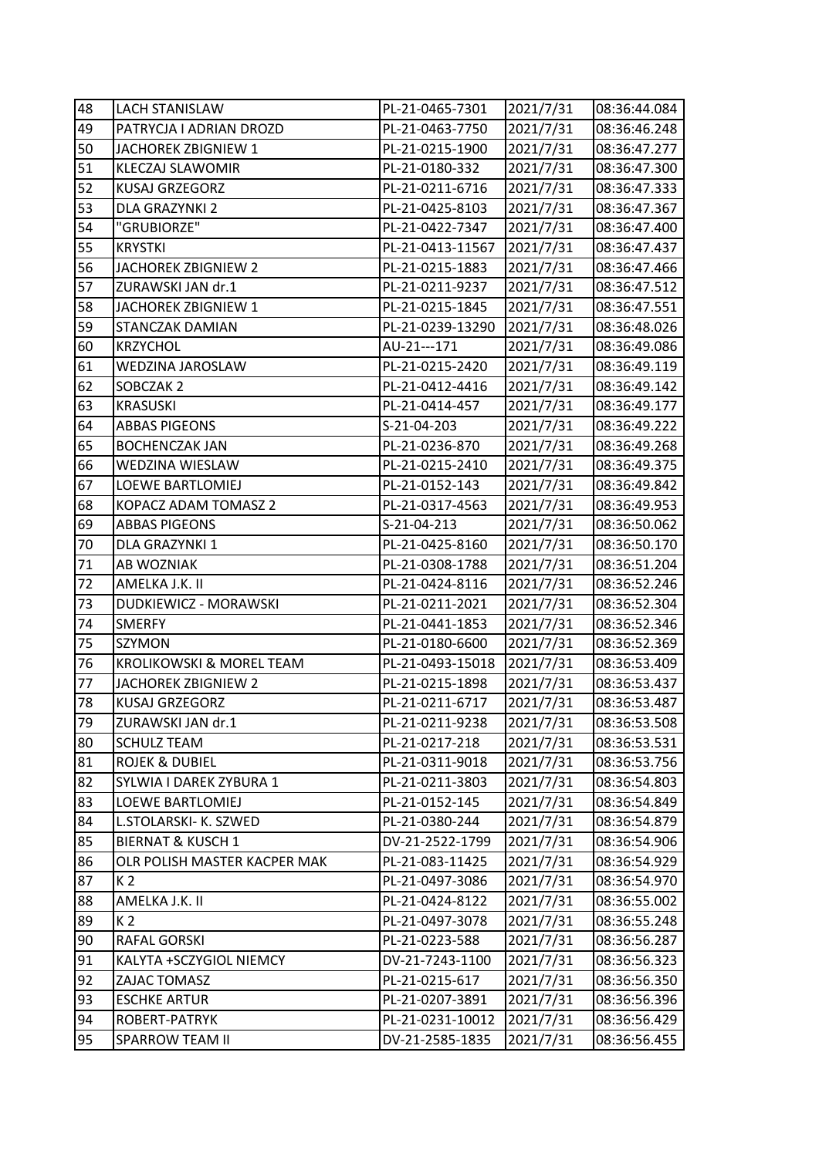| 48 | <b>LACH STANISLAW</b>        | PL-21-0465-7301  | 2021/7/31 | 08:36:44.084 |
|----|------------------------------|------------------|-----------|--------------|
| 49 | PATRYCJA I ADRIAN DROZD      | PL-21-0463-7750  | 2021/7/31 | 08:36:46.248 |
| 50 | JACHOREK ZBIGNIEW 1          | PL-21-0215-1900  | 2021/7/31 | 08:36:47.277 |
| 51 | KLECZAJ SLAWOMIR             | PL-21-0180-332   | 2021/7/31 | 08:36:47.300 |
| 52 | KUSAJ GRZEGORZ               | PL-21-0211-6716  | 2021/7/31 | 08:36:47.333 |
| 53 | DLA GRAZYNKI 2               | PL-21-0425-8103  | 2021/7/31 | 08:36:47.367 |
| 54 | "GRUBIORZE"                  | PL-21-0422-7347  | 2021/7/31 | 08:36:47.400 |
| 55 | <b>KRYSTKI</b>               | PL-21-0413-11567 | 2021/7/31 | 08:36:47.437 |
| 56 | <b>JACHOREK ZBIGNIEW 2</b>   | PL-21-0215-1883  | 2021/7/31 | 08:36:47.466 |
| 57 | ZURAWSKI JAN dr.1            | PL-21-0211-9237  | 2021/7/31 | 08:36:47.512 |
| 58 | JACHOREK ZBIGNIEW 1          | PL-21-0215-1845  | 2021/7/31 | 08:36:47.551 |
| 59 | STANCZAK DAMIAN              | PL-21-0239-13290 | 2021/7/31 | 08:36:48.026 |
| 60 | <b>KRZYCHOL</b>              | AU-21---171      | 2021/7/31 | 08:36:49.086 |
| 61 | WEDZINA JAROSLAW             | PL-21-0215-2420  | 2021/7/31 | 08:36:49.119 |
| 62 | SOBCZAK 2                    | PL-21-0412-4416  | 2021/7/31 | 08:36:49.142 |
| 63 | <b>KRASUSKI</b>              | PL-21-0414-457   | 2021/7/31 | 08:36:49.177 |
| 64 | <b>ABBAS PIGEONS</b>         | S-21-04-203      | 2021/7/31 | 08:36:49.222 |
| 65 | <b>BOCHENCZAK JAN</b>        | PL-21-0236-870   | 2021/7/31 | 08:36:49.268 |
| 66 | WEDZINA WIESLAW              | PL-21-0215-2410  | 2021/7/31 | 08:36:49.375 |
| 67 | <b>LOEWE BARTLOMIEJ</b>      | PL-21-0152-143   | 2021/7/31 | 08:36:49.842 |
| 68 | KOPACZ ADAM TOMASZ 2         | PL-21-0317-4563  | 2021/7/31 | 08:36:49.953 |
| 69 | <b>ABBAS PIGEONS</b>         | S-21-04-213      | 2021/7/31 | 08:36:50.062 |
| 70 | DLA GRAZYNKI 1               | PL-21-0425-8160  | 2021/7/31 | 08:36:50.170 |
| 71 | AB WOZNIAK                   | PL-21-0308-1788  | 2021/7/31 | 08:36:51.204 |
| 72 | AMELKA J.K. II               | PL-21-0424-8116  | 2021/7/31 | 08:36:52.246 |
| 73 | DUDKIEWICZ - MORAWSKI        | PL-21-0211-2021  | 2021/7/31 | 08:36:52.304 |
| 74 | <b>SMERFY</b>                | PL-21-0441-1853  | 2021/7/31 | 08:36:52.346 |
| 75 | SZYMON                       | PL-21-0180-6600  | 2021/7/31 | 08:36:52.369 |
| 76 | KROLIKOWSKI & MOREL TEAM     | PL-21-0493-15018 | 2021/7/31 | 08:36:53.409 |
| 77 | JACHOREK ZBIGNIEW 2          | PL-21-0215-1898  | 2021/7/31 | 08:36:53.437 |
| 78 | KUSAJ GRZEGORZ               | PL-21-0211-6717  | 2021/7/31 | 08:36:53.487 |
| 79 | ZURAWSKI JAN dr.1            | PL-21-0211-9238  | 2021/7/31 | 08:36:53.508 |
| 80 | <b>SCHULZ TEAM</b>           | PL-21-0217-218   | 2021/7/31 | 08:36:53.531 |
| 81 | <b>ROJEK &amp; DUBIEL</b>    | PL-21-0311-9018  | 2021/7/31 | 08:36:53.756 |
| 82 | SYLWIA I DAREK ZYBURA 1      | PL-21-0211-3803  | 2021/7/31 | 08:36:54.803 |
| 83 | LOEWE BARTLOMIEJ             | PL-21-0152-145   | 2021/7/31 | 08:36:54.849 |
| 84 | L.STOLARSKI- K. SZWED        | PL-21-0380-244   | 2021/7/31 | 08:36:54.879 |
| 85 | <b>BIERNAT &amp; KUSCH 1</b> | DV-21-2522-1799  | 2021/7/31 | 08:36:54.906 |
| 86 | OLR POLISH MASTER KACPER MAK | PL-21-083-11425  | 2021/7/31 | 08:36:54.929 |
| 87 | K 2                          | PL-21-0497-3086  | 2021/7/31 | 08:36:54.970 |
| 88 | AMELKA J.K. II               | PL-21-0424-8122  | 2021/7/31 | 08:36:55.002 |
| 89 | K <sub>2</sub>               | PL-21-0497-3078  | 2021/7/31 | 08:36:55.248 |
| 90 | RAFAL GORSKI                 | PL-21-0223-588   | 2021/7/31 | 08:36:56.287 |
| 91 | KALYTA +SCZYGIOL NIEMCY      | DV-21-7243-1100  | 2021/7/31 | 08:36:56.323 |
| 92 | ZAJAC TOMASZ                 | PL-21-0215-617   | 2021/7/31 | 08:36:56.350 |
| 93 | <b>ESCHKE ARTUR</b>          | PL-21-0207-3891  | 2021/7/31 | 08:36:56.396 |
| 94 | ROBERT-PATRYK                | PL-21-0231-10012 | 2021/7/31 | 08:36:56.429 |
| 95 | SPARROW TEAM II              | DV-21-2585-1835  | 2021/7/31 | 08:36:56.455 |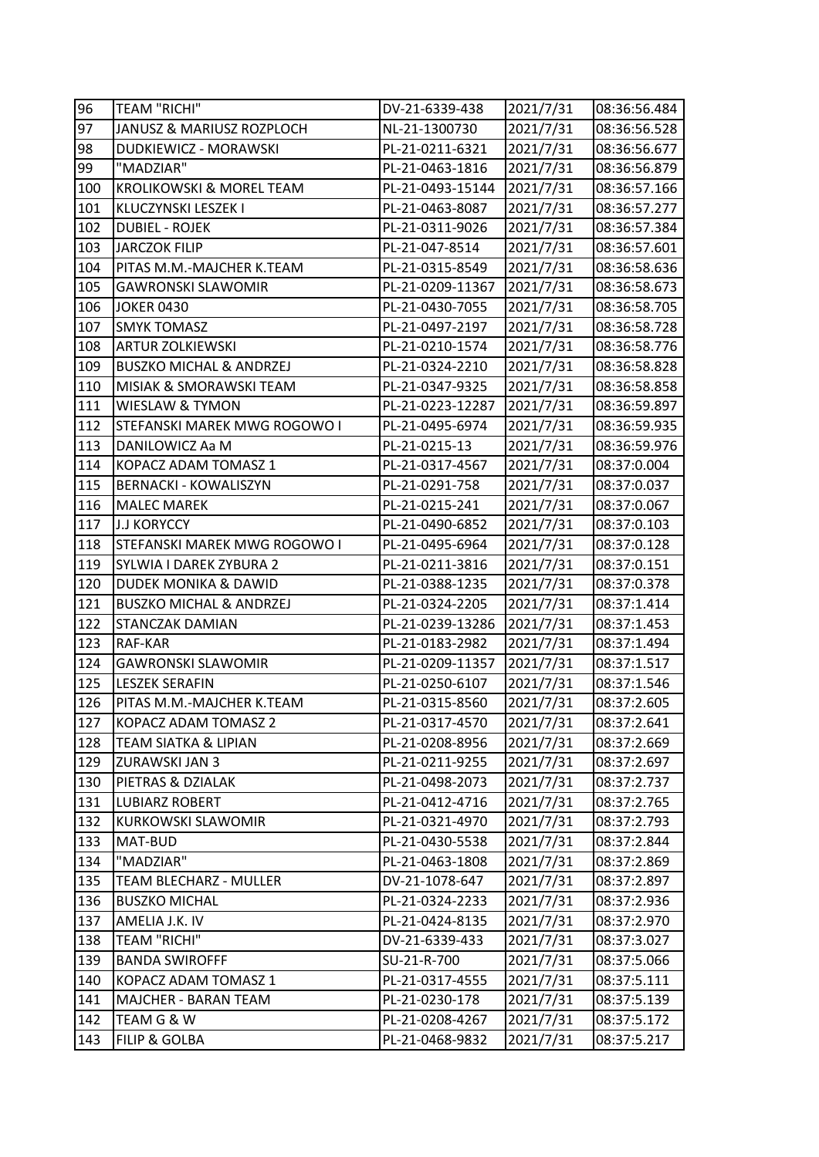| 96  | <b>TEAM "RICHI"</b>                | DV-21-6339-438   | 2021/7/31 | 08:36:56.484 |
|-----|------------------------------------|------------------|-----------|--------------|
| 97  | JANUSZ & MARIUSZ ROZPLOCH          | NL-21-1300730    | 2021/7/31 | 08:36:56.528 |
| 98  | DUDKIEWICZ - MORAWSKI              | PL-21-0211-6321  | 2021/7/31 | 08:36:56.677 |
| 99  | "MADZIAR"                          | PL-21-0463-1816  | 2021/7/31 | 08:36:56.879 |
| 100 | KROLIKOWSKI & MOREL TEAM           | PL-21-0493-15144 | 2021/7/31 | 08:36:57.166 |
| 101 | KLUCZYNSKI LESZEK I                | PL-21-0463-8087  | 2021/7/31 | 08:36:57.277 |
| 102 | <b>DUBIEL - ROJEK</b>              | PL-21-0311-9026  | 2021/7/31 | 08:36:57.384 |
| 103 | <b>JARCZOK FILIP</b>               | PL-21-047-8514   | 2021/7/31 | 08:36:57.601 |
| 104 | PITAS M.M.-MAJCHER K.TEAM          | PL-21-0315-8549  | 2021/7/31 | 08:36:58.636 |
| 105 | <b>GAWRONSKI SLAWOMIR</b>          | PL-21-0209-11367 | 2021/7/31 | 08:36:58.673 |
| 106 | <b>JOKER 0430</b>                  | PL-21-0430-7055  | 2021/7/31 | 08:36:58.705 |
| 107 | <b>SMYK TOMASZ</b>                 | PL-21-0497-2197  | 2021/7/31 | 08:36:58.728 |
| 108 | <b>ARTUR ZOLKIEWSKI</b>            | PL-21-0210-1574  | 2021/7/31 | 08:36:58.776 |
| 109 | <b>BUSZKO MICHAL &amp; ANDRZEJ</b> | PL-21-0324-2210  | 2021/7/31 | 08:36:58.828 |
| 110 | MISIAK & SMORAWSKI TEAM            | PL-21-0347-9325  | 2021/7/31 | 08:36:58.858 |
| 111 | WIESLAW & TYMON                    | PL-21-0223-12287 | 2021/7/31 | 08:36:59.897 |
| 112 | STEFANSKI MAREK MWG ROGOWO I       | PL-21-0495-6974  | 2021/7/31 | 08:36:59.935 |
| 113 | DANILOWICZ Aa M                    | PL-21-0215-13    | 2021/7/31 | 08:36:59.976 |
| 114 | KOPACZ ADAM TOMASZ 1               | PL-21-0317-4567  | 2021/7/31 | 08:37:0.004  |
| 115 | <b>BERNACKI - KOWALISZYN</b>       | PL-21-0291-758   | 2021/7/31 | 08:37:0.037  |
| 116 | <b>MALEC MAREK</b>                 | PL-21-0215-241   | 2021/7/31 | 08:37:0.067  |
| 117 | <b>J.J KORYCCY</b>                 | PL-21-0490-6852  | 2021/7/31 | 08:37:0.103  |
| 118 | STEFANSKI MAREK MWG ROGOWO I       | PL-21-0495-6964  | 2021/7/31 | 08:37:0.128  |
| 119 | SYLWIA I DAREK ZYBURA 2            | PL-21-0211-3816  | 2021/7/31 | 08:37:0.151  |
| 120 | <b>DUDEK MONIKA &amp; DAWID</b>    | PL-21-0388-1235  | 2021/7/31 | 08:37:0.378  |
| 121 | <b>BUSZKO MICHAL &amp; ANDRZEJ</b> | PL-21-0324-2205  | 2021/7/31 | 08:37:1.414  |
| 122 | STANCZAK DAMIAN                    | PL-21-0239-13286 | 2021/7/31 | 08:37:1.453  |
| 123 | RAF-KAR                            | PL-21-0183-2982  | 2021/7/31 | 08:37:1.494  |
| 124 | <b>GAWRONSKI SLAWOMIR</b>          | PL-21-0209-11357 | 2021/7/31 | 08:37:1.517  |
| 125 | <b>LESZEK SERAFIN</b>              | PL-21-0250-6107  | 2021/7/31 | 08:37:1.546  |
| 126 | PITAS M.M.-MAJCHER K.TEAM          | PL-21-0315-8560  | 2021/7/31 | 08:37:2.605  |
| 127 | KOPACZ ADAM TOMASZ 2               | PL-21-0317-4570  | 2021/7/31 | 08:37:2.641  |
| 128 | TEAM SIATKA & LIPIAN               | PL-21-0208-8956  | 2021/7/31 | 08:37:2.669  |
| 129 | ZURAWSKI JAN 3                     | PL-21-0211-9255  | 2021/7/31 | 08:37:2.697  |
| 130 | PIETRAS & DZIALAK                  | PL-21-0498-2073  | 2021/7/31 | 08:37:2.737  |
| 131 | <b>LUBIARZ ROBERT</b>              | PL-21-0412-4716  | 2021/7/31 | 08:37:2.765  |
| 132 | <b>KURKOWSKI SLAWOMIR</b>          | PL-21-0321-4970  | 2021/7/31 | 08:37:2.793  |
| 133 | MAT-BUD                            | PL-21-0430-5538  | 2021/7/31 | 08:37:2.844  |
| 134 | "MADZIAR"                          | PL-21-0463-1808  | 2021/7/31 | 08:37:2.869  |
| 135 | TEAM BLECHARZ - MULLER             | DV-21-1078-647   | 2021/7/31 | 08:37:2.897  |
| 136 | <b>BUSZKO MICHAL</b>               | PL-21-0324-2233  | 2021/7/31 | 08:37:2.936  |
| 137 | AMELIA J.K. IV                     | PL-21-0424-8135  | 2021/7/31 | 08:37:2.970  |
| 138 | TEAM "RICHI"                       | DV-21-6339-433   | 2021/7/31 | 08:37:3.027  |
| 139 | <b>BANDA SWIROFFF</b>              | SU-21-R-700      | 2021/7/31 | 08:37:5.066  |
| 140 | KOPACZ ADAM TOMASZ 1               | PL-21-0317-4555  | 2021/7/31 | 08:37:5.111  |
| 141 | MAJCHER - BARAN TEAM               | PL-21-0230-178   | 2021/7/31 | 08:37:5.139  |
| 142 | TEAM G & W                         | PL-21-0208-4267  | 2021/7/31 | 08:37:5.172  |
| 143 | FILIP & GOLBA                      | PL-21-0468-9832  | 2021/7/31 | 08:37:5.217  |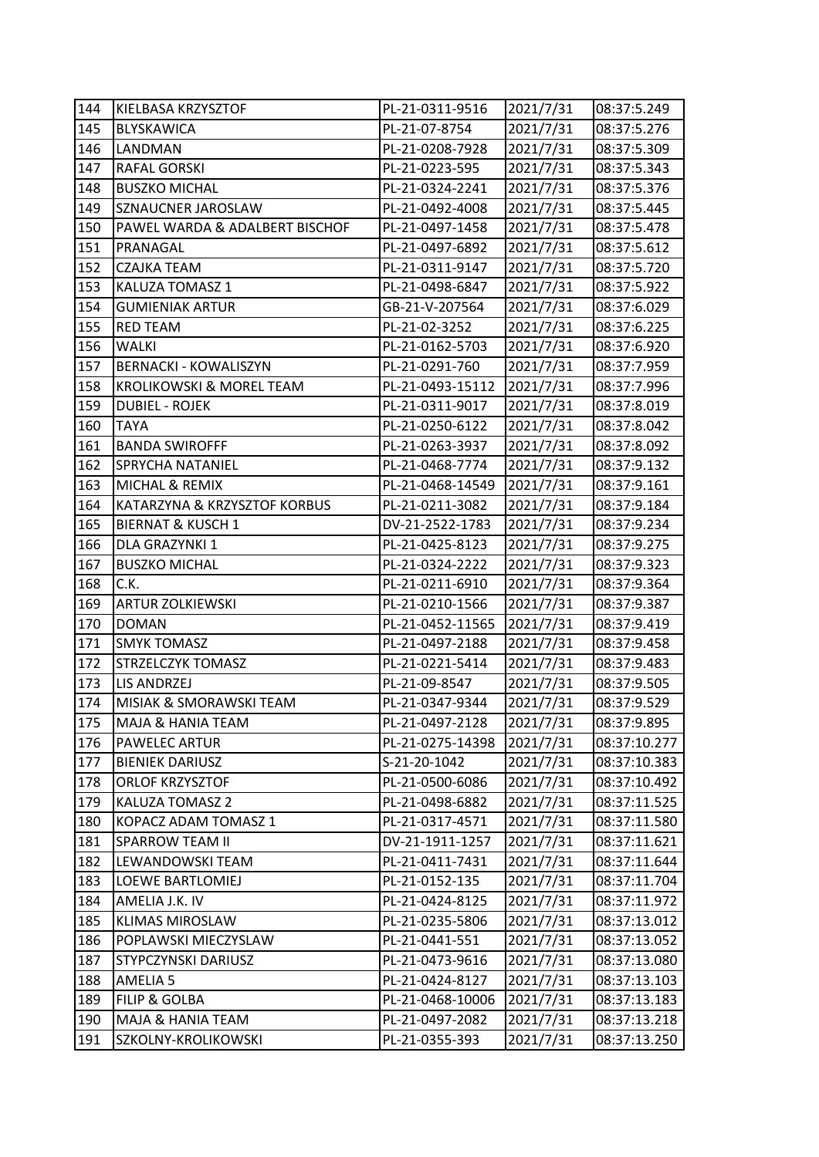| 144 | KIELBASA KRZYSZTOF                  | PL-21-0311-9516  | 2021/7/31 | 08:37:5.249  |
|-----|-------------------------------------|------------------|-----------|--------------|
| 145 | <b>BLYSKAWICA</b>                   | PL-21-07-8754    | 2021/7/31 | 08:37:5.276  |
| 146 | <b>LANDMAN</b>                      | PL-21-0208-7928  | 2021/7/31 | 08:37:5.309  |
| 147 | <b>RAFAL GORSKI</b>                 | PL-21-0223-595   | 2021/7/31 | 08:37:5.343  |
| 148 | <b>BUSZKO MICHAL</b>                | PL-21-0324-2241  | 2021/7/31 | 08:37:5.376  |
| 149 | SZNAUCNER JAROSLAW                  | PL-21-0492-4008  | 2021/7/31 | 08:37:5.445  |
| 150 | PAWEL WARDA & ADALBERT BISCHOF      | PL-21-0497-1458  | 2021/7/31 | 08:37:5.478  |
| 151 | PRANAGAL                            | PL-21-0497-6892  | 2021/7/31 | 08:37:5.612  |
| 152 | <b>CZAJKA TEAM</b>                  | PL-21-0311-9147  | 2021/7/31 | 08:37:5.720  |
| 153 | KALUZA TOMASZ 1                     | PL-21-0498-6847  | 2021/7/31 | 08:37:5.922  |
| 154 | <b>GUMIENIAK ARTUR</b>              | GB-21-V-207564   | 2021/7/31 | 08:37:6.029  |
| 155 | <b>RED TEAM</b>                     | PL-21-02-3252    | 2021/7/31 | 08:37:6.225  |
| 156 | WALKI                               | PL-21-0162-5703  | 2021/7/31 | 08:37:6.920  |
| 157 | <b>BERNACKI - KOWALISZYN</b>        | PL-21-0291-760   | 2021/7/31 | 08:37:7.959  |
| 158 | <b>KROLIKOWSKI &amp; MOREL TEAM</b> | PL-21-0493-15112 | 2021/7/31 | 08:37:7.996  |
| 159 | <b>DUBIEL - ROJEK</b>               | PL-21-0311-9017  | 2021/7/31 | 08:37:8.019  |
| 160 | <b>TAYA</b>                         | PL-21-0250-6122  | 2021/7/31 | 08:37:8.042  |
| 161 | <b>BANDA SWIROFFF</b>               | PL-21-0263-3937  | 2021/7/31 | 08:37:8.092  |
| 162 | <b>SPRYCHA NATANIEL</b>             | PL-21-0468-7774  | 2021/7/31 | 08:37:9.132  |
| 163 | MICHAL & REMIX                      | PL-21-0468-14549 | 2021/7/31 | 08:37:9.161  |
| 164 | KATARZYNA & KRZYSZTOF KORBUS        | PL-21-0211-3082  | 2021/7/31 | 08:37:9.184  |
| 165 | <b>BIERNAT &amp; KUSCH 1</b>        | DV-21-2522-1783  | 2021/7/31 | 08:37:9.234  |
| 166 | DLA GRAZYNKI 1                      | PL-21-0425-8123  | 2021/7/31 | 08:37:9.275  |
| 167 | <b>BUSZKO MICHAL</b>                | PL-21-0324-2222  | 2021/7/31 | 08:37:9.323  |
|     |                                     |                  |           |              |
| 168 | C.K.                                | PL-21-0211-6910  | 2021/7/31 | 08:37:9.364  |
| 169 | <b>ARTUR ZOLKIEWSKI</b>             | PL-21-0210-1566  | 2021/7/31 | 08:37:9.387  |
| 170 | <b>DOMAN</b>                        | PL-21-0452-11565 | 2021/7/31 | 08:37:9.419  |
| 171 | <b>SMYK TOMASZ</b>                  | PL-21-0497-2188  | 2021/7/31 | 08:37:9.458  |
| 172 | <b>STRZELCZYK TOMASZ</b>            | PL-21-0221-5414  | 2021/7/31 | 08:37:9.483  |
| 173 | LIS ANDRZEJ                         | PL-21-09-8547    | 2021/7/31 | 08:37:9.505  |
| 174 | MISIAK & SMORAWSKI TEAM             | PL-21-0347-9344  | 2021/7/31 | 08:37:9.529  |
| 175 | <b>MAJA &amp; HANIA TEAM</b>        | PL-21-0497-2128  | 2021/7/31 | 08:37:9.895  |
| 176 | PAWELEC ARTUR                       | PL-21-0275-14398 | 2021/7/31 | 08:37:10.277 |
| 177 | <b>BIENIEK DARIUSZ</b>              | S-21-20-1042     | 2021/7/31 | 08:37:10.383 |
| 178 | ORLOF KRZYSZTOF                     | PL-21-0500-6086  | 2021/7/31 | 08:37:10.492 |
| 179 | KALUZA TOMASZ 2                     | PL-21-0498-6882  | 2021/7/31 | 08:37:11.525 |
| 180 | KOPACZ ADAM TOMASZ 1                | PL-21-0317-4571  | 2021/7/31 | 08:37:11.580 |
| 181 | <b>SPARROW TEAM II</b>              | DV-21-1911-1257  | 2021/7/31 | 08:37:11.621 |
| 182 | LEWANDOWSKI TEAM                    | PL-21-0411-7431  | 2021/7/31 | 08:37:11.644 |
| 183 | LOEWE BARTLOMIEJ                    | PL-21-0152-135   | 2021/7/31 | 08:37:11.704 |
| 184 | AMELIA J.K. IV                      | PL-21-0424-8125  | 2021/7/31 | 08:37:11.972 |
| 185 | <b>KLIMAS MIROSLAW</b>              | PL-21-0235-5806  | 2021/7/31 | 08:37:13.012 |
| 186 | POPLAWSKI MIECZYSLAW                | PL-21-0441-551   | 2021/7/31 | 08:37:13.052 |
| 187 | STYPCZYNSKI DARIUSZ                 | PL-21-0473-9616  | 2021/7/31 | 08:37:13.080 |
| 188 | AMELIA 5                            | PL-21-0424-8127  | 2021/7/31 | 08:37:13.103 |
| 189 | FILIP & GOLBA                       | PL-21-0468-10006 | 2021/7/31 | 08:37:13.183 |
| 190 | MAJA & HANIA TEAM                   | PL-21-0497-2082  | 2021/7/31 | 08:37:13.218 |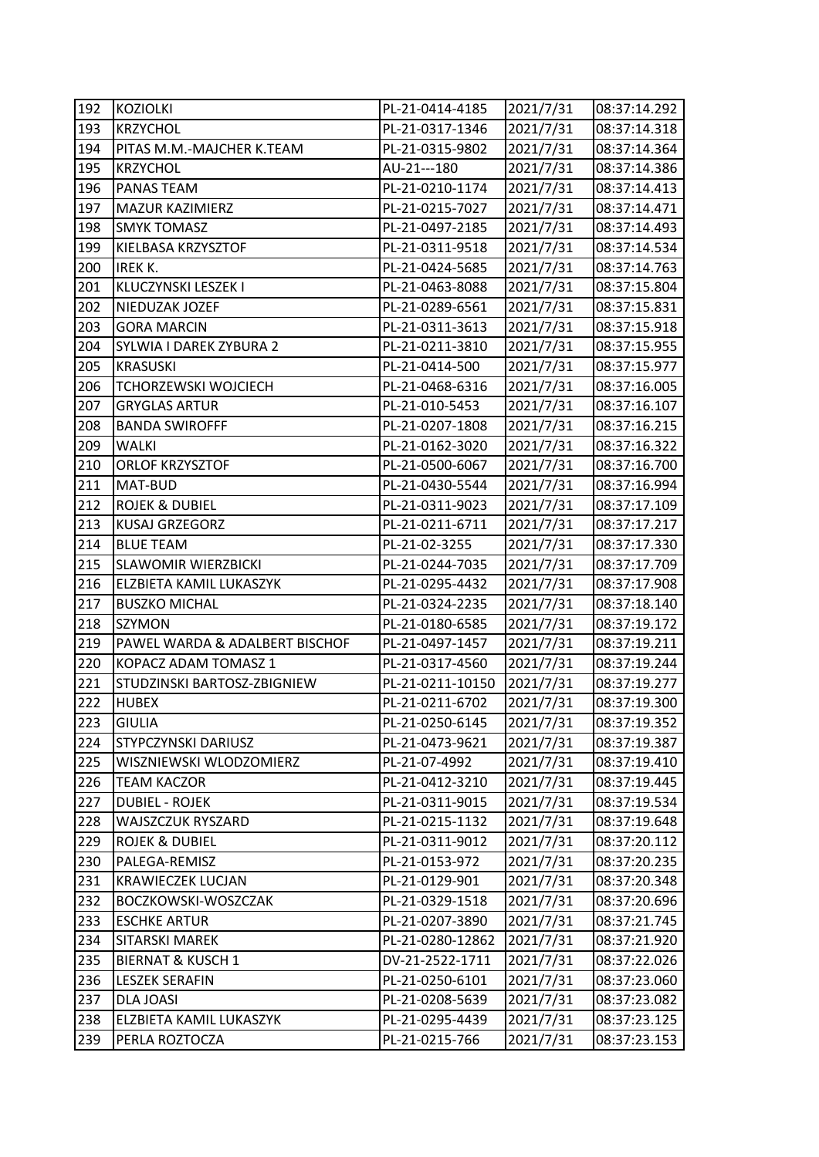| 192 | <b>KOZIOLKI</b>                | PL-21-0414-4185  | 2021/7/31 | 08:37:14.292 |
|-----|--------------------------------|------------------|-----------|--------------|
| 193 | <b>KRZYCHOL</b>                | PL-21-0317-1346  | 2021/7/31 | 08:37:14.318 |
| 194 | PITAS M.M.-MAJCHER K.TEAM      | PL-21-0315-9802  | 2021/7/31 | 08:37:14.364 |
| 195 | <b>KRZYCHOL</b>                | AU-21---180      | 2021/7/31 | 08:37:14.386 |
| 196 | PANAS TEAM                     | PL-21-0210-1174  | 2021/7/31 | 08:37:14.413 |
| 197 | <b>MAZUR KAZIMIERZ</b>         | PL-21-0215-7027  | 2021/7/31 | 08:37:14.471 |
| 198 | <b>SMYK TOMASZ</b>             | PL-21-0497-2185  | 2021/7/31 | 08:37:14.493 |
| 199 | KIELBASA KRZYSZTOF             | PL-21-0311-9518  | 2021/7/31 | 08:37:14.534 |
| 200 | IREK K.                        | PL-21-0424-5685  | 2021/7/31 | 08:37:14.763 |
| 201 | KLUCZYNSKI LESZEK I            | PL-21-0463-8088  | 2021/7/31 | 08:37:15.804 |
| 202 | NIEDUZAK JOZEF                 | PL-21-0289-6561  | 2021/7/31 | 08:37:15.831 |
| 203 | <b>GORA MARCIN</b>             | PL-21-0311-3613  | 2021/7/31 | 08:37:15.918 |
| 204 | SYLWIA I DAREK ZYBURA 2        | PL-21-0211-3810  | 2021/7/31 | 08:37:15.955 |
| 205 | <b>KRASUSKI</b>                | PL-21-0414-500   | 2021/7/31 | 08:37:15.977 |
| 206 | TCHORZEWSKI WOJCIECH           | PL-21-0468-6316  | 2021/7/31 | 08:37:16.005 |
| 207 | <b>GRYGLAS ARTUR</b>           | PL-21-010-5453   | 2021/7/31 | 08:37:16.107 |
| 208 | <b>BANDA SWIROFFF</b>          | PL-21-0207-1808  | 2021/7/31 | 08:37:16.215 |
| 209 | WALKI                          | PL-21-0162-3020  | 2021/7/31 | 08:37:16.322 |
| 210 | <b>ORLOF KRZYSZTOF</b>         | PL-21-0500-6067  | 2021/7/31 | 08:37:16.700 |
| 211 | MAT-BUD                        | PL-21-0430-5544  | 2021/7/31 | 08:37:16.994 |
| 212 | <b>ROJEK &amp; DUBIEL</b>      | PL-21-0311-9023  | 2021/7/31 | 08:37:17.109 |
| 213 | KUSAJ GRZEGORZ                 | PL-21-0211-6711  | 2021/7/31 | 08:37:17.217 |
| 214 | <b>BLUE TEAM</b>               | PL-21-02-3255    | 2021/7/31 | 08:37:17.330 |
| 215 | <b>SLAWOMIR WIERZBICKI</b>     | PL-21-0244-7035  | 2021/7/31 | 08:37:17.709 |
| 216 | ELZBIETA KAMIL LUKASZYK        | PL-21-0295-4432  | 2021/7/31 | 08:37:17.908 |
| 217 | <b>BUSZKO MICHAL</b>           | PL-21-0324-2235  | 2021/7/31 | 08:37:18.140 |
| 218 | SZYMON                         | PL-21-0180-6585  | 2021/7/31 | 08:37:19.172 |
| 219 | PAWEL WARDA & ADALBERT BISCHOF | PL-21-0497-1457  | 2021/7/31 | 08:37:19.211 |
| 220 | KOPACZ ADAM TOMASZ 1           | PL-21-0317-4560  | 2021/7/31 | 08:37:19.244 |
| 221 | STUDZINSKI BARTOSZ-ZBIGNIEW    | PL-21-0211-10150 | 2021/7/31 | 08:37:19.277 |
| 222 | <b>HUBEX</b>                   | PL-21-0211-6702  | 2021/7/31 | 08:37:19.300 |
| 223 | <b>GIULIA</b>                  | PL-21-0250-6145  | 2021/7/31 | 08:37:19.352 |
| 224 | STYPCZYNSKI DARIUSZ            | PL-21-0473-9621  | 2021/7/31 | 08:37:19.387 |
| 225 | WISZNIEWSKI WLODZOMIERZ        | PL-21-07-4992    | 2021/7/31 | 08:37:19.410 |
| 226 | <b>TEAM KACZOR</b>             | PL-21-0412-3210  | 2021/7/31 | 08:37:19.445 |
| 227 | <b>DUBIEL - ROJEK</b>          | PL-21-0311-9015  | 2021/7/31 | 08:37:19.534 |
| 228 | WAJSZCZUK RYSZARD              | PL-21-0215-1132  | 2021/7/31 | 08:37:19.648 |
| 229 | ROJEK & DUBIEL                 | PL-21-0311-9012  | 2021/7/31 | 08:37:20.112 |
| 230 | PALEGA-REMISZ                  | PL-21-0153-972   | 2021/7/31 | 08:37:20.235 |
| 231 | <b>KRAWIECZEK LUCJAN</b>       | PL-21-0129-901   | 2021/7/31 | 08:37:20.348 |
| 232 | BOCZKOWSKI-WOSZCZAK            | PL-21-0329-1518  | 2021/7/31 | 08:37:20.696 |
| 233 | <b>ESCHKE ARTUR</b>            | PL-21-0207-3890  | 2021/7/31 | 08:37:21.745 |
| 234 | SITARSKI MAREK                 | PL-21-0280-12862 | 2021/7/31 | 08:37:21.920 |
| 235 | <b>BIERNAT &amp; KUSCH 1</b>   | DV-21-2522-1711  | 2021/7/31 | 08:37:22.026 |
| 236 | <b>LESZEK SERAFIN</b>          | PL-21-0250-6101  | 2021/7/31 | 08:37:23.060 |
| 237 | DLA JOASI                      | PL-21-0208-5639  | 2021/7/31 | 08:37:23.082 |
| 238 | ELZBIETA KAMIL LUKASZYK        | PL-21-0295-4439  | 2021/7/31 | 08:37:23.125 |
| 239 | PERLA ROZTOCZA                 | PL-21-0215-766   | 2021/7/31 | 08:37:23.153 |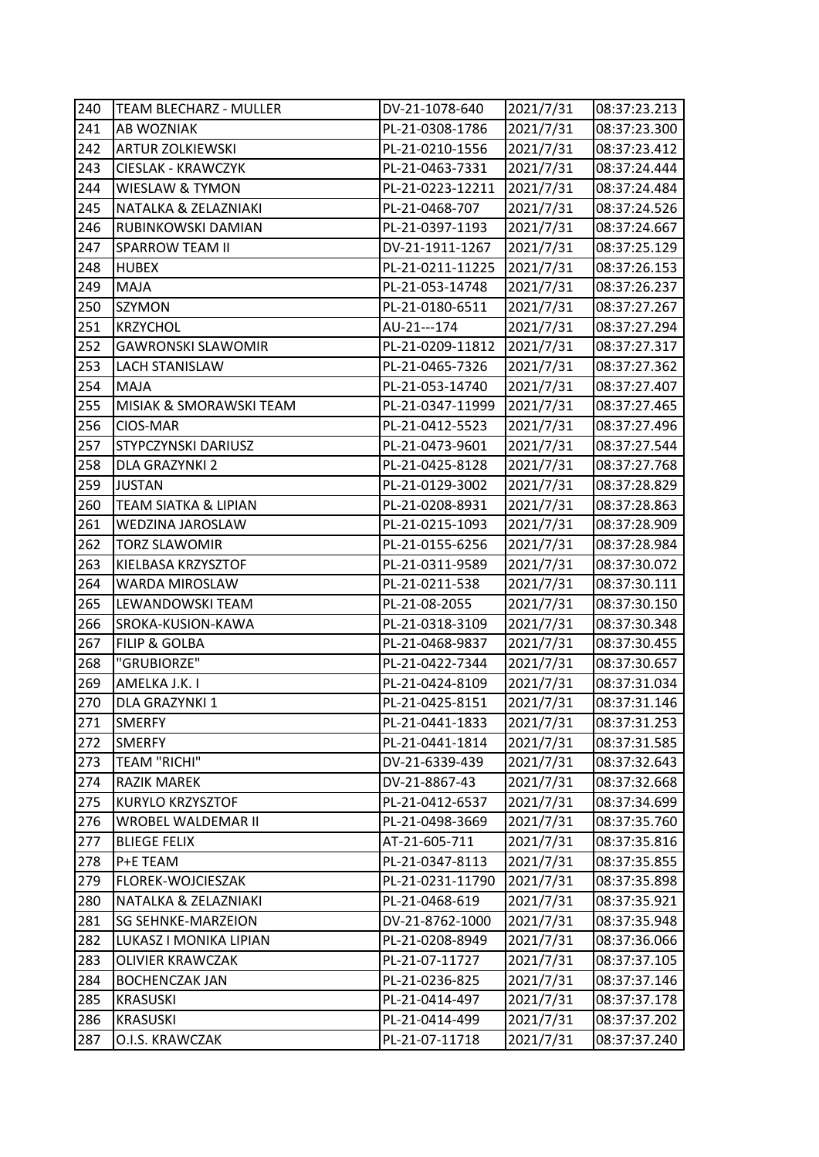| 240 | <b>TEAM BLECHARZ - MULLER</b> | DV-21-1078-640   | 2021/7/31 | 08:37:23.213 |
|-----|-------------------------------|------------------|-----------|--------------|
| 241 | AB WOZNIAK                    | PL-21-0308-1786  | 2021/7/31 | 08:37:23.300 |
| 242 | <b>ARTUR ZOLKIEWSKI</b>       | PL-21-0210-1556  | 2021/7/31 | 08:37:23.412 |
| 243 | <b>CIESLAK - KRAWCZYK</b>     | PL-21-0463-7331  | 2021/7/31 | 08:37:24.444 |
| 244 | <b>WIESLAW &amp; TYMON</b>    | PL-21-0223-12211 | 2021/7/31 | 08:37:24.484 |
| 245 | NATALKA & ZELAZNIAKI          | PL-21-0468-707   | 2021/7/31 | 08:37:24.526 |
| 246 | RUBINKOWSKI DAMIAN            | PL-21-0397-1193  | 2021/7/31 | 08:37:24.667 |
| 247 | <b>SPARROW TEAM II</b>        | DV-21-1911-1267  | 2021/7/31 | 08:37:25.129 |
| 248 | <b>HUBEX</b>                  | PL-21-0211-11225 | 2021/7/31 | 08:37:26.153 |
| 249 | <b>MAJA</b>                   | PL-21-053-14748  | 2021/7/31 | 08:37:26.237 |
| 250 | <b>SZYMON</b>                 | PL-21-0180-6511  | 2021/7/31 | 08:37:27.267 |
| 251 | <b>KRZYCHOL</b>               | AU-21---174      | 2021/7/31 | 08:37:27.294 |
| 252 | <b>GAWRONSKI SLAWOMIR</b>     | PL-21-0209-11812 | 2021/7/31 | 08:37:27.317 |
| 253 | <b>LACH STANISLAW</b>         | PL-21-0465-7326  | 2021/7/31 | 08:37:27.362 |
| 254 | <b>MAJA</b>                   | PL-21-053-14740  | 2021/7/31 | 08:37:27.407 |
| 255 | MISIAK & SMORAWSKI TEAM       | PL-21-0347-11999 | 2021/7/31 | 08:37:27.465 |
| 256 | CIOS-MAR                      | PL-21-0412-5523  | 2021/7/31 | 08:37:27.496 |
| 257 | STYPCZYNSKI DARIUSZ           | PL-21-0473-9601  | 2021/7/31 | 08:37:27.544 |
| 258 | <b>DLA GRAZYNKI 2</b>         | PL-21-0425-8128  | 2021/7/31 | 08:37:27.768 |
| 259 | <b>JUSTAN</b>                 | PL-21-0129-3002  | 2021/7/31 | 08:37:28.829 |
| 260 | TEAM SIATKA & LIPIAN          | PL-21-0208-8931  | 2021/7/31 | 08:37:28.863 |
| 261 | WEDZINA JAROSLAW              | PL-21-0215-1093  | 2021/7/31 | 08:37:28.909 |
| 262 | <b>TORZ SLAWOMIR</b>          | PL-21-0155-6256  | 2021/7/31 | 08:37:28.984 |
| 263 | KIELBASA KRZYSZTOF            | PL-21-0311-9589  | 2021/7/31 | 08:37:30.072 |
| 264 | WARDA MIROSLAW                | PL-21-0211-538   | 2021/7/31 | 08:37:30.111 |
| 265 | LEWANDOWSKI TEAM              | PL-21-08-2055    | 2021/7/31 | 08:37:30.150 |
| 266 | SROKA-KUSION-KAWA             | PL-21-0318-3109  | 2021/7/31 | 08:37:30.348 |
| 267 | FILIP & GOLBA                 | PL-21-0468-9837  | 2021/7/31 | 08:37:30.455 |
| 268 | "GRUBIORZE"                   | PL-21-0422-7344  | 2021/7/31 | 08:37:30.657 |
| 269 | AMELKA J.K. I                 | PL-21-0424-8109  | 2021/7/31 | 08:37:31.034 |
| 270 | DLA GRAZYNKI 1                | PL-21-0425-8151  | 2021/7/31 | 08:37:31.146 |
| 271 | <b>SMERFY</b>                 | PL-21-0441-1833  | 2021/7/31 | 08:37:31.253 |
| 272 | <b>SMERFY</b>                 | PL-21-0441-1814  | 2021/7/31 | 08:37:31.585 |
| 273 | <b>TEAM "RICHI"</b>           | DV-21-6339-439   | 2021/7/31 | 08:37:32.643 |
| 274 | RAZIK MAREK                   | DV-21-8867-43    | 2021/7/31 | 08:37:32.668 |
| 275 | KURYLO KRZYSZTOF              | PL-21-0412-6537  | 2021/7/31 | 08:37:34.699 |
| 276 | WROBEL WALDEMAR II            | PL-21-0498-3669  | 2021/7/31 | 08:37:35.760 |
| 277 | <b>BLIEGE FELIX</b>           | AT-21-605-711    | 2021/7/31 | 08:37:35.816 |
| 278 | P+E TEAM                      | PL-21-0347-8113  | 2021/7/31 | 08:37:35.855 |
| 279 | FLOREK-WOJCIESZAK             | PL-21-0231-11790 | 2021/7/31 | 08:37:35.898 |
| 280 | NATALKA & ZELAZNIAKI          | PL-21-0468-619   | 2021/7/31 | 08:37:35.921 |
| 281 | <b>SG SEHNKE-MARZEION</b>     | DV-21-8762-1000  | 2021/7/31 | 08:37:35.948 |
| 282 | LUKASZ I MONIKA LIPIAN        | PL-21-0208-8949  | 2021/7/31 | 08:37:36.066 |
| 283 | <b>OLIVIER KRAWCZAK</b>       | PL-21-07-11727   | 2021/7/31 | 08:37:37.105 |
| 284 | <b>BOCHENCZAK JAN</b>         | PL-21-0236-825   | 2021/7/31 | 08:37:37.146 |
| 285 | <b>KRASUSKI</b>               | PL-21-0414-497   | 2021/7/31 | 08:37:37.178 |
| 286 | <b>KRASUSKI</b>               | PL-21-0414-499   | 2021/7/31 | 08:37:37.202 |
| 287 | O.I.S. KRAWCZAK               | PL-21-07-11718   | 2021/7/31 | 08:37:37.240 |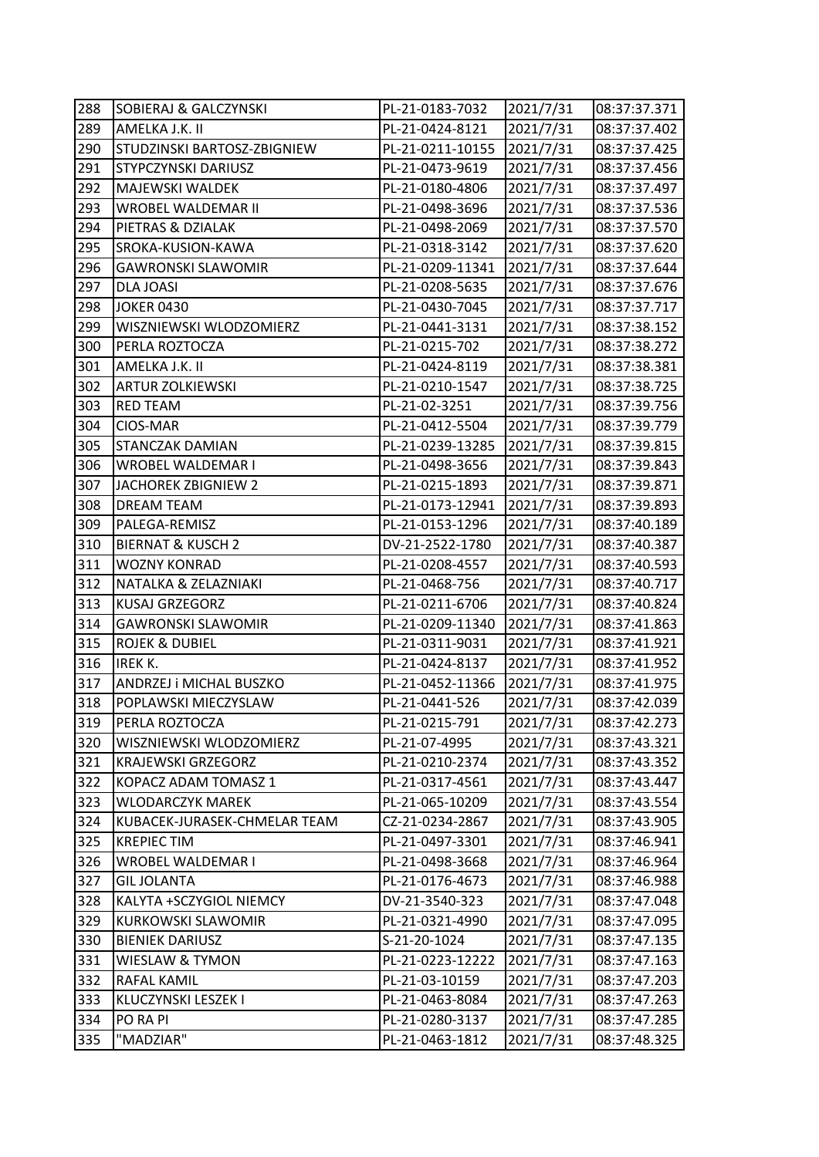| 288 | <b>SOBIERAJ &amp; GALCZYNSKI</b> | PL-21-0183-7032  | 2021/7/31 | 08:37:37.371 |
|-----|----------------------------------|------------------|-----------|--------------|
| 289 | AMELKA J.K. II                   | PL-21-0424-8121  | 2021/7/31 | 08:37:37.402 |
| 290 | STUDZINSKI BARTOSZ-ZBIGNIEW      | PL-21-0211-10155 | 2021/7/31 | 08:37:37.425 |
| 291 | STYPCZYNSKI DARIUSZ              | PL-21-0473-9619  | 2021/7/31 | 08:37:37.456 |
| 292 | MAJEWSKI WALDEK                  | PL-21-0180-4806  | 2021/7/31 | 08:37:37.497 |
| 293 | WROBEL WALDEMAR II               | PL-21-0498-3696  | 2021/7/31 | 08:37:37.536 |
| 294 | PIETRAS & DZIALAK                | PL-21-0498-2069  | 2021/7/31 | 08:37:37.570 |
| 295 | SROKA-KUSION-KAWA                | PL-21-0318-3142  | 2021/7/31 | 08:37:37.620 |
| 296 | <b>GAWRONSKI SLAWOMIR</b>        | PL-21-0209-11341 | 2021/7/31 | 08:37:37.644 |
| 297 | <b>DLA JOASI</b>                 | PL-21-0208-5635  | 2021/7/31 | 08:37:37.676 |
| 298 | <b>JOKER 0430</b>                | PL-21-0430-7045  | 2021/7/31 | 08:37:37.717 |
| 299 | WISZNIEWSKI WLODZOMIERZ          | PL-21-0441-3131  | 2021/7/31 | 08:37:38.152 |
| 300 | PERLA ROZTOCZA                   | PL-21-0215-702   | 2021/7/31 | 08:37:38.272 |
| 301 | AMELKA J.K. II                   | PL-21-0424-8119  | 2021/7/31 | 08:37:38.381 |
| 302 | <b>ARTUR ZOLKIEWSKI</b>          | PL-21-0210-1547  | 2021/7/31 | 08:37:38.725 |
| 303 | <b>RED TEAM</b>                  | PL-21-02-3251    | 2021/7/31 | 08:37:39.756 |
| 304 | CIOS-MAR                         | PL-21-0412-5504  | 2021/7/31 | 08:37:39.779 |
| 305 | STANCZAK DAMIAN                  | PL-21-0239-13285 | 2021/7/31 | 08:37:39.815 |
| 306 | WROBEL WALDEMAR I                | PL-21-0498-3656  | 2021/7/31 | 08:37:39.843 |
| 307 | JACHOREK ZBIGNIEW 2              | PL-21-0215-1893  | 2021/7/31 | 08:37:39.871 |
| 308 | <b>DREAM TEAM</b>                | PL-21-0173-12941 | 2021/7/31 | 08:37:39.893 |
| 309 | PALEGA-REMISZ                    | PL-21-0153-1296  | 2021/7/31 | 08:37:40.189 |
| 310 | <b>BIERNAT &amp; KUSCH 2</b>     | DV-21-2522-1780  | 2021/7/31 | 08:37:40.387 |
| 311 | <b>WOZNY KONRAD</b>              | PL-21-0208-4557  | 2021/7/31 | 08:37:40.593 |
| 312 | NATALKA & ZELAZNIAKI             | PL-21-0468-756   | 2021/7/31 | 08:37:40.717 |
| 313 | <b>KUSAJ GRZEGORZ</b>            | PL-21-0211-6706  | 2021/7/31 | 08:37:40.824 |
| 314 | <b>GAWRONSKI SLAWOMIR</b>        | PL-21-0209-11340 | 2021/7/31 | 08:37:41.863 |
| 315 | <b>ROJEK &amp; DUBIEL</b>        | PL-21-0311-9031  | 2021/7/31 | 08:37:41.921 |
| 316 | <b>IREK K.</b>                   | PL-21-0424-8137  | 2021/7/31 | 08:37:41.952 |
| 317 | ANDRZEJ i MICHAL BUSZKO          | PL-21-0452-11366 | 2021/7/31 | 08:37:41.975 |
| 318 | POPLAWSKI MIECZYSLAW             | PL-21-0441-526   | 2021/7/31 | 08:37:42.039 |
| 319 | PERLA ROZTOCZA                   | PL-21-0215-791   | 2021/7/31 | 08:37:42.273 |
| 320 | WISZNIEWSKI WLODZOMIERZ          | PL-21-07-4995    | 2021/7/31 | 08:37:43.321 |
| 321 | <b>KRAJEWSKI GRZEGORZ</b>        | PL-21-0210-2374  | 2021/7/31 | 08:37:43.352 |
| 322 | KOPACZ ADAM TOMASZ 1             | PL-21-0317-4561  | 2021/7/31 | 08:37:43.447 |
| 323 | WLODARCZYK MAREK                 | PL-21-065-10209  | 2021/7/31 | 08:37:43.554 |
| 324 | KUBACEK-JURASEK-CHMELAR TEAM     | CZ-21-0234-2867  | 2021/7/31 | 08:37:43.905 |
| 325 | <b>KREPIEC TIM</b>               | PL-21-0497-3301  | 2021/7/31 | 08:37:46.941 |
| 326 | WROBEL WALDEMAR I                | PL-21-0498-3668  | 2021/7/31 | 08:37:46.964 |
| 327 | <b>GIL JOLANTA</b>               | PL-21-0176-4673  | 2021/7/31 | 08:37:46.988 |
| 328 | KALYTA +SCZYGIOL NIEMCY          | DV-21-3540-323   | 2021/7/31 | 08:37:47.048 |
| 329 | <b>KURKOWSKI SLAWOMIR</b>        | PL-21-0321-4990  | 2021/7/31 | 08:37:47.095 |
| 330 | <b>BIENIEK DARIUSZ</b>           | S-21-20-1024     | 2021/7/31 | 08:37:47.135 |
| 331 | WIESLAW & TYMON                  | PL-21-0223-12222 | 2021/7/31 | 08:37:47.163 |
| 332 | RAFAL KAMIL                      | PL-21-03-10159   | 2021/7/31 | 08:37:47.203 |
| 333 | KLUCZYNSKI LESZEK I              | PL-21-0463-8084  | 2021/7/31 | 08:37:47.263 |
| 334 | PO RA PI                         | PL-21-0280-3137  | 2021/7/31 | 08:37:47.285 |
| 335 | "MADZIAR"                        | PL-21-0463-1812  | 2021/7/31 | 08:37:48.325 |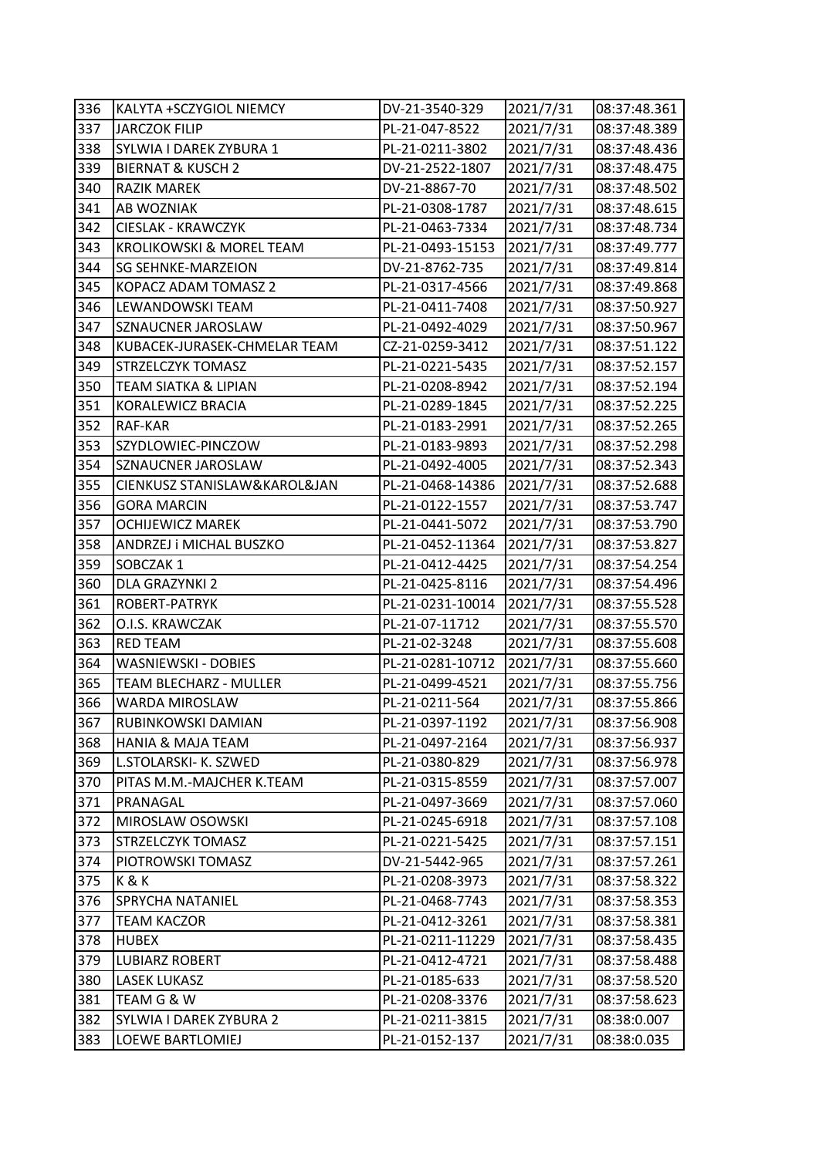| 336 | KALYTA +SCZYGIOL NIEMCY         | DV-21-3540-329   | 2021/7/31 | 08:37:48.361 |
|-----|---------------------------------|------------------|-----------|--------------|
| 337 | <b>JARCZOK FILIP</b>            | PL-21-047-8522   | 2021/7/31 | 08:37:48.389 |
| 338 | SYLWIA I DAREK ZYBURA 1         | PL-21-0211-3802  | 2021/7/31 | 08:37:48.436 |
| 339 | <b>BIERNAT &amp; KUSCH 2</b>    | DV-21-2522-1807  | 2021/7/31 | 08:37:48.475 |
| 340 | <b>RAZIK MAREK</b>              | DV-21-8867-70    | 2021/7/31 | 08:37:48.502 |
| 341 | AB WOZNIAK                      | PL-21-0308-1787  | 2021/7/31 | 08:37:48.615 |
| 342 | <b>CIESLAK - KRAWCZYK</b>       | PL-21-0463-7334  | 2021/7/31 | 08:37:48.734 |
| 343 | KROLIKOWSKI & MOREL TEAM        | PL-21-0493-15153 | 2021/7/31 | 08:37:49.777 |
| 344 | <b>SG SEHNKE-MARZEION</b>       | DV-21-8762-735   | 2021/7/31 | 08:37:49.814 |
| 345 | KOPACZ ADAM TOMASZ 2            | PL-21-0317-4566  | 2021/7/31 | 08:37:49.868 |
| 346 | LEWANDOWSKI TEAM                | PL-21-0411-7408  | 2021/7/31 | 08:37:50.927 |
| 347 | SZNAUCNER JAROSLAW              | PL-21-0492-4029  | 2021/7/31 | 08:37:50.967 |
| 348 | KUBACEK-JURASEK-CHMELAR TEAM    | CZ-21-0259-3412  | 2021/7/31 | 08:37:51.122 |
| 349 | <b>STRZELCZYK TOMASZ</b>        | PL-21-0221-5435  | 2021/7/31 | 08:37:52.157 |
| 350 | <b>TEAM SIATKA &amp; LIPIAN</b> | PL-21-0208-8942  | 2021/7/31 | 08:37:52.194 |
| 351 | KORALEWICZ BRACIA               | PL-21-0289-1845  | 2021/7/31 | 08:37:52.225 |
| 352 | RAF-KAR                         | PL-21-0183-2991  | 2021/7/31 | 08:37:52.265 |
| 353 | SZYDLOWIEC-PINCZOW              | PL-21-0183-9893  | 2021/7/31 | 08:37:52.298 |
| 354 | SZNAUCNER JAROSLAW              | PL-21-0492-4005  | 2021/7/31 | 08:37:52.343 |
| 355 | CIENKUSZ STANISLAW&KAROL&JAN    | PL-21-0468-14386 | 2021/7/31 | 08:37:52.688 |
| 356 | <b>GORA MARCIN</b>              | PL-21-0122-1557  | 2021/7/31 | 08:37:53.747 |
| 357 | <b>OCHIJEWICZ MAREK</b>         | PL-21-0441-5072  | 2021/7/31 | 08:37:53.790 |
| 358 | ANDRZEJ i MICHAL BUSZKO         | PL-21-0452-11364 | 2021/7/31 | 08:37:53.827 |
| 359 | SOBCZAK 1                       | PL-21-0412-4425  | 2021/7/31 | 08:37:54.254 |
| 360 | DLA GRAZYNKI 2                  | PL-21-0425-8116  | 2021/7/31 | 08:37:54.496 |
| 361 | ROBERT-PATRYK                   | PL-21-0231-10014 | 2021/7/31 | 08:37:55.528 |
| 362 | O.I.S. KRAWCZAK                 | PL-21-07-11712   | 2021/7/31 | 08:37:55.570 |
| 363 | <b>RED TEAM</b>                 | PL-21-02-3248    | 2021/7/31 | 08:37:55.608 |
| 364 | WASNIEWSKI - DOBIES             | PL-21-0281-10712 | 2021/7/31 | 08:37:55.660 |
| 365 | <b>TEAM BLECHARZ - MULLER</b>   | PL-21-0499-4521  | 2021/7/31 | 08:37:55.756 |
| 366 | WARDA MIROSLAW                  | PL-21-0211-564   | 2021/7/31 | 08:37:55.866 |
| 367 | RUBINKOWSKI DAMIAN              | PL-21-0397-1192  | 2021/7/31 | 08:37:56.908 |
| 368 | <b>HANIA &amp; MAJA TEAM</b>    | PL-21-0497-2164  | 2021/7/31 | 08:37:56.937 |
| 369 | L.STOLARSKI- K. SZWED           | PL-21-0380-829   | 2021/7/31 | 08:37:56.978 |
| 370 | PITAS M.M.-MAJCHER K.TEAM       | PL-21-0315-8559  | 2021/7/31 | 08:37:57.007 |
| 371 | PRANAGAL                        | PL-21-0497-3669  | 2021/7/31 | 08:37:57.060 |
| 372 | MIROSLAW OSOWSKI                | PL-21-0245-6918  | 2021/7/31 | 08:37:57.108 |
| 373 | STRZELCZYK TOMASZ               | PL-21-0221-5425  | 2021/7/31 | 08:37:57.151 |
| 374 | PIOTROWSKI TOMASZ               | DV-21-5442-965   | 2021/7/31 | 08:37:57.261 |
| 375 | K&K                             | PL-21-0208-3973  | 2021/7/31 | 08:37:58.322 |
| 376 | SPRYCHA NATANIEL                | PL-21-0468-7743  | 2021/7/31 | 08:37:58.353 |
| 377 | <b>TEAM KACZOR</b>              | PL-21-0412-3261  | 2021/7/31 | 08:37:58.381 |
| 378 | <b>HUBEX</b>                    | PL-21-0211-11229 | 2021/7/31 | 08:37:58.435 |
| 379 | <b>LUBIARZ ROBERT</b>           | PL-21-0412-4721  | 2021/7/31 | 08:37:58.488 |
| 380 | LASEK LUKASZ                    | PL-21-0185-633   | 2021/7/31 | 08:37:58.520 |
| 381 | TEAM G & W                      | PL-21-0208-3376  | 2021/7/31 | 08:37:58.623 |
| 382 | SYLWIA I DAREK ZYBURA 2         | PL-21-0211-3815  | 2021/7/31 | 08:38:0.007  |
| 383 | LOEWE BARTLOMIEJ                | PL-21-0152-137   | 2021/7/31 | 08:38:0.035  |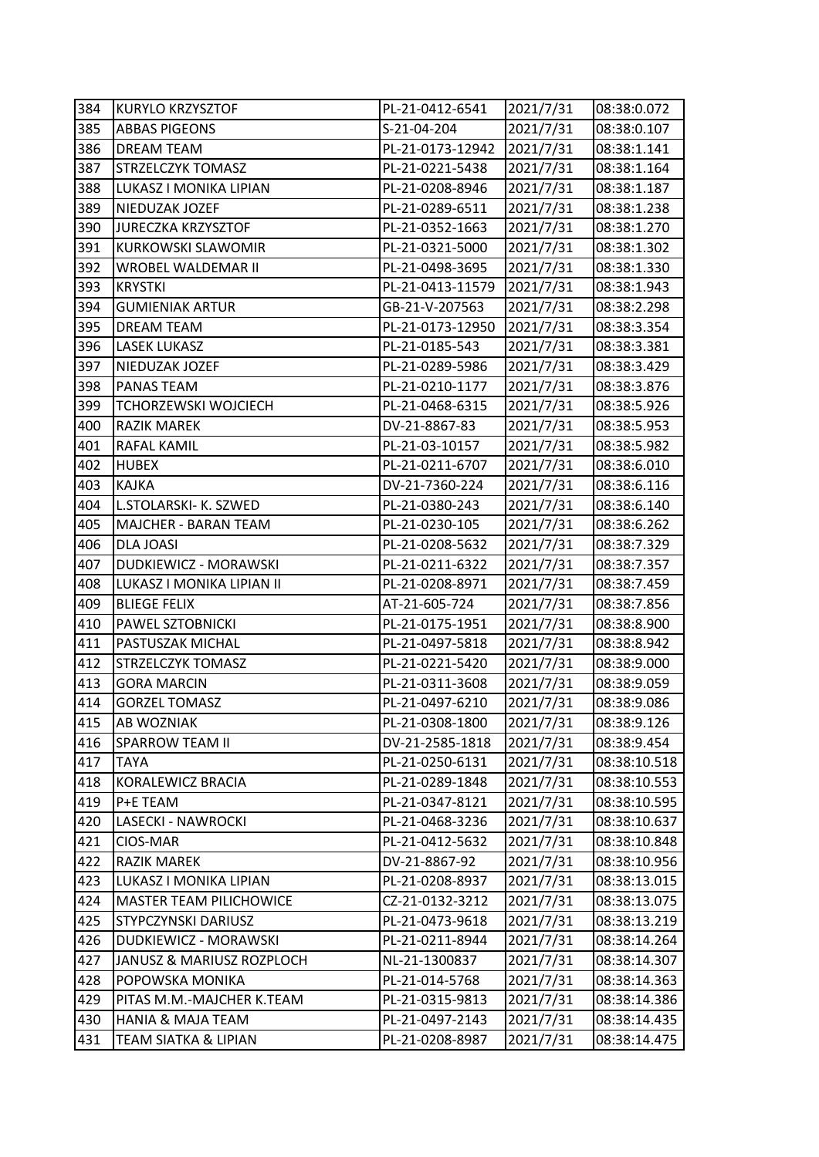| 384 | <b>KURYLO KRZYSZTOF</b>        | PL-21-0412-6541  | 2021/7/31 | 08:38:0.072  |
|-----|--------------------------------|------------------|-----------|--------------|
| 385 | <b>ABBAS PIGEONS</b>           | S-21-04-204      | 2021/7/31 | 08:38:0.107  |
| 386 | DREAM TEAM                     | PL-21-0173-12942 | 2021/7/31 | 08:38:1.141  |
| 387 | <b>STRZELCZYK TOMASZ</b>       | PL-21-0221-5438  | 2021/7/31 | 08:38:1.164  |
| 388 | LUKASZ I MONIKA LIPIAN         | PL-21-0208-8946  | 2021/7/31 | 08:38:1.187  |
| 389 | NIEDUZAK JOZEF                 | PL-21-0289-6511  | 2021/7/31 | 08:38:1.238  |
| 390 | <b>JURECZKA KRZYSZTOF</b>      | PL-21-0352-1663  | 2021/7/31 | 08:38:1.270  |
| 391 | <b>KURKOWSKI SLAWOMIR</b>      | PL-21-0321-5000  | 2021/7/31 | 08:38:1.302  |
| 392 | WROBEL WALDEMAR II             | PL-21-0498-3695  | 2021/7/31 | 08:38:1.330  |
| 393 | <b>KRYSTKI</b>                 | PL-21-0413-11579 | 2021/7/31 | 08:38:1.943  |
| 394 | <b>GUMIENIAK ARTUR</b>         | GB-21-V-207563   | 2021/7/31 | 08:38:2.298  |
| 395 | <b>DREAM TEAM</b>              | PL-21-0173-12950 | 2021/7/31 | 08:38:3.354  |
| 396 | <b>LASEK LUKASZ</b>            | PL-21-0185-543   | 2021/7/31 | 08:38:3.381  |
| 397 | NIEDUZAK JOZEF                 | PL-21-0289-5986  | 2021/7/31 | 08:38:3.429  |
| 398 | PANAS TEAM                     | PL-21-0210-1177  | 2021/7/31 | 08:38:3.876  |
| 399 | TCHORZEWSKI WOJCIECH           | PL-21-0468-6315  | 2021/7/31 | 08:38:5.926  |
| 400 | <b>RAZIK MAREK</b>             | DV-21-8867-83    | 2021/7/31 | 08:38:5.953  |
| 401 | <b>RAFAL KAMIL</b>             | PL-21-03-10157   | 2021/7/31 | 08:38:5.982  |
| 402 | <b>HUBEX</b>                   | PL-21-0211-6707  | 2021/7/31 | 08:38:6.010  |
| 403 | <b>KAJKA</b>                   | DV-21-7360-224   | 2021/7/31 | 08:38:6.116  |
| 404 | L.STOLARSKI- K. SZWED          | PL-21-0380-243   | 2021/7/31 | 08:38:6.140  |
| 405 | <b>MAJCHER - BARAN TEAM</b>    | PL-21-0230-105   | 2021/7/31 | 08:38:6.262  |
| 406 | DLA JOASI                      | PL-21-0208-5632  | 2021/7/31 | 08:38:7.329  |
| 407 | DUDKIEWICZ - MORAWSKI          | PL-21-0211-6322  | 2021/7/31 | 08:38:7.357  |
| 408 | LUKASZ I MONIKA LIPIAN II      | PL-21-0208-8971  | 2021/7/31 | 08:38:7.459  |
| 409 | <b>BLIEGE FELIX</b>            | AT-21-605-724    | 2021/7/31 | 08:38:7.856  |
| 410 | PAWEL SZTOBNICKI               | PL-21-0175-1951  | 2021/7/31 | 08:38:8.900  |
| 411 | PASTUSZAK MICHAL               | PL-21-0497-5818  | 2021/7/31 | 08:38:8.942  |
| 412 | <b>STRZELCZYK TOMASZ</b>       | PL-21-0221-5420  | 2021/7/31 | 08:38:9.000  |
| 413 | <b>GORA MARCIN</b>             | PL-21-0311-3608  | 2021/7/31 | 08:38:9.059  |
| 414 | <b>GORZEL TOMASZ</b>           | PL-21-0497-6210  | 2021/7/31 | 08:38:9.086  |
| 415 | <b>AB WOZNIAK</b>              | PL-21-0308-1800  | 2021/7/31 | 08:38:9.126  |
| 416 | <b>SPARROW TEAM II</b>         | DV-21-2585-1818  | 2021/7/31 | 08:38:9.454  |
| 417 | TAYA                           | PL-21-0250-6131  | 2021/7/31 | 08:38:10.518 |
| 418 | KORALEWICZ BRACIA              | PL-21-0289-1848  | 2021/7/31 | 08:38:10.553 |
| 419 | P+E TEAM                       | PL-21-0347-8121  | 2021/7/31 | 08:38:10.595 |
| 420 | LASECKI - NAWROCKI             | PL-21-0468-3236  | 2021/7/31 | 08:38:10.637 |
| 421 | CIOS-MAR                       | PL-21-0412-5632  | 2021/7/31 | 08:38:10.848 |
| 422 | RAZIK MAREK                    | DV-21-8867-92    | 2021/7/31 | 08:38:10.956 |
| 423 | LUKASZ I MONIKA LIPIAN         | PL-21-0208-8937  | 2021/7/31 | 08:38:13.015 |
| 424 | <b>MASTER TEAM PILICHOWICE</b> | CZ-21-0132-3212  | 2021/7/31 | 08:38:13.075 |
| 425 | STYPCZYNSKI DARIUSZ            | PL-21-0473-9618  | 2021/7/31 | 08:38:13.219 |
| 426 | DUDKIEWICZ - MORAWSKI          | PL-21-0211-8944  | 2021/7/31 | 08:38:14.264 |
| 427 | JANUSZ & MARIUSZ ROZPLOCH      | NL-21-1300837    | 2021/7/31 | 08:38:14.307 |
| 428 | POPOWSKA MONIKA                | PL-21-014-5768   | 2021/7/31 | 08:38:14.363 |
| 429 | PITAS M.M.-MAJCHER K.TEAM      | PL-21-0315-9813  | 2021/7/31 | 08:38:14.386 |
| 430 | <b>HANIA &amp; MAJA TEAM</b>   | PL-21-0497-2143  | 2021/7/31 | 08:38:14.435 |
| 431 | TEAM SIATKA & LIPIAN           | PL-21-0208-8987  | 2021/7/31 | 08:38:14.475 |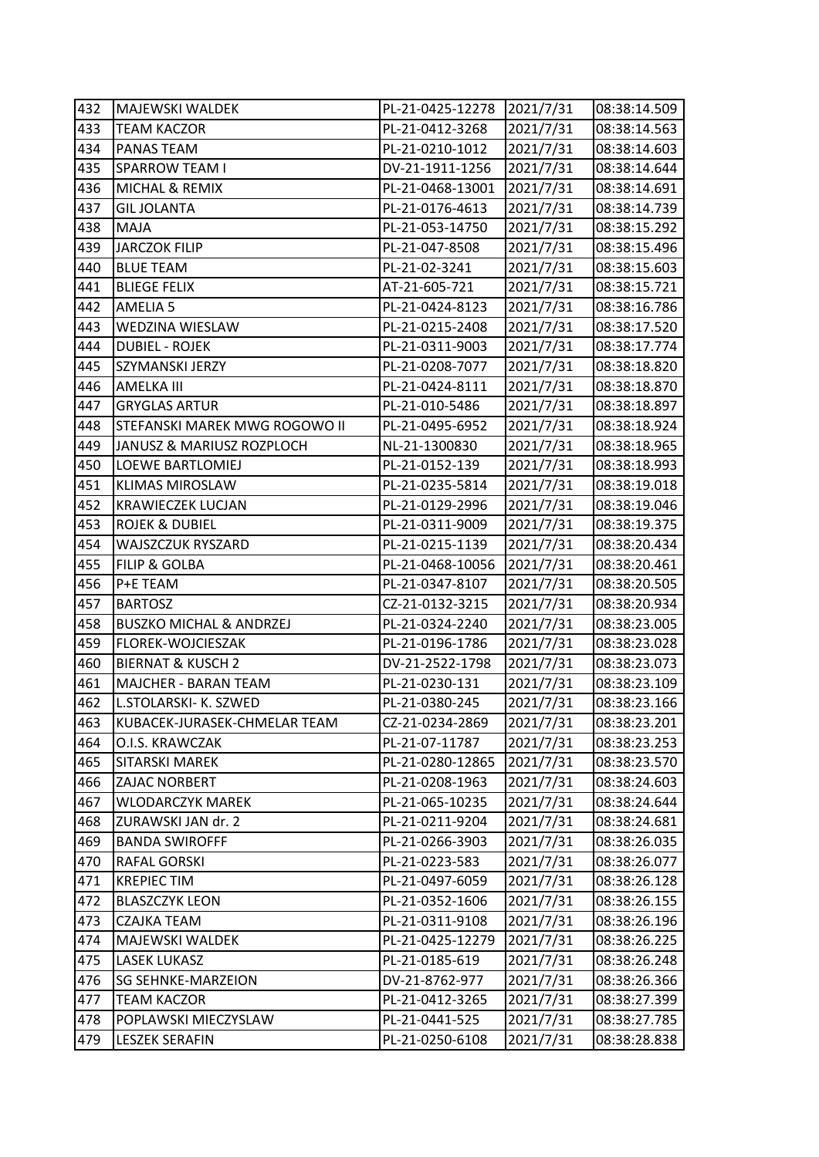| 432 | <b>MAJEWSKI WALDEK</b>             | PL-21-0425-12278 | 2021/7/31 | 08:38:14.509 |
|-----|------------------------------------|------------------|-----------|--------------|
| 433 | <b>TEAM KACZOR</b>                 | PL-21-0412-3268  | 2021/7/31 | 08:38:14.563 |
| 434 | PANAS TEAM                         | PL-21-0210-1012  | 2021/7/31 | 08:38:14.603 |
| 435 | <b>SPARROW TEAM I</b>              | DV-21-1911-1256  | 2021/7/31 | 08:38:14.644 |
| 436 | MICHAL & REMIX                     | PL-21-0468-13001 | 2021/7/31 | 08:38:14.691 |
| 437 | <b>GIL JOLANTA</b>                 | PL-21-0176-4613  | 2021/7/31 | 08:38:14.739 |
| 438 | MAJA                               | PL-21-053-14750  | 2021/7/31 | 08:38:15.292 |
| 439 | <b>JARCZOK FILIP</b>               | PL-21-047-8508   | 2021/7/31 | 08:38:15.496 |
| 440 | <b>BLUE TEAM</b>                   | PL-21-02-3241    | 2021/7/31 | 08:38:15.603 |
| 441 | <b>BLIEGE FELIX</b>                | AT-21-605-721    | 2021/7/31 | 08:38:15.721 |
| 442 | AMELIA 5                           | PL-21-0424-8123  | 2021/7/31 | 08:38:16.786 |
| 443 | WEDZINA WIESLAW                    | PL-21-0215-2408  | 2021/7/31 | 08:38:17.520 |
| 444 | <b>DUBIEL - ROJEK</b>              | PL-21-0311-9003  | 2021/7/31 | 08:38:17.774 |
| 445 | SZYMANSKI JERZY                    | PL-21-0208-7077  | 2021/7/31 | 08:38:18.820 |
| 446 | <b>AMELKA III</b>                  | PL-21-0424-8111  | 2021/7/31 | 08:38:18.870 |
| 447 | <b>GRYGLAS ARTUR</b>               | PL-21-010-5486   | 2021/7/31 | 08:38:18.897 |
| 448 | STEFANSKI MAREK MWG ROGOWO II      | PL-21-0495-6952  | 2021/7/31 | 08:38:18.924 |
| 449 | JANUSZ & MARIUSZ ROZPLOCH          | NL-21-1300830    | 2021/7/31 | 08:38:18.965 |
| 450 | LOEWE BARTLOMIEJ                   | PL-21-0152-139   | 2021/7/31 | 08:38:18.993 |
| 451 | <b>KLIMAS MIROSLAW</b>             | PL-21-0235-5814  | 2021/7/31 | 08:38:19.018 |
| 452 | <b>KRAWIECZEK LUCJAN</b>           | PL-21-0129-2996  | 2021/7/31 | 08:38:19.046 |
| 453 | <b>ROJEK &amp; DUBIEL</b>          | PL-21-0311-9009  | 2021/7/31 | 08:38:19.375 |
| 454 | WAJSZCZUK RYSZARD                  | PL-21-0215-1139  | 2021/7/31 | 08:38:20.434 |
| 455 | FILIP & GOLBA                      | PL-21-0468-10056 | 2021/7/31 | 08:38:20.461 |
| 456 | P+E TEAM                           | PL-21-0347-8107  | 2021/7/31 | 08:38:20.505 |
| 457 | <b>BARTOSZ</b>                     | CZ-21-0132-3215  | 2021/7/31 | 08:38:20.934 |
| 458 | <b>BUSZKO MICHAL &amp; ANDRZEJ</b> | PL-21-0324-2240  | 2021/7/31 | 08:38:23.005 |
| 459 | FLOREK-WOJCIESZAK                  | PL-21-0196-1786  | 2021/7/31 | 08:38:23.028 |
| 460 | <b>BIERNAT &amp; KUSCH 2</b>       | DV-21-2522-1798  | 2021/7/31 | 08:38:23.073 |
| 461 | MAJCHER - BARAN TEAM               | PL-21-0230-131   | 2021/7/31 | 08:38:23.109 |
| 462 | L.STOLARSKI- K. SZWED              | PL-21-0380-245   | 2021/7/31 | 08:38:23.166 |
| 463 | KUBACEK-JURASEK-CHMELAR TEAM       | CZ-21-0234-2869  | 2021/7/31 | 08:38:23.201 |
| 464 | O.I.S. KRAWCZAK                    | PL-21-07-11787   | 2021/7/31 | 08:38:23.253 |
| 465 | SITARSKI MAREK                     | PL-21-0280-12865 | 2021/7/31 | 08:38:23.570 |
| 466 | ZAJAC NORBERT                      | PL-21-0208-1963  | 2021/7/31 | 08:38:24.603 |
| 467 | WLODARCZYK MAREK                   | PL-21-065-10235  | 2021/7/31 | 08:38:24.644 |
| 468 | ZURAWSKI JAN dr. 2                 | PL-21-0211-9204  | 2021/7/31 | 08:38:24.681 |
| 469 | <b>BANDA SWIROFFF</b>              | PL-21-0266-3903  | 2021/7/31 | 08:38:26.035 |
| 470 | RAFAL GORSKI                       | PL-21-0223-583   | 2021/7/31 | 08:38:26.077 |
| 471 | <b>KREPIEC TIM</b>                 | PL-21-0497-6059  | 2021/7/31 | 08:38:26.128 |
| 472 | <b>BLASZCZYK LEON</b>              | PL-21-0352-1606  | 2021/7/31 | 08:38:26.155 |
| 473 | <b>CZAJKA TEAM</b>                 | PL-21-0311-9108  | 2021/7/31 | 08:38:26.196 |
| 474 | MAJEWSKI WALDEK                    | PL-21-0425-12279 | 2021/7/31 | 08:38:26.225 |
| 475 | LASEK LUKASZ                       | PL-21-0185-619   | 2021/7/31 | 08:38:26.248 |
| 476 | <b>SG SEHNKE-MARZEION</b>          | DV-21-8762-977   | 2021/7/31 | 08:38:26.366 |
| 477 | <b>TEAM KACZOR</b>                 | PL-21-0412-3265  | 2021/7/31 | 08:38:27.399 |
| 478 | POPLAWSKI MIECZYSLAW               | PL-21-0441-525   | 2021/7/31 | 08:38:27.785 |
| 479 | <b>LESZEK SERAFIN</b>              | PL-21-0250-6108  | 2021/7/31 | 08:38:28.838 |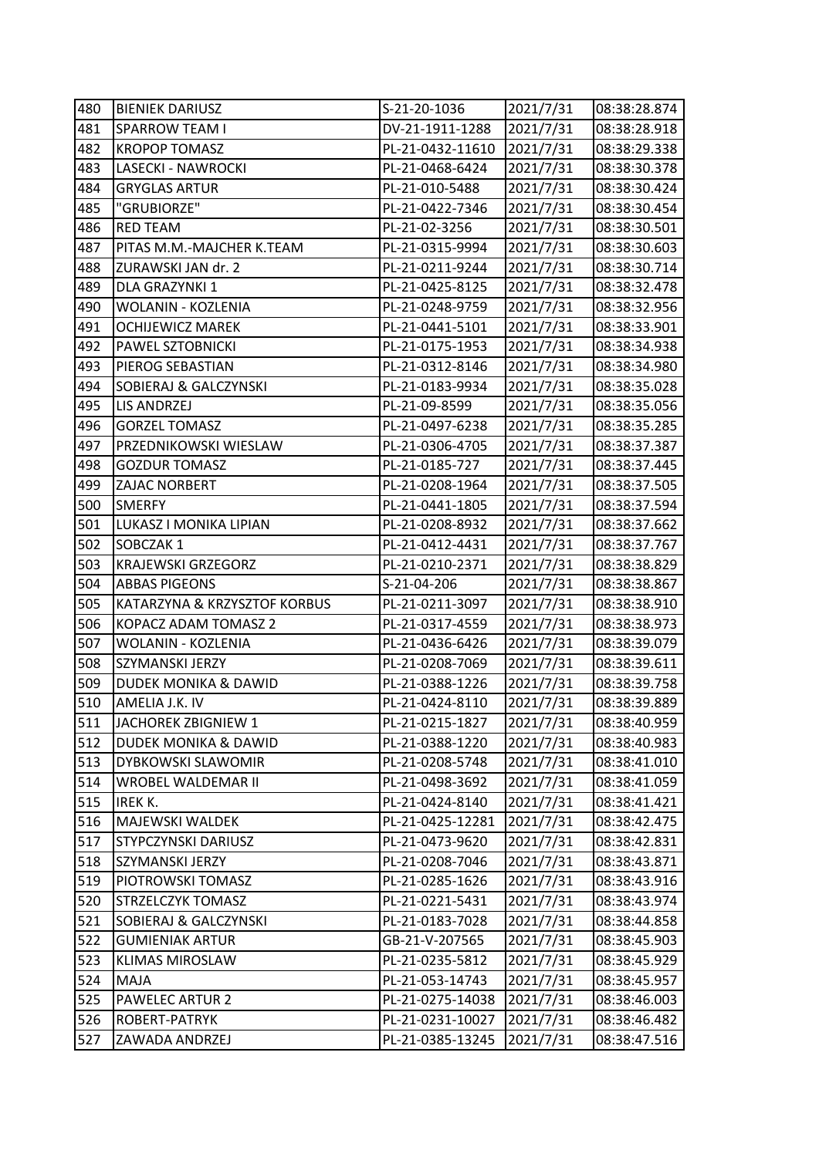| 480 | <b>BIENIEK DARIUSZ</b>          | S-21-20-1036     | 2021/7/31 | 08:38:28.874 |
|-----|---------------------------------|------------------|-----------|--------------|
| 481 | <b>SPARROW TEAM I</b>           | DV-21-1911-1288  | 2021/7/31 | 08:38:28.918 |
| 482 | <b>KROPOP TOMASZ</b>            | PL-21-0432-11610 | 2021/7/31 | 08:38:29.338 |
| 483 | LASECKI - NAWROCKI              | PL-21-0468-6424  | 2021/7/31 | 08:38:30.378 |
| 484 | <b>GRYGLAS ARTUR</b>            | PL-21-010-5488   | 2021/7/31 | 08:38:30.424 |
| 485 | "GRUBIORZE"                     | PL-21-0422-7346  | 2021/7/31 | 08:38:30.454 |
| 486 | <b>RED TEAM</b>                 | PL-21-02-3256    | 2021/7/31 | 08:38:30.501 |
| 487 | PITAS M.M.-MAJCHER K.TEAM       | PL-21-0315-9994  | 2021/7/31 | 08:38:30.603 |
| 488 | ZURAWSKI JAN dr. 2              | PL-21-0211-9244  | 2021/7/31 | 08:38:30.714 |
| 489 | DLA GRAZYNKI 1                  | PL-21-0425-8125  | 2021/7/31 | 08:38:32.478 |
| 490 | WOLANIN - KOZLENIA              | PL-21-0248-9759  | 2021/7/31 | 08:38:32.956 |
| 491 | <b>OCHIJEWICZ MAREK</b>         | PL-21-0441-5101  | 2021/7/31 | 08:38:33.901 |
| 492 | PAWEL SZTOBNICKI                | PL-21-0175-1953  | 2021/7/31 | 08:38:34.938 |
| 493 | PIEROG SEBASTIAN                | PL-21-0312-8146  | 2021/7/31 | 08:38:34.980 |
| 494 | SOBIERAJ & GALCZYNSKI           | PL-21-0183-9934  | 2021/7/31 | 08:38:35.028 |
| 495 | LIS ANDRZEJ                     | PL-21-09-8599    | 2021/7/31 | 08:38:35.056 |
| 496 | <b>GORZEL TOMASZ</b>            | PL-21-0497-6238  | 2021/7/31 | 08:38:35.285 |
| 497 | PRZEDNIKOWSKI WIESLAW           | PL-21-0306-4705  | 2021/7/31 | 08:38:37.387 |
| 498 | <b>GOZDUR TOMASZ</b>            | PL-21-0185-727   | 2021/7/31 | 08:38:37.445 |
| 499 | ZAJAC NORBERT                   | PL-21-0208-1964  | 2021/7/31 | 08:38:37.505 |
| 500 | <b>SMERFY</b>                   | PL-21-0441-1805  | 2021/7/31 | 08:38:37.594 |
| 501 | LUKASZ I MONIKA LIPIAN          | PL-21-0208-8932  | 2021/7/31 | 08:38:37.662 |
| 502 | SOBCZAK 1                       | PL-21-0412-4431  | 2021/7/31 | 08:38:37.767 |
| 503 | <b>KRAJEWSKI GRZEGORZ</b>       | PL-21-0210-2371  | 2021/7/31 | 08:38:38.829 |
| 504 | <b>ABBAS PIGEONS</b>            | S-21-04-206      | 2021/7/31 |              |
|     |                                 |                  |           | 08:38:38.867 |
| 505 | KATARZYNA & KRZYSZTOF KORBUS    | PL-21-0211-3097  | 2021/7/31 | 08:38:38.910 |
| 506 | KOPACZ ADAM TOMASZ 2            | PL-21-0317-4559  | 2021/7/31 | 08:38:38.973 |
| 507 | WOLANIN - KOZLENIA              | PL-21-0436-6426  | 2021/7/31 | 08:38:39.079 |
| 508 | SZYMANSKI JERZY                 | PL-21-0208-7069  | 2021/7/31 | 08:38:39.611 |
| 509 | DUDEK MONIKA & DAWID            | PL-21-0388-1226  | 2021/7/31 | 08:38:39.758 |
| 510 | AMELIA J.K. IV                  | PL-21-0424-8110  | 2021/7/31 | 08:38:39.889 |
| 511 | JACHOREK ZBIGNIEW 1             | PL-21-0215-1827  | 2021/7/31 | 08:38:40.959 |
| 512 | <b>DUDEK MONIKA &amp; DAWID</b> | PL-21-0388-1220  | 2021/7/31 | 08:38:40.983 |
| 513 | DYBKOWSKI SLAWOMIR              | PL-21-0208-5748  | 2021/7/31 | 08:38:41.010 |
| 514 | WROBEL WALDEMAR II              | PL-21-0498-3692  | 2021/7/31 | 08:38:41.059 |
| 515 | IREK K.                         | PL-21-0424-8140  | 2021/7/31 | 08:38:41.421 |
| 516 | MAJEWSKI WALDEK                 | PL-21-0425-12281 | 2021/7/31 | 08:38:42.475 |
| 517 | STYPCZYNSKI DARIUSZ             | PL-21-0473-9620  | 2021/7/31 | 08:38:42.831 |
| 518 | SZYMANSKI JERZY                 | PL-21-0208-7046  | 2021/7/31 | 08:38:43.871 |
| 519 | PIOTROWSKI TOMASZ               | PL-21-0285-1626  | 2021/7/31 | 08:38:43.916 |
| 520 | STRZELCZYK TOMASZ               | PL-21-0221-5431  | 2021/7/31 | 08:38:43.974 |
| 521 | SOBIERAJ & GALCZYNSKI           | PL-21-0183-7028  | 2021/7/31 | 08:38:44.858 |
| 522 | <b>GUMIENIAK ARTUR</b>          | GB-21-V-207565   | 2021/7/31 | 08:38:45.903 |
| 523 | <b>KLIMAS MIROSLAW</b>          | PL-21-0235-5812  | 2021/7/31 | 08:38:45.929 |
| 524 | <b>MAJA</b>                     | PL-21-053-14743  | 2021/7/31 | 08:38:45.957 |
| 525 | <b>PAWELEC ARTUR 2</b>          | PL-21-0275-14038 | 2021/7/31 | 08:38:46.003 |
| 526 | ROBERT-PATRYK                   | PL-21-0231-10027 | 2021/7/31 | 08:38:46.482 |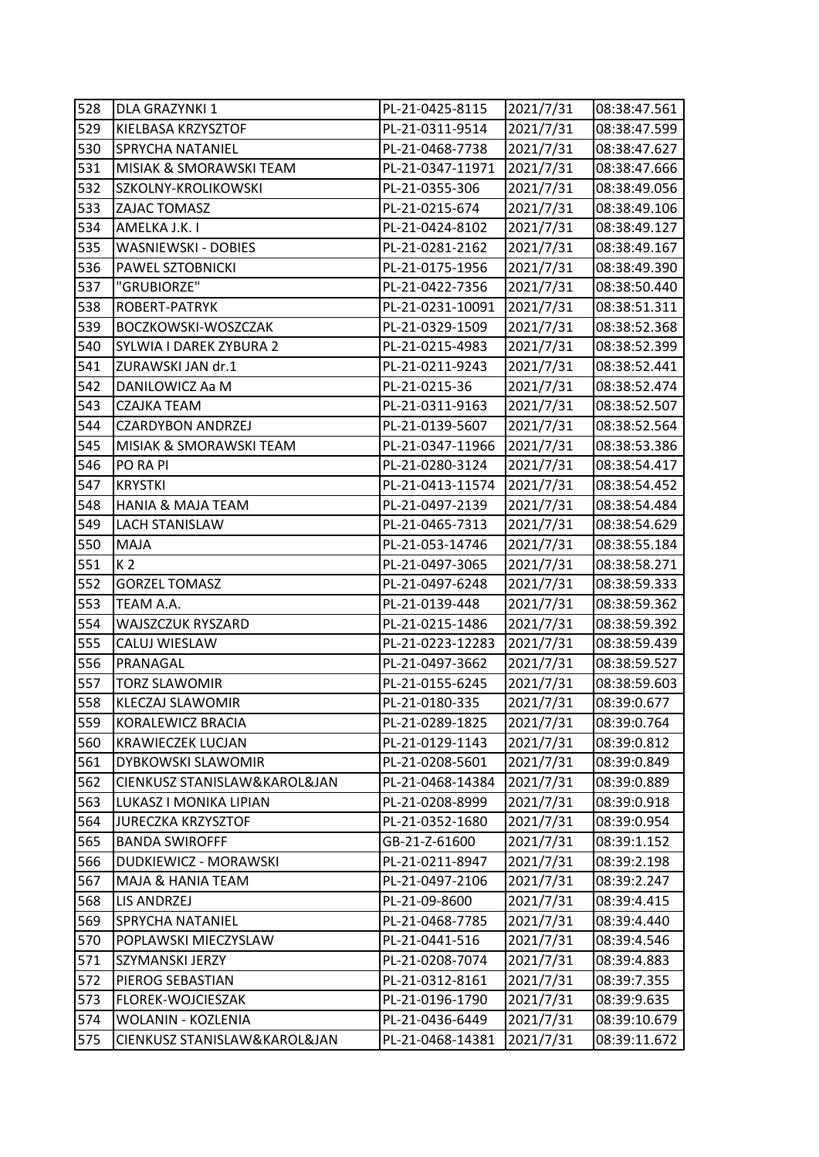| 528 | DLA GRAZYNKI 1               | PL-21-0425-8115  | 2021/7/31 | 08:38:47.561 |
|-----|------------------------------|------------------|-----------|--------------|
| 529 | KIELBASA KRZYSZTOF           | PL-21-0311-9514  | 2021/7/31 | 08:38:47.599 |
| 530 | <b>SPRYCHA NATANIEL</b>      | PL-21-0468-7738  | 2021/7/31 | 08:38:47.627 |
| 531 | MISIAK & SMORAWSKI TEAM      | PL-21-0347-11971 | 2021/7/31 | 08:38:47.666 |
| 532 | SZKOLNY-KROLIKOWSKI          | PL-21-0355-306   | 2021/7/31 | 08:38:49.056 |
| 533 | ZAJAC TOMASZ                 | PL-21-0215-674   | 2021/7/31 | 08:38:49.106 |
| 534 | AMELKA J.K. I                | PL-21-0424-8102  | 2021/7/31 | 08:38:49.127 |
| 535 | WASNIEWSKI - DOBIES          | PL-21-0281-2162  | 2021/7/31 | 08:38:49.167 |
| 536 | PAWEL SZTOBNICKI             | PL-21-0175-1956  | 2021/7/31 | 08:38:49.390 |
| 537 | "GRUBIORZE"                  | PL-21-0422-7356  | 2021/7/31 | 08:38:50.440 |
| 538 | ROBERT-PATRYK                | PL-21-0231-10091 | 2021/7/31 | 08:38:51.311 |
| 539 | BOCZKOWSKI-WOSZCZAK          | PL-21-0329-1509  | 2021/7/31 | 08:38:52.368 |
| 540 | SYLWIA I DAREK ZYBURA 2      | PL-21-0215-4983  | 2021/7/31 | 08:38:52.399 |
| 541 | ZURAWSKI JAN dr.1            | PL-21-0211-9243  | 2021/7/31 | 08:38:52.441 |
| 542 | DANILOWICZ Aa M              | PL-21-0215-36    | 2021/7/31 | 08:38:52.474 |
| 543 | <b>CZAJKA TEAM</b>           | PL-21-0311-9163  | 2021/7/31 | 08:38:52.507 |
| 544 | <b>CZARDYBON ANDRZEJ</b>     | PL-21-0139-5607  | 2021/7/31 | 08:38:52.564 |
| 545 | MISIAK & SMORAWSKI TEAM      | PL-21-0347-11966 | 2021/7/31 | 08:38:53.386 |
| 546 | PO RA PI                     | PL-21-0280-3124  | 2021/7/31 | 08:38:54.417 |
| 547 | <b>KRYSTKI</b>               | PL-21-0413-11574 | 2021/7/31 | 08:38:54.452 |
| 548 | <b>HANIA &amp; MAJA TEAM</b> | PL-21-0497-2139  | 2021/7/31 | 08:38:54.484 |
| 549 | <b>LACH STANISLAW</b>        | PL-21-0465-7313  | 2021/7/31 | 08:38:54.629 |
| 550 | <b>MAJA</b>                  | PL-21-053-14746  | 2021/7/31 | 08:38:55.184 |
| 551 | K <sub>2</sub>               | PL-21-0497-3065  | 2021/7/31 | 08:38:58.271 |
| 552 | <b>GORZEL TOMASZ</b>         | PL-21-0497-6248  | 2021/7/31 | 08:38:59.333 |
| 553 | TEAM A.A.                    | PL-21-0139-448   | 2021/7/31 | 08:38:59.362 |
| 554 | WAJSZCZUK RYSZARD            | PL-21-0215-1486  | 2021/7/31 | 08:38:59.392 |
| 555 | CALUJ WIESLAW                | PL-21-0223-12283 | 2021/7/31 | 08:38:59.439 |
| 556 | PRANAGAL                     | PL-21-0497-3662  | 2021/7/31 | 08:38:59.527 |
| 557 | <b>TORZ SLAWOMIR</b>         | PL-21-0155-6245  | 2021/7/31 | 08:38:59.603 |
| 558 | KLECZAJ SLAWOMIR             | PL-21-0180-335   | 2021/7/31 | 08:39:0.677  |
| 559 | KORALEWICZ BRACIA            | PL-21-0289-1825  | 2021/7/31 | 08:39:0.764  |
| 560 | <b>KRAWIECZEK LUCJAN</b>     | PL-21-0129-1143  | 2021/7/31 | 08:39:0.812  |
| 561 | DYBKOWSKI SLAWOMIR           | PL-21-0208-5601  | 2021/7/31 | 08:39:0.849  |
| 562 | CIENKUSZ STANISLAW&KAROL&JAN | PL-21-0468-14384 | 2021/7/31 | 08:39:0.889  |
| 563 | LUKASZ I MONIKA LIPIAN       | PL-21-0208-8999  | 2021/7/31 | 08:39:0.918  |
| 564 | <b>JURECZKA KRZYSZTOF</b>    | PL-21-0352-1680  | 2021/7/31 | 08:39:0.954  |
| 565 | <b>BANDA SWIROFFF</b>        | GB-21-Z-61600    | 2021/7/31 | 08:39:1.152  |
| 566 | <b>DUDKIEWICZ - MORAWSKI</b> | PL-21-0211-8947  | 2021/7/31 | 08:39:2.198  |
| 567 | MAJA & HANIA TEAM            | PL-21-0497-2106  | 2021/7/31 | 08:39:2.247  |
| 568 | LIS ANDRZEJ                  | PL-21-09-8600    | 2021/7/31 | 08:39:4.415  |
| 569 | <b>SPRYCHA NATANIEL</b>      | PL-21-0468-7785  | 2021/7/31 | 08:39:4.440  |
| 570 | POPLAWSKI MIECZYSLAW         | PL-21-0441-516   | 2021/7/31 | 08:39:4.546  |
| 571 | SZYMANSKI JERZY              | PL-21-0208-7074  | 2021/7/31 | 08:39:4.883  |
| 572 | PIEROG SEBASTIAN             | PL-21-0312-8161  | 2021/7/31 | 08:39:7.355  |
| 573 | FLOREK-WOJCIESZAK            | PL-21-0196-1790  | 2021/7/31 | 08:39:9.635  |
| 574 | WOLANIN - KOZLENIA           | PL-21-0436-6449  | 2021/7/31 | 08:39:10.679 |
| 575 | CIENKUSZ STANISLAW&KAROL&JAN | PL-21-0468-14381 | 2021/7/31 | 08:39:11.672 |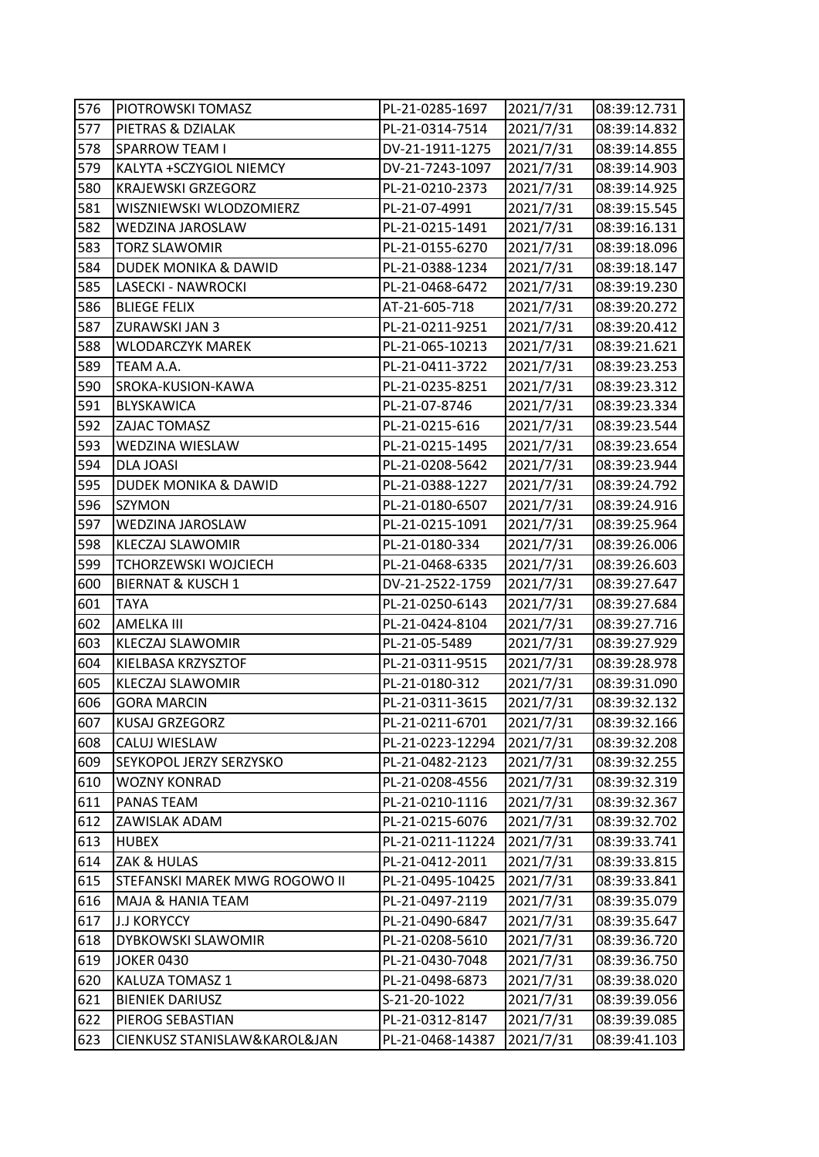| 576 | PIOTROWSKI TOMASZ               | PL-21-0285-1697  | 2021/7/31 | 08:39:12.731 |
|-----|---------------------------------|------------------|-----------|--------------|
| 577 | PIETRAS & DZIALAK               | PL-21-0314-7514  | 2021/7/31 | 08:39:14.832 |
| 578 | <b>SPARROW TEAM I</b>           | DV-21-1911-1275  | 2021/7/31 | 08:39:14.855 |
| 579 | KALYTA +SCZYGIOL NIEMCY         | DV-21-7243-1097  | 2021/7/31 | 08:39:14.903 |
| 580 | <b>KRAJEWSKI GRZEGORZ</b>       | PL-21-0210-2373  | 2021/7/31 | 08:39:14.925 |
| 581 | WISZNIEWSKI WLODZOMIERZ         | PL-21-07-4991    | 2021/7/31 | 08:39:15.545 |
| 582 | WEDZINA JAROSLAW                | PL-21-0215-1491  | 2021/7/31 | 08:39:16.131 |
| 583 | <b>TORZ SLAWOMIR</b>            | PL-21-0155-6270  | 2021/7/31 | 08:39:18.096 |
| 584 | <b>DUDEK MONIKA &amp; DAWID</b> | PL-21-0388-1234  | 2021/7/31 | 08:39:18.147 |
| 585 | LASECKI - NAWROCKI              | PL-21-0468-6472  | 2021/7/31 | 08:39:19.230 |
| 586 | <b>BLIEGE FELIX</b>             | AT-21-605-718    | 2021/7/31 | 08:39:20.272 |
| 587 | ZURAWSKI JAN 3                  | PL-21-0211-9251  | 2021/7/31 | 08:39:20.412 |
| 588 | <b>WLODARCZYK MAREK</b>         | PL-21-065-10213  | 2021/7/31 | 08:39:21.621 |
| 589 | TEAM A.A.                       | PL-21-0411-3722  | 2021/7/31 | 08:39:23.253 |
| 590 | SROKA-KUSION-KAWA               | PL-21-0235-8251  | 2021/7/31 | 08:39:23.312 |
| 591 | <b>BLYSKAWICA</b>               | PL-21-07-8746    | 2021/7/31 | 08:39:23.334 |
| 592 | ZAJAC TOMASZ                    | PL-21-0215-616   | 2021/7/31 | 08:39:23.544 |
| 593 | WEDZINA WIESLAW                 | PL-21-0215-1495  | 2021/7/31 | 08:39:23.654 |
| 594 | <b>DLA JOASI</b>                | PL-21-0208-5642  | 2021/7/31 | 08:39:23.944 |
| 595 | DUDEK MONIKA & DAWID            | PL-21-0388-1227  | 2021/7/31 | 08:39:24.792 |
| 596 | <b>SZYMON</b>                   | PL-21-0180-6507  | 2021/7/31 | 08:39:24.916 |
| 597 | WEDZINA JAROSLAW                | PL-21-0215-1091  | 2021/7/31 | 08:39:25.964 |
| 598 | KLECZAJ SLAWOMIR                | PL-21-0180-334   | 2021/7/31 | 08:39:26.006 |
| 599 | <b>TCHORZEWSKI WOJCIECH</b>     | PL-21-0468-6335  | 2021/7/31 | 08:39:26.603 |
| 600 | <b>BIERNAT &amp; KUSCH 1</b>    | DV-21-2522-1759  | 2021/7/31 | 08:39:27.647 |
| 601 | <b>TAYA</b>                     | PL-21-0250-6143  | 2021/7/31 | 08:39:27.684 |
| 602 | AMELKA III                      | PL-21-0424-8104  | 2021/7/31 | 08:39:27.716 |
| 603 | KLECZAJ SLAWOMIR                | PL-21-05-5489    | 2021/7/31 | 08:39:27.929 |
| 604 | KIELBASA KRZYSZTOF              | PL-21-0311-9515  | 2021/7/31 | 08:39:28.978 |
| 605 | KLECZAJ SLAWOMIR                | PL-21-0180-312   | 2021/7/31 | 08:39:31.090 |
| 606 | GORA MARCIN                     | PL-21-0311-3615  | 2021/7/31 | 08:39:32.132 |
| 607 | <b>KUSAJ GRZEGORZ</b>           | PL-21-0211-6701  | 2021/7/31 | 08:39:32.166 |
| 608 | CALUJ WIESLAW                   | PL-21-0223-12294 | 2021/7/31 | 08:39:32.208 |
| 609 | SEYKOPOL JERZY SERZYSKO         | PL-21-0482-2123  | 2021/7/31 | 08:39:32.255 |
| 610 | <b>WOZNY KONRAD</b>             | PL-21-0208-4556  | 2021/7/31 | 08:39:32.319 |
| 611 | PANAS TEAM                      | PL-21-0210-1116  | 2021/7/31 | 08:39:32.367 |
| 612 | ZAWISLAK ADAM                   | PL-21-0215-6076  | 2021/7/31 | 08:39:32.702 |
| 613 | HUBEX                           | PL-21-0211-11224 | 2021/7/31 | 08:39:33.741 |
| 614 | ZAK & HULAS                     | PL-21-0412-2011  | 2021/7/31 | 08:39:33.815 |
| 615 | STEFANSKI MAREK MWG ROGOWO II   | PL-21-0495-10425 | 2021/7/31 | 08:39:33.841 |
| 616 | MAJA & HANIA TEAM               | PL-21-0497-2119  | 2021/7/31 | 08:39:35.079 |
| 617 | <b>J.J KORYCCY</b>              | PL-21-0490-6847  | 2021/7/31 | 08:39:35.647 |
| 618 | DYBKOWSKI SLAWOMIR              | PL-21-0208-5610  | 2021/7/31 | 08:39:36.720 |
| 619 | <b>JOKER 0430</b>               | PL-21-0430-7048  | 2021/7/31 | 08:39:36.750 |
| 620 | KALUZA TOMASZ 1                 | PL-21-0498-6873  | 2021/7/31 | 08:39:38.020 |
| 621 | <b>BIENIEK DARIUSZ</b>          | S-21-20-1022     | 2021/7/31 | 08:39:39.056 |
| 622 | PIEROG SEBASTIAN                | PL-21-0312-8147  | 2021/7/31 | 08:39:39.085 |
| 623 | CIENKUSZ STANISLAW&KAROL&JAN    | PL-21-0468-14387 | 2021/7/31 | 08:39:41.103 |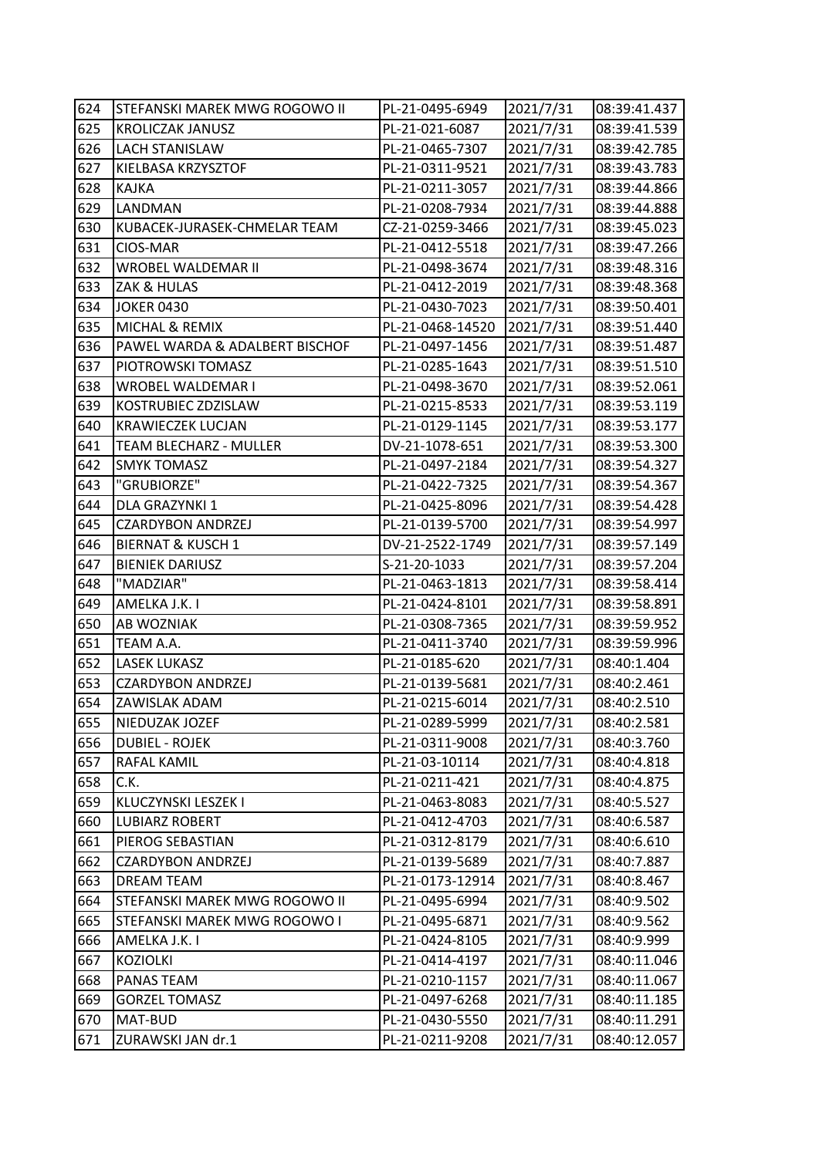| 624 | STEFANSKI MAREK MWG ROGOWO II  | PL-21-0495-6949  | 2021/7/31 | 08:39:41.437 |
|-----|--------------------------------|------------------|-----------|--------------|
| 625 | <b>KROLICZAK JANUSZ</b>        | PL-21-021-6087   | 2021/7/31 | 08:39:41.539 |
| 626 | LACH STANISLAW                 | PL-21-0465-7307  | 2021/7/31 | 08:39:42.785 |
| 627 | KIELBASA KRZYSZTOF             | PL-21-0311-9521  | 2021/7/31 | 08:39:43.783 |
| 628 | <b>KAJKA</b>                   | PL-21-0211-3057  | 2021/7/31 | 08:39:44.866 |
| 629 | LANDMAN                        | PL-21-0208-7934  | 2021/7/31 | 08:39:44.888 |
| 630 | KUBACEK-JURASEK-CHMELAR TEAM   | CZ-21-0259-3466  | 2021/7/31 | 08:39:45.023 |
| 631 | CIOS-MAR                       | PL-21-0412-5518  | 2021/7/31 | 08:39:47.266 |
| 632 | <b>WROBEL WALDEMAR II</b>      | PL-21-0498-3674  | 2021/7/31 | 08:39:48.316 |
| 633 | ZAK & HULAS                    | PL-21-0412-2019  | 2021/7/31 | 08:39:48.368 |
| 634 | <b>JOKER 0430</b>              | PL-21-0430-7023  | 2021/7/31 | 08:39:50.401 |
| 635 | MICHAL & REMIX                 | PL-21-0468-14520 | 2021/7/31 | 08:39:51.440 |
| 636 | PAWEL WARDA & ADALBERT BISCHOF | PL-21-0497-1456  | 2021/7/31 | 08:39:51.487 |
| 637 | PIOTROWSKI TOMASZ              | PL-21-0285-1643  | 2021/7/31 | 08:39:51.510 |
| 638 | WROBEL WALDEMAR I              | PL-21-0498-3670  | 2021/7/31 | 08:39:52.061 |
| 639 | KOSTRUBIEC ZDZISLAW            | PL-21-0215-8533  | 2021/7/31 | 08:39:53.119 |
| 640 | KRAWIECZEK LUCJAN              | PL-21-0129-1145  | 2021/7/31 | 08:39:53.177 |
| 641 | <b>TEAM BLECHARZ - MULLER</b>  | DV-21-1078-651   | 2021/7/31 | 08:39:53.300 |
| 642 | <b>SMYK TOMASZ</b>             | PL-21-0497-2184  | 2021/7/31 | 08:39:54.327 |
| 643 | "GRUBIORZE"                    | PL-21-0422-7325  | 2021/7/31 | 08:39:54.367 |
| 644 | DLA GRAZYNKI 1                 | PL-21-0425-8096  | 2021/7/31 | 08:39:54.428 |
| 645 | <b>CZARDYBON ANDRZEJ</b>       | PL-21-0139-5700  | 2021/7/31 | 08:39:54.997 |
| 646 | <b>BIERNAT &amp; KUSCH 1</b>   | DV-21-2522-1749  | 2021/7/31 | 08:39:57.149 |
| 647 | <b>BIENIEK DARIUSZ</b>         | S-21-20-1033     | 2021/7/31 | 08:39:57.204 |
| 648 | "MADZIAR"                      | PL-21-0463-1813  | 2021/7/31 | 08:39:58.414 |
| 649 | AMELKA J.K. I                  | PL-21-0424-8101  | 2021/7/31 | 08:39:58.891 |
| 650 | AB WOZNIAK                     | PL-21-0308-7365  | 2021/7/31 | 08:39:59.952 |
| 651 | TEAM A.A.                      | PL-21-0411-3740  | 2021/7/31 | 08:39:59.996 |
| 652 | LASEK LUKASZ                   | PL-21-0185-620   | 2021/7/31 | 08:40:1.404  |
| 653 | <b>CZARDYBON ANDRZEJ</b>       | PL-21-0139-5681  | 2021/7/31 | 08:40:2.461  |
| 654 | ZAWISLAK ADAM                  | PL-21-0215-6014  | 2021/7/31 | 08:40:2.510  |
| 655 | NIEDUZAK JOZEF                 | PL-21-0289-5999  | 2021/7/31 | 08:40:2.581  |
| 656 | <b>DUBIEL - ROJEK</b>          | PL-21-0311-9008  | 2021/7/31 | 08:40:3.760  |
| 657 | RAFAL KAMIL                    | PL-21-03-10114   | 2021/7/31 | 08:40:4.818  |
| 658 | C.K.                           | PL-21-0211-421   | 2021/7/31 | 08:40:4.875  |
| 659 | KLUCZYNSKI LESZEK I            | PL-21-0463-8083  | 2021/7/31 | 08:40:5.527  |
| 660 | <b>LUBIARZ ROBERT</b>          | PL-21-0412-4703  | 2021/7/31 | 08:40:6.587  |
| 661 | PIEROG SEBASTIAN               | PL-21-0312-8179  | 2021/7/31 | 08:40:6.610  |
| 662 | <b>CZARDYBON ANDRZEJ</b>       | PL-21-0139-5689  | 2021/7/31 | 08:40:7.887  |
| 663 | DREAM TEAM                     | PL-21-0173-12914 | 2021/7/31 | 08:40:8.467  |
| 664 | STEFANSKI MAREK MWG ROGOWO II  | PL-21-0495-6994  | 2021/7/31 | 08:40:9.502  |
| 665 | STEFANSKI MAREK MWG ROGOWO I   | PL-21-0495-6871  | 2021/7/31 | 08:40:9.562  |
| 666 | AMELKA J.K. I                  | PL-21-0424-8105  | 2021/7/31 | 08:40:9.999  |
| 667 | <b>KOZIOLKI</b>                | PL-21-0414-4197  | 2021/7/31 | 08:40:11.046 |
| 668 | PANAS TEAM                     | PL-21-0210-1157  | 2021/7/31 | 08:40:11.067 |
| 669 | <b>GORZEL TOMASZ</b>           | PL-21-0497-6268  | 2021/7/31 | 08:40:11.185 |
| 670 | MAT-BUD                        | PL-21-0430-5550  | 2021/7/31 | 08:40:11.291 |
| 671 | ZURAWSKI JAN dr.1              | PL-21-0211-9208  | 2021/7/31 | 08:40:12.057 |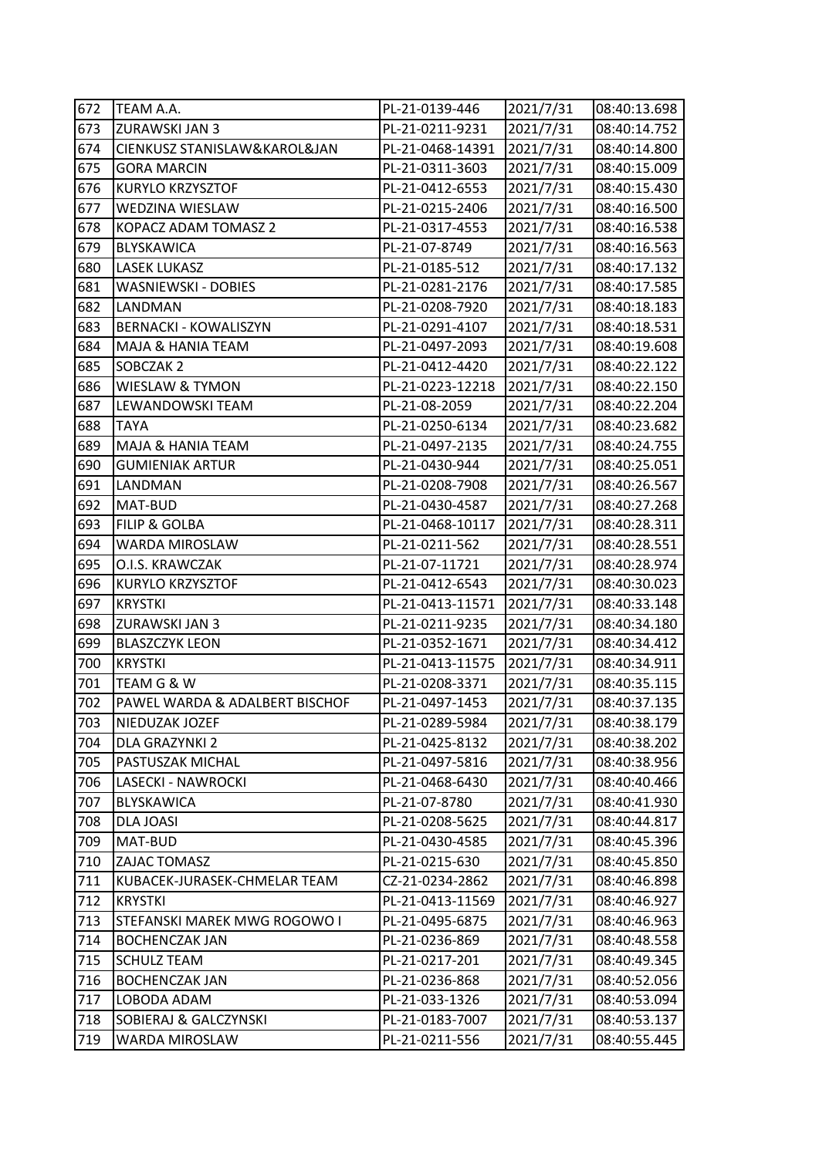| 672 | TEAM A.A.                      | PL-21-0139-446   | 2021/7/31 | 08:40:13.698 |
|-----|--------------------------------|------------------|-----------|--------------|
| 673 | ZURAWSKI JAN 3                 | PL-21-0211-9231  | 2021/7/31 | 08:40:14.752 |
| 674 | CIENKUSZ STANISLAW&KAROL&JAN   | PL-21-0468-14391 | 2021/7/31 | 08:40:14.800 |
| 675 | <b>GORA MARCIN</b>             | PL-21-0311-3603  | 2021/7/31 | 08:40:15.009 |
| 676 | KURYLO KRZYSZTOF               | PL-21-0412-6553  | 2021/7/31 | 08:40:15.430 |
| 677 | WEDZINA WIESLAW                | PL-21-0215-2406  | 2021/7/31 | 08:40:16.500 |
| 678 | KOPACZ ADAM TOMASZ 2           | PL-21-0317-4553  | 2021/7/31 | 08:40:16.538 |
| 679 | <b>BLYSKAWICA</b>              | PL-21-07-8749    | 2021/7/31 | 08:40:16.563 |
| 680 | <b>LASEK LUKASZ</b>            | PL-21-0185-512   | 2021/7/31 | 08:40:17.132 |
| 681 | WASNIEWSKI - DOBIES            | PL-21-0281-2176  | 2021/7/31 | 08:40:17.585 |
| 682 | LANDMAN                        | PL-21-0208-7920  | 2021/7/31 | 08:40:18.183 |
| 683 | <b>BERNACKI - KOWALISZYN</b>   | PL-21-0291-4107  | 2021/7/31 | 08:40:18.531 |
| 684 | MAJA & HANIA TEAM              | PL-21-0497-2093  | 2021/7/31 | 08:40:19.608 |
| 685 | SOBCZAK 2                      | PL-21-0412-4420  | 2021/7/31 | 08:40:22.122 |
| 686 | WIESLAW & TYMON                | PL-21-0223-12218 | 2021/7/31 | 08:40:22.150 |
| 687 | LEWANDOWSKI TEAM               | PL-21-08-2059    | 2021/7/31 | 08:40:22.204 |
| 688 | <b>TAYA</b>                    | PL-21-0250-6134  | 2021/7/31 | 08:40:23.682 |
| 689 | MAJA & HANIA TEAM              | PL-21-0497-2135  | 2021/7/31 | 08:40:24.755 |
| 690 | <b>GUMIENIAK ARTUR</b>         | PL-21-0430-944   | 2021/7/31 | 08:40:25.051 |
| 691 | LANDMAN                        | PL-21-0208-7908  | 2021/7/31 | 08:40:26.567 |
| 692 | MAT-BUD                        | PL-21-0430-4587  | 2021/7/31 | 08:40:27.268 |
| 693 | <b>FILIP &amp; GOLBA</b>       | PL-21-0468-10117 | 2021/7/31 | 08:40:28.311 |
| 694 | WARDA MIROSLAW                 | PL-21-0211-562   | 2021/7/31 | 08:40:28.551 |
| 695 | O.I.S. KRAWCZAK                | PL-21-07-11721   | 2021/7/31 | 08:40:28.974 |
| 696 | KURYLO KRZYSZTOF               | PL-21-0412-6543  | 2021/7/31 | 08:40:30.023 |
| 697 | <b>KRYSTKI</b>                 | PL-21-0413-11571 | 2021/7/31 | 08:40:33.148 |
| 698 | ZURAWSKI JAN 3                 | PL-21-0211-9235  | 2021/7/31 | 08:40:34.180 |
| 699 | <b>BLASZCZYK LEON</b>          | PL-21-0352-1671  | 2021/7/31 | 08:40:34.412 |
| 700 | <b>KRYSTKI</b>                 | PL-21-0413-11575 | 2021/7/31 | 08:40:34.911 |
| 701 | TEAM G & W                     | PL-21-0208-3371  | 2021/7/31 | 08:40:35.115 |
| 702 | PAWEL WARDA & ADALBERT BISCHOF | PL-21-0497-1453  | 2021/7/31 | 08:40:37.135 |
| 703 | NIEDUZAK JOZEF                 | PL-21-0289-5984  | 2021/7/31 | 08:40:38.179 |
| 704 | DLA GRAZYNKI 2                 | PL-21-0425-8132  | 2021/7/31 | 08:40:38.202 |
| 705 | PASTUSZAK MICHAL               | PL-21-0497-5816  | 2021/7/31 | 08:40:38.956 |
| 706 | LASECKI - NAWROCKI             | PL-21-0468-6430  | 2021/7/31 | 08:40:40.466 |
| 707 | BLYSKAWICA                     | PL-21-07-8780    | 2021/7/31 | 08:40:41.930 |
| 708 | DLA JOASI                      | PL-21-0208-5625  | 2021/7/31 | 08:40:44.817 |
| 709 | MAT-BUD                        | PL-21-0430-4585  | 2021/7/31 | 08:40:45.396 |
| 710 | ZAJAC TOMASZ                   | PL-21-0215-630   | 2021/7/31 | 08:40:45.850 |
| 711 | KUBACEK-JURASEK-CHMELAR TEAM   | CZ-21-0234-2862  | 2021/7/31 | 08:40:46.898 |
| 712 | KRYSTKI                        | PL-21-0413-11569 | 2021/7/31 | 08:40:46.927 |
| 713 | STEFANSKI MAREK MWG ROGOWO I   | PL-21-0495-6875  | 2021/7/31 | 08:40:46.963 |
| 714 | <b>BOCHENCZAK JAN</b>          | PL-21-0236-869   | 2021/7/31 | 08:40:48.558 |
| 715 | <b>SCHULZ TEAM</b>             | PL-21-0217-201   | 2021/7/31 | 08:40:49.345 |
| 716 | <b>BOCHENCZAK JAN</b>          | PL-21-0236-868   | 2021/7/31 | 08:40:52.056 |
| 717 | LOBODA ADAM                    | PL-21-033-1326   | 2021/7/31 | 08:40:53.094 |
| 718 | SOBIERAJ & GALCZYNSKI          | PL-21-0183-7007  | 2021/7/31 | 08:40:53.137 |
| 719 | WARDA MIROSLAW                 | PL-21-0211-556   | 2021/7/31 | 08:40:55.445 |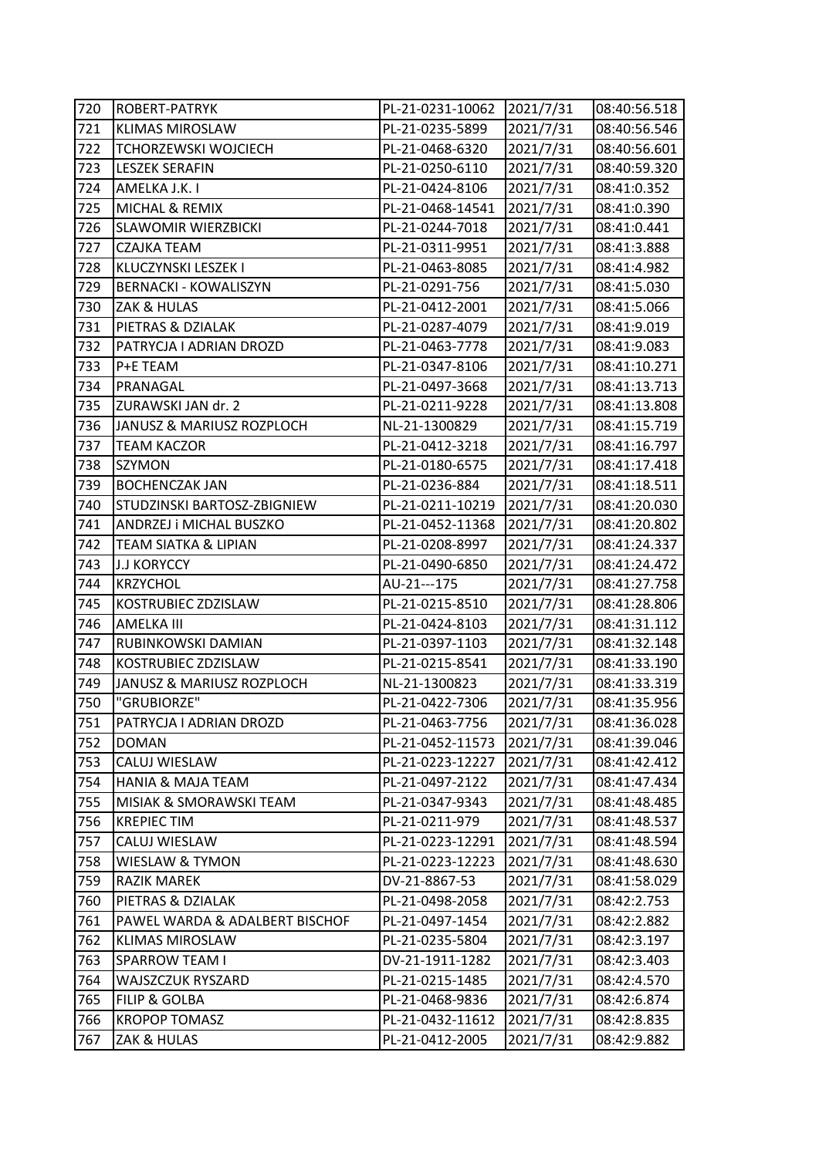| 720 | ROBERT-PATRYK                  | PL-21-0231-10062 | 2021/7/31 | 08:40:56.518 |
|-----|--------------------------------|------------------|-----------|--------------|
| 721 | <b>KLIMAS MIROSLAW</b>         | PL-21-0235-5899  | 2021/7/31 | 08:40:56.546 |
| 722 | TCHORZEWSKI WOJCIECH           | PL-21-0468-6320  | 2021/7/31 | 08:40:56.601 |
| 723 | <b>LESZEK SERAFIN</b>          | PL-21-0250-6110  | 2021/7/31 | 08:40:59.320 |
| 724 | AMELKA J.K. I                  | PL-21-0424-8106  | 2021/7/31 | 08:41:0.352  |
| 725 | MICHAL & REMIX                 | PL-21-0468-14541 | 2021/7/31 | 08:41:0.390  |
| 726 | <b>SLAWOMIR WIERZBICKI</b>     | PL-21-0244-7018  | 2021/7/31 | 08:41:0.441  |
| 727 | CZAJKA TEAM                    | PL-21-0311-9951  | 2021/7/31 | 08:41:3.888  |
| 728 | KLUCZYNSKI LESZEK I            | PL-21-0463-8085  | 2021/7/31 | 08:41:4.982  |
| 729 | <b>BERNACKI - KOWALISZYN</b>   | PL-21-0291-756   | 2021/7/31 | 08:41:5.030  |
| 730 | ZAK & HULAS                    | PL-21-0412-2001  | 2021/7/31 | 08:41:5.066  |
| 731 | PIETRAS & DZIALAK              | PL-21-0287-4079  | 2021/7/31 | 08:41:9.019  |
| 732 | PATRYCJA I ADRIAN DROZD        | PL-21-0463-7778  | 2021/7/31 | 08:41:9.083  |
| 733 | P+E TEAM                       | PL-21-0347-8106  | 2021/7/31 | 08:41:10.271 |
| 734 | PRANAGAL                       | PL-21-0497-3668  | 2021/7/31 | 08:41:13.713 |
| 735 | ZURAWSKI JAN dr. 2             | PL-21-0211-9228  | 2021/7/31 | 08:41:13.808 |
| 736 | JANUSZ & MARIUSZ ROZPLOCH      | NL-21-1300829    | 2021/7/31 | 08:41:15.719 |
| 737 | TEAM KACZOR                    | PL-21-0412-3218  | 2021/7/31 | 08:41:16.797 |
| 738 | <b>SZYMON</b>                  | PL-21-0180-6575  | 2021/7/31 | 08:41:17.418 |
| 739 | <b>BOCHENCZAK JAN</b>          | PL-21-0236-884   | 2021/7/31 | 08:41:18.511 |
| 740 | STUDZINSKI BARTOSZ-ZBIGNIEW    | PL-21-0211-10219 | 2021/7/31 | 08:41:20.030 |
| 741 | ANDRZEJ i MICHAL BUSZKO        | PL-21-0452-11368 | 2021/7/31 | 08:41:20.802 |
| 742 | TEAM SIATKA & LIPIAN           | PL-21-0208-8997  | 2021/7/31 | 08:41:24.337 |
| 743 | <b>J.J KORYCCY</b>             | PL-21-0490-6850  | 2021/7/31 | 08:41:24.472 |
| 744 | <b>KRZYCHOL</b>                | AU-21---175      | 2021/7/31 | 08:41:27.758 |
| 745 | KOSTRUBIEC ZDZISLAW            | PL-21-0215-8510  | 2021/7/31 | 08:41:28.806 |
| 746 | AMELKA III                     | PL-21-0424-8103  | 2021/7/31 | 08:41:31.112 |
| 747 | RUBINKOWSKI DAMIAN             | PL-21-0397-1103  | 2021/7/31 | 08:41:32.148 |
| 748 | KOSTRUBIEC ZDZISLAW            | PL-21-0215-8541  | 2021/7/31 | 08:41:33.190 |
| 749 | JANUSZ & MARIUSZ ROZPLOCH      | NL-21-1300823    | 2021/7/31 | 08:41:33.319 |
| 750 | "GRUBIORZE"                    | PL-21-0422-7306  | 2021/7/31 | 08:41:35.956 |
| 751 | PATRYCJA I ADRIAN DROZD        | PL-21-0463-7756  | 2021/7/31 | 08:41:36.028 |
| 752 | <b>DOMAN</b>                   | PL-21-0452-11573 | 2021/7/31 | 08:41:39.046 |
| 753 | CALUJ WIESLAW                  | PL-21-0223-12227 | 2021/7/31 | 08:41:42.412 |
| 754 | <b>HANIA &amp; MAJA TEAM</b>   | PL-21-0497-2122  | 2021/7/31 | 08:41:47.434 |
| 755 | MISIAK & SMORAWSKI TEAM        | PL-21-0347-9343  | 2021/7/31 | 08:41:48.485 |
| 756 | <b>KREPIEC TIM</b>             | PL-21-0211-979   | 2021/7/31 | 08:41:48.537 |
| 757 | CALUJ WIESLAW                  | PL-21-0223-12291 | 2021/7/31 | 08:41:48.594 |
| 758 | WIESLAW & TYMON                | PL-21-0223-12223 | 2021/7/31 | 08:41:48.630 |
| 759 | RAZIK MAREK                    | DV-21-8867-53    | 2021/7/31 | 08:41:58.029 |
| 760 | PIETRAS & DZIALAK              | PL-21-0498-2058  | 2021/7/31 | 08:42:2.753  |
| 761 | PAWEL WARDA & ADALBERT BISCHOF | PL-21-0497-1454  | 2021/7/31 | 08:42:2.882  |
| 762 | <b>KLIMAS MIROSLAW</b>         | PL-21-0235-5804  | 2021/7/31 | 08:42:3.197  |
| 763 | <b>SPARROW TEAM I</b>          | DV-21-1911-1282  | 2021/7/31 | 08:42:3.403  |
| 764 | WAJSZCZUK RYSZARD              | PL-21-0215-1485  | 2021/7/31 | 08:42:4.570  |
| 765 | <b>FILIP &amp; GOLBA</b>       | PL-21-0468-9836  | 2021/7/31 | 08:42:6.874  |
| 766 | <b>KROPOP TOMASZ</b>           | PL-21-0432-11612 | 2021/7/31 | 08:42:8.835  |
| 767 | ZAK & HULAS                    | PL-21-0412-2005  | 2021/7/31 | 08:42:9.882  |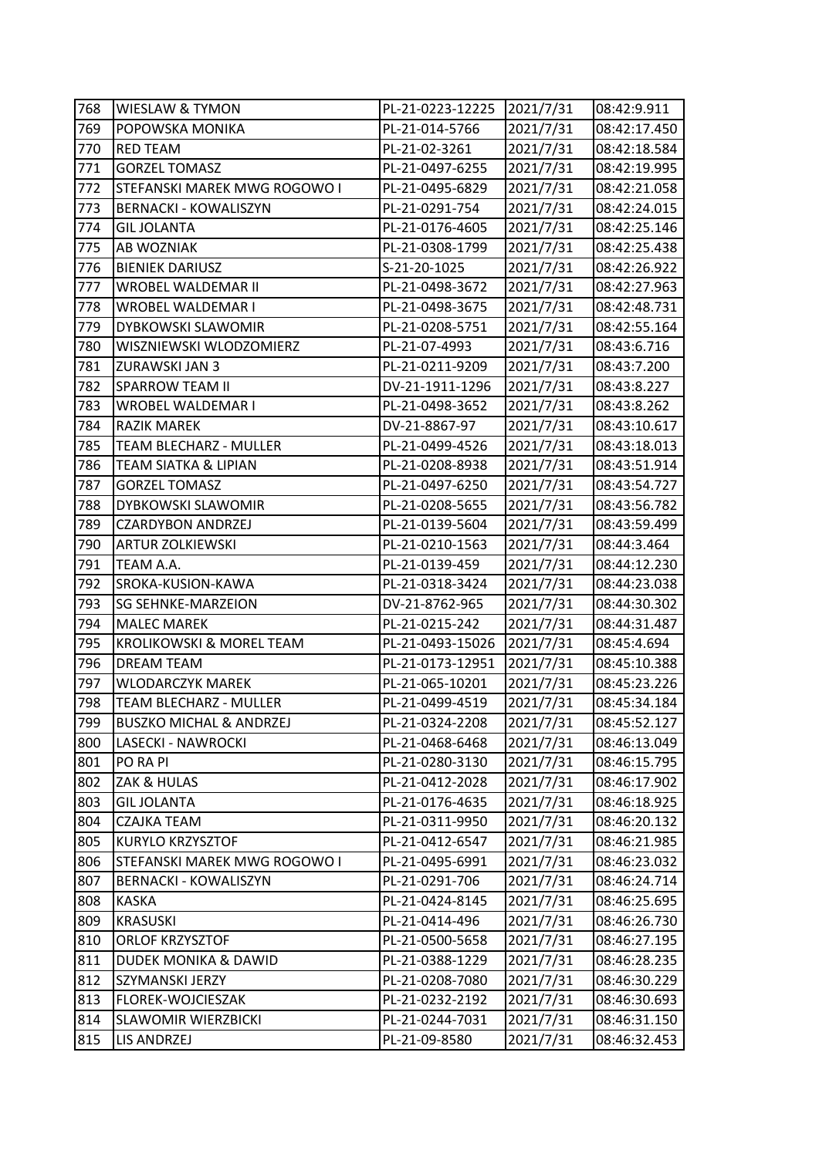| 768 | WIESLAW & TYMON                    | PL-21-0223-12225 | 2021/7/31 | 08:42:9.911  |
|-----|------------------------------------|------------------|-----------|--------------|
| 769 | POPOWSKA MONIKA                    | PL-21-014-5766   | 2021/7/31 | 08:42:17.450 |
| 770 | <b>RED TEAM</b>                    | PL-21-02-3261    | 2021/7/31 | 08:42:18.584 |
| 771 | <b>GORZEL TOMASZ</b>               | PL-21-0497-6255  | 2021/7/31 | 08:42:19.995 |
| 772 | STEFANSKI MAREK MWG ROGOWO I       | PL-21-0495-6829  | 2021/7/31 | 08:42:21.058 |
| 773 | <b>BERNACKI - KOWALISZYN</b>       | PL-21-0291-754   | 2021/7/31 | 08:42:24.015 |
| 774 | <b>GIL JOLANTA</b>                 | PL-21-0176-4605  | 2021/7/31 | 08:42:25.146 |
| 775 | AB WOZNIAK                         | PL-21-0308-1799  | 2021/7/31 | 08:42:25.438 |
| 776 | <b>BIENIEK DARIUSZ</b>             | S-21-20-1025     | 2021/7/31 | 08:42:26.922 |
| 777 | <b>WROBEL WALDEMAR II</b>          | PL-21-0498-3672  | 2021/7/31 | 08:42:27.963 |
| 778 | WROBEL WALDEMAR I                  | PL-21-0498-3675  | 2021/7/31 | 08:42:48.731 |
| 779 | DYBKOWSKI SLAWOMIR                 | PL-21-0208-5751  | 2021/7/31 | 08:42:55.164 |
| 780 | WISZNIEWSKI WLODZOMIERZ            | PL-21-07-4993    | 2021/7/31 | 08:43:6.716  |
| 781 | ZURAWSKI JAN 3                     | PL-21-0211-9209  | 2021/7/31 | 08:43:7.200  |
| 782 | <b>SPARROW TEAM II</b>             | DV-21-1911-1296  | 2021/7/31 | 08:43:8.227  |
| 783 | WROBEL WALDEMAR I                  | PL-21-0498-3652  | 2021/7/31 | 08:43:8.262  |
| 784 | <b>RAZIK MAREK</b>                 | DV-21-8867-97    | 2021/7/31 | 08:43:10.617 |
| 785 | TEAM BLECHARZ - MULLER             | PL-21-0499-4526  | 2021/7/31 | 08:43:18.013 |
| 786 | TEAM SIATKA & LIPIAN               | PL-21-0208-8938  | 2021/7/31 | 08:43:51.914 |
| 787 | <b>GORZEL TOMASZ</b>               | PL-21-0497-6250  | 2021/7/31 | 08:43:54.727 |
| 788 | DYBKOWSKI SLAWOMIR                 | PL-21-0208-5655  | 2021/7/31 | 08:43:56.782 |
| 789 | <b>CZARDYBON ANDRZEJ</b>           | PL-21-0139-5604  | 2021/7/31 | 08:43:59.499 |
| 790 | <b>ARTUR ZOLKIEWSKI</b>            | PL-21-0210-1563  | 2021/7/31 | 08:44:3.464  |
| 791 | TEAM A.A.                          | PL-21-0139-459   | 2021/7/31 | 08:44:12.230 |
| 792 | SROKA-KUSION-KAWA                  | PL-21-0318-3424  | 2021/7/31 | 08:44:23.038 |
| 793 | <b>SG SEHNKE-MARZEION</b>          | DV-21-8762-965   | 2021/7/31 | 08:44:30.302 |
| 794 | <b>MALEC MAREK</b>                 | PL-21-0215-242   | 2021/7/31 | 08:44:31.487 |
| 795 | KROLIKOWSKI & MOREL TEAM           | PL-21-0493-15026 | 2021/7/31 | 08:45:4.694  |
| 796 | <b>DREAM TEAM</b>                  | PL-21-0173-12951 | 2021/7/31 | 08:45:10.388 |
| 797 | <b>WLODARCZYK MAREK</b>            | PL-21-065-10201  | 2021/7/31 | 08:45:23.226 |
| 798 | TEAM BLECHARZ - MULLER             | PL-21-0499-4519  | 2021/7/31 | 08:45:34.184 |
| 799 | <b>BUSZKO MICHAL &amp; ANDRZEJ</b> | PL-21-0324-2208  | 2021/7/31 | 08:45:52.127 |
| 800 | LASECKI - NAWROCKI                 | PL-21-0468-6468  | 2021/7/31 | 08:46:13.049 |
| 801 | PO RA PI                           | PL-21-0280-3130  | 2021/7/31 | 08:46:15.795 |
| 802 | ZAK & HULAS                        | PL-21-0412-2028  | 2021/7/31 | 08:46:17.902 |
| 803 | <b>GIL JOLANTA</b>                 | PL-21-0176-4635  | 2021/7/31 | 08:46:18.925 |
| 804 | CZAJKA TEAM                        | PL-21-0311-9950  | 2021/7/31 | 08:46:20.132 |
| 805 | KURYLO KRZYSZTOF                   | PL-21-0412-6547  | 2021/7/31 | 08:46:21.985 |
| 806 | STEFANSKI MAREK MWG ROGOWO I       | PL-21-0495-6991  | 2021/7/31 | 08:46:23.032 |
| 807 | <b>BERNACKI - KOWALISZYN</b>       | PL-21-0291-706   | 2021/7/31 | 08:46:24.714 |
| 808 | KASKA                              | PL-21-0424-8145  | 2021/7/31 | 08:46:25.695 |
| 809 | <b>KRASUSKI</b>                    | PL-21-0414-496   | 2021/7/31 | 08:46:26.730 |
| 810 | ORLOF KRZYSZTOF                    | PL-21-0500-5658  | 2021/7/31 | 08:46:27.195 |
| 811 | DUDEK MONIKA & DAWID               | PL-21-0388-1229  | 2021/7/31 | 08:46:28.235 |
| 812 | SZYMANSKI JERZY                    | PL-21-0208-7080  | 2021/7/31 | 08:46:30.229 |
| 813 | FLOREK-WOJCIESZAK                  | PL-21-0232-2192  | 2021/7/31 | 08:46:30.693 |
| 814 | <b>SLAWOMIR WIERZBICKI</b>         | PL-21-0244-7031  | 2021/7/31 | 08:46:31.150 |
| 815 | LIS ANDRZEJ                        | PL-21-09-8580    | 2021/7/31 | 08:46:32.453 |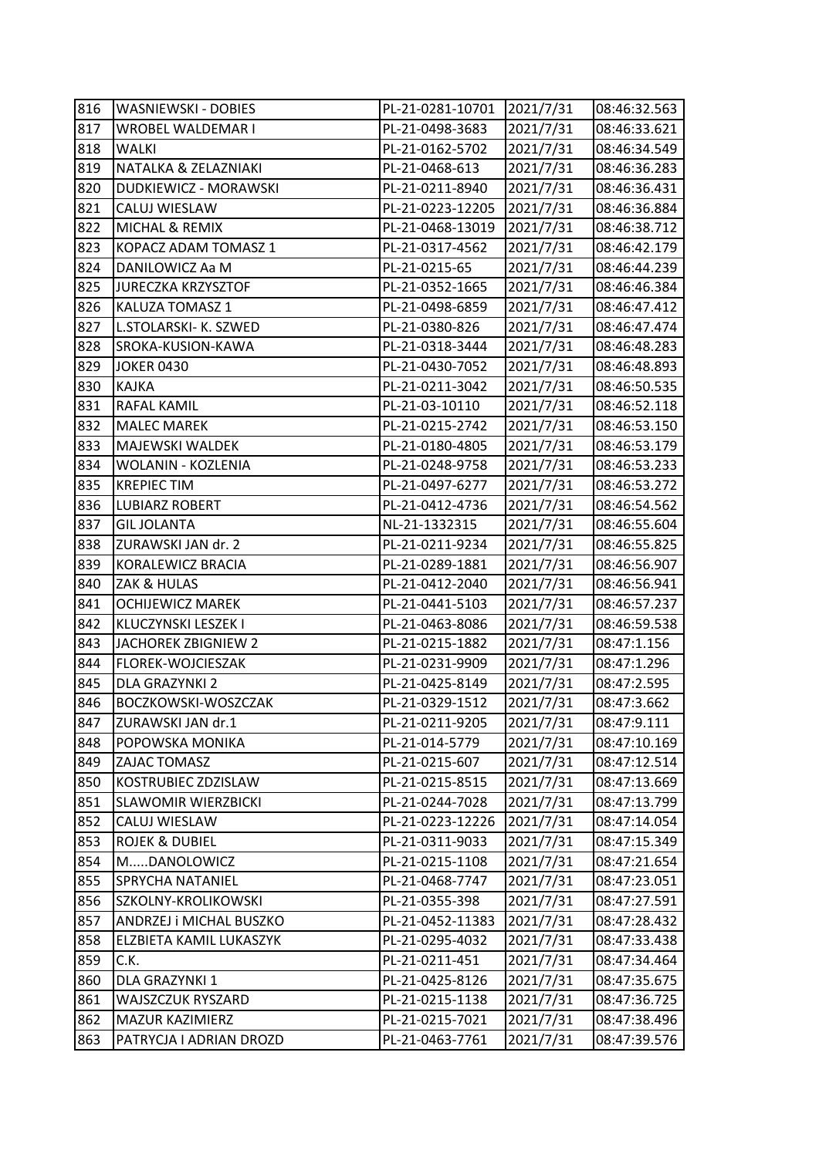| 816 | WASNIEWSKI - DOBIES        | PL-21-0281-10701 | 2021/7/31 | 08:46:32.563 |
|-----|----------------------------|------------------|-----------|--------------|
| 817 | WROBEL WALDEMAR I          | PL-21-0498-3683  | 2021/7/31 | 08:46:33.621 |
| 818 | WALKI                      | PL-21-0162-5702  | 2021/7/31 | 08:46:34.549 |
| 819 | NATALKA & ZELAZNIAKI       | PL-21-0468-613   | 2021/7/31 | 08:46:36.283 |
| 820 | DUDKIEWICZ - MORAWSKI      | PL-21-0211-8940  | 2021/7/31 | 08:46:36.431 |
| 821 | CALUJ WIESLAW              | PL-21-0223-12205 | 2021/7/31 | 08:46:36.884 |
| 822 | MICHAL & REMIX             | PL-21-0468-13019 | 2021/7/31 | 08:46:38.712 |
| 823 | KOPACZ ADAM TOMASZ 1       | PL-21-0317-4562  | 2021/7/31 | 08:46:42.179 |
| 824 | DANILOWICZ Aa M            | PL-21-0215-65    | 2021/7/31 | 08:46:44.239 |
| 825 | <b>JURECZKA KRZYSZTOF</b>  | PL-21-0352-1665  | 2021/7/31 | 08:46:46.384 |
| 826 | KALUZA TOMASZ 1            | PL-21-0498-6859  | 2021/7/31 | 08:46:47.412 |
| 827 | L.STOLARSKI- K. SZWED      | PL-21-0380-826   | 2021/7/31 | 08:46:47.474 |
| 828 | SROKA-KUSION-KAWA          | PL-21-0318-3444  | 2021/7/31 | 08:46:48.283 |
| 829 | <b>JOKER 0430</b>          | PL-21-0430-7052  | 2021/7/31 | 08:46:48.893 |
| 830 | <b>KAJKA</b>               | PL-21-0211-3042  | 2021/7/31 | 08:46:50.535 |
| 831 | RAFAL KAMIL                | PL-21-03-10110   | 2021/7/31 | 08:46:52.118 |
| 832 | <b>MALEC MAREK</b>         | PL-21-0215-2742  | 2021/7/31 | 08:46:53.150 |
| 833 | MAJEWSKI WALDEK            | PL-21-0180-4805  | 2021/7/31 | 08:46:53.179 |
| 834 | <b>WOLANIN - KOZLENIA</b>  | PL-21-0248-9758  | 2021/7/31 | 08:46:53.233 |
| 835 | <b>KREPIEC TIM</b>         | PL-21-0497-6277  | 2021/7/31 | 08:46:53.272 |
| 836 | <b>LUBIARZ ROBERT</b>      | PL-21-0412-4736  | 2021/7/31 | 08:46:54.562 |
| 837 | <b>GIL JOLANTA</b>         | NL-21-1332315    | 2021/7/31 | 08:46:55.604 |
| 838 | ZURAWSKI JAN dr. 2         | PL-21-0211-9234  | 2021/7/31 | 08:46:55.825 |
| 839 | KORALEWICZ BRACIA          | PL-21-0289-1881  | 2021/7/31 | 08:46:56.907 |
| 840 | ZAK & HULAS                | PL-21-0412-2040  | 2021/7/31 | 08:46:56.941 |
| 841 | <b>OCHIJEWICZ MAREK</b>    | PL-21-0441-5103  | 2021/7/31 | 08:46:57.237 |
| 842 | KLUCZYNSKI LESZEK I        | PL-21-0463-8086  | 2021/7/31 | 08:46:59.538 |
| 843 | JACHOREK ZBIGNIEW 2        | PL-21-0215-1882  | 2021/7/31 | 08:47:1.156  |
| 844 | FLOREK-WOJCIESZAK          | PL-21-0231-9909  | 2021/7/31 | 08:47:1.296  |
| 845 | DLA GRAZYNKI 2             | PL-21-0425-8149  | 2021/7/31 | 08:47:2.595  |
| 846 | BOCZKOWSKI-WOSZCZAK        | PL-21-0329-1512  | 2021/7/31 | 08:47:3.662  |
| 847 | ZURAWSKI JAN dr.1          | PL-21-0211-9205  | 2021/7/31 | 08:47:9.111  |
| 848 | POPOWSKA MONIKA            | PL-21-014-5779   | 2021/7/31 | 08:47:10.169 |
| 849 | ZAJAC TOMASZ               | PL-21-0215-607   | 2021/7/31 | 08:47:12.514 |
| 850 | KOSTRUBIEC ZDZISLAW        | PL-21-0215-8515  | 2021/7/31 | 08:47:13.669 |
| 851 | <b>SLAWOMIR WIERZBICKI</b> | PL-21-0244-7028  | 2021/7/31 | 08:47:13.799 |
| 852 | CALUJ WIESLAW              | PL-21-0223-12226 | 2021/7/31 | 08:47:14.054 |
| 853 | <b>ROJEK &amp; DUBIEL</b>  | PL-21-0311-9033  | 2021/7/31 | 08:47:15.349 |
| 854 | MDANOLOWICZ                | PL-21-0215-1108  | 2021/7/31 | 08:47:21.654 |
| 855 | SPRYCHA NATANIEL           | PL-21-0468-7747  | 2021/7/31 | 08:47:23.051 |
| 856 | SZKOLNY-KROLIKOWSKI        | PL-21-0355-398   | 2021/7/31 | 08:47:27.591 |
| 857 | ANDRZEJ i MICHAL BUSZKO    | PL-21-0452-11383 | 2021/7/31 | 08:47:28.432 |
| 858 | ELZBIETA KAMIL LUKASZYK    | PL-21-0295-4032  | 2021/7/31 | 08:47:33.438 |
| 859 | C.K.                       | PL-21-0211-451   | 2021/7/31 | 08:47:34.464 |
| 860 | DLA GRAZYNKI 1             | PL-21-0425-8126  | 2021/7/31 | 08:47:35.675 |
| 861 | WAJSZCZUK RYSZARD          | PL-21-0215-1138  | 2021/7/31 | 08:47:36.725 |
| 862 | MAZUR KAZIMIERZ            | PL-21-0215-7021  | 2021/7/31 | 08:47:38.496 |
| 863 | PATRYCJA I ADRIAN DROZD    | PL-21-0463-7761  | 2021/7/31 | 08:47:39.576 |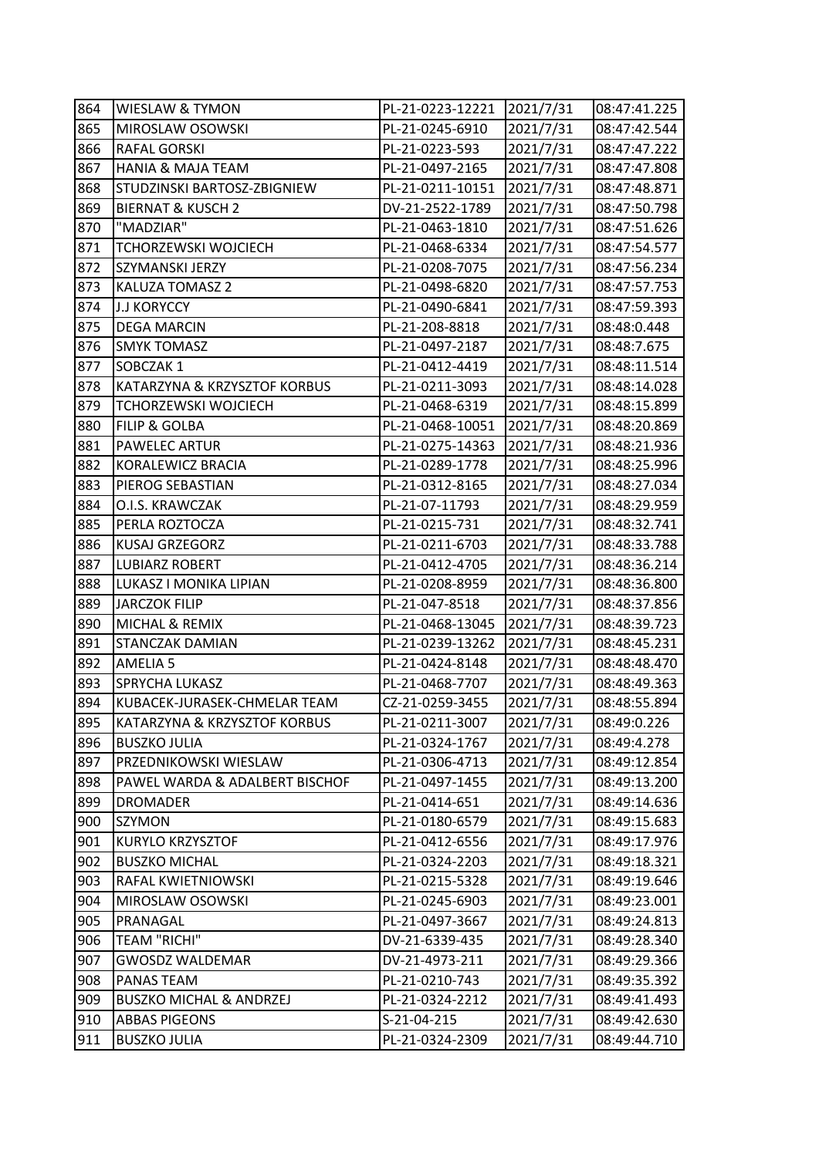| 864 | <b>WIESLAW &amp; TYMON</b>         | PL-21-0223-12221 | 2021/7/31 | 08:47:41.225 |
|-----|------------------------------------|------------------|-----------|--------------|
| 865 | MIROSLAW OSOWSKI                   | PL-21-0245-6910  | 2021/7/31 | 08:47:42.544 |
| 866 | RAFAL GORSKI                       | PL-21-0223-593   | 2021/7/31 | 08:47:47.222 |
| 867 | <b>HANIA &amp; MAJA TEAM</b>       | PL-21-0497-2165  | 2021/7/31 | 08:47:47.808 |
| 868 | STUDZINSKI BARTOSZ-ZBIGNIEW        | PL-21-0211-10151 | 2021/7/31 | 08:47:48.871 |
| 869 | <b>BIERNAT &amp; KUSCH 2</b>       | DV-21-2522-1789  | 2021/7/31 | 08:47:50.798 |
| 870 | "MADZIAR"                          | PL-21-0463-1810  | 2021/7/31 | 08:47:51.626 |
| 871 | TCHORZEWSKI WOJCIECH               | PL-21-0468-6334  | 2021/7/31 | 08:47:54.577 |
| 872 | SZYMANSKI JERZY                    | PL-21-0208-7075  | 2021/7/31 | 08:47:56.234 |
| 873 | KALUZA TOMASZ 2                    | PL-21-0498-6820  | 2021/7/31 | 08:47:57.753 |
| 874 | J.J KORYCCY                        | PL-21-0490-6841  | 2021/7/31 | 08:47:59.393 |
| 875 | <b>DEGA MARCIN</b>                 | PL-21-208-8818   | 2021/7/31 | 08:48:0.448  |
| 876 | <b>SMYK TOMASZ</b>                 | PL-21-0497-2187  | 2021/7/31 | 08:48:7.675  |
| 877 | SOBCZAK 1                          | PL-21-0412-4419  | 2021/7/31 | 08:48:11.514 |
| 878 | KATARZYNA & KRZYSZTOF KORBUS       | PL-21-0211-3093  | 2021/7/31 | 08:48:14.028 |
| 879 | TCHORZEWSKI WOJCIECH               | PL-21-0468-6319  | 2021/7/31 | 08:48:15.899 |
| 880 | <b>FILIP &amp; GOLBA</b>           | PL-21-0468-10051 | 2021/7/31 | 08:48:20.869 |
| 881 | <b>PAWELEC ARTUR</b>               | PL-21-0275-14363 | 2021/7/31 | 08:48:21.936 |
| 882 | KORALEWICZ BRACIA                  | PL-21-0289-1778  | 2021/7/31 | 08:48:25.996 |
| 883 | PIEROG SEBASTIAN                   | PL-21-0312-8165  | 2021/7/31 | 08:48:27.034 |
| 884 | O.I.S. KRAWCZAK                    | PL-21-07-11793   | 2021/7/31 | 08:48:29.959 |
| 885 | PERLA ROZTOCZA                     | PL-21-0215-731   | 2021/7/31 | 08:48:32.741 |
| 886 | <b>KUSAJ GRZEGORZ</b>              | PL-21-0211-6703  | 2021/7/31 | 08:48:33.788 |
| 887 | <b>LUBIARZ ROBERT</b>              | PL-21-0412-4705  | 2021/7/31 | 08:48:36.214 |
| 888 | LUKASZ I MONIKA LIPIAN             | PL-21-0208-8959  | 2021/7/31 | 08:48:36.800 |
| 889 | JARCZOK FILIP                      | PL-21-047-8518   | 2021/7/31 | 08:48:37.856 |
| 890 | MICHAL & REMIX                     | PL-21-0468-13045 | 2021/7/31 | 08:48:39.723 |
| 891 | STANCZAK DAMIAN                    | PL-21-0239-13262 | 2021/7/31 | 08:48:45.231 |
| 892 | <b>AMELIA 5</b>                    | PL-21-0424-8148  | 2021/7/31 | 08:48:48.470 |
| 893 | SPRYCHA LUKASZ                     | PL-21-0468-7707  | 2021/7/31 | 08:48:49.363 |
| 894 | KUBACEK-JURASEK-CHMELAR TEAM       | CZ-21-0259-3455  | 2021/7/31 | 08:48:55.894 |
| 895 | KATARZYNA & KRZYSZTOF KORBUS       | PL-21-0211-3007  | 2021/7/31 | 08:49:0.226  |
| 896 | <b>BUSZKO JULIA</b>                | PL-21-0324-1767  | 2021/7/31 | 08:49:4.278  |
| 897 | PRZEDNIKOWSKI WIESLAW              | PL-21-0306-4713  | 2021/7/31 | 08:49:12.854 |
| 898 | PAWEL WARDA & ADALBERT BISCHOF     | PL-21-0497-1455  | 2021/7/31 | 08:49:13.200 |
| 899 | DROMADER                           | PL-21-0414-651   | 2021/7/31 | 08:49:14.636 |
| 900 | SZYMON                             | PL-21-0180-6579  | 2021/7/31 | 08:49:15.683 |
| 901 | KURYLO KRZYSZTOF                   | PL-21-0412-6556  | 2021/7/31 | 08:49:17.976 |
| 902 | <b>BUSZKO MICHAL</b>               | PL-21-0324-2203  | 2021/7/31 | 08:49:18.321 |
| 903 | RAFAL KWIETNIOWSKI                 | PL-21-0215-5328  | 2021/7/31 | 08:49:19.646 |
| 904 | MIROSLAW OSOWSKI                   | PL-21-0245-6903  | 2021/7/31 | 08:49:23.001 |
| 905 | PRANAGAL                           | PL-21-0497-3667  | 2021/7/31 | 08:49:24.813 |
| 906 | TEAM "RICHI"                       | DV-21-6339-435   | 2021/7/31 | 08:49:28.340 |
| 907 | <b>GWOSDZ WALDEMAR</b>             | DV-21-4973-211   | 2021/7/31 | 08:49:29.366 |
| 908 | PANAS TEAM                         | PL-21-0210-743   | 2021/7/31 | 08:49:35.392 |
| 909 | <b>BUSZKO MICHAL &amp; ANDRZEJ</b> | PL-21-0324-2212  | 2021/7/31 | 08:49:41.493 |
| 910 | <b>ABBAS PIGEONS</b>               | S-21-04-215      | 2021/7/31 | 08:49:42.630 |
| 911 | <b>BUSZKO JULIA</b>                | PL-21-0324-2309  | 2021/7/31 | 08:49:44.710 |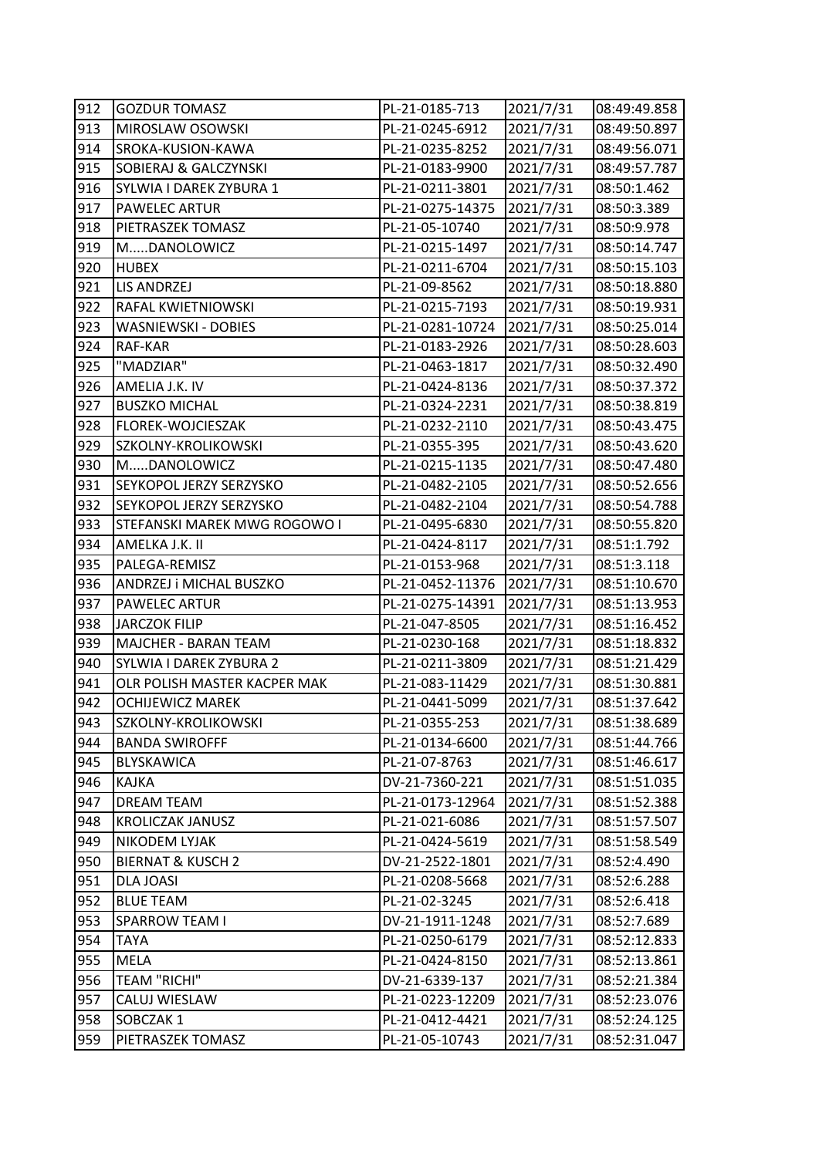| 912 | <b>GOZDUR TOMASZ</b>         | PL-21-0185-713   | 2021/7/31 | 08:49:49.858 |
|-----|------------------------------|------------------|-----------|--------------|
| 913 | MIROSLAW OSOWSKI             | PL-21-0245-6912  | 2021/7/31 | 08:49:50.897 |
| 914 | SROKA-KUSION-KAWA            | PL-21-0235-8252  | 2021/7/31 | 08:49:56.071 |
| 915 | SOBIERAJ & GALCZYNSKI        | PL-21-0183-9900  | 2021/7/31 | 08:49:57.787 |
| 916 | SYLWIA I DAREK ZYBURA 1      | PL-21-0211-3801  | 2021/7/31 | 08:50:1.462  |
| 917 | <b>PAWELEC ARTUR</b>         | PL-21-0275-14375 | 2021/7/31 | 08:50:3.389  |
| 918 | PIETRASZEK TOMASZ            | PL-21-05-10740   | 2021/7/31 | 08:50:9.978  |
| 919 | MDANOLOWICZ                  | PL-21-0215-1497  | 2021/7/31 | 08:50:14.747 |
| 920 | <b>HUBEX</b>                 | PL-21-0211-6704  | 2021/7/31 | 08:50:15.103 |
| 921 | <b>LIS ANDRZEJ</b>           | PL-21-09-8562    | 2021/7/31 | 08:50:18.880 |
| 922 | RAFAL KWIETNIOWSKI           | PL-21-0215-7193  | 2021/7/31 | 08:50:19.931 |
| 923 | WASNIEWSKI - DOBIES          | PL-21-0281-10724 | 2021/7/31 | 08:50:25.014 |
| 924 | RAF-KAR                      | PL-21-0183-2926  | 2021/7/31 | 08:50:28.603 |
| 925 | "MADZIAR"                    | PL-21-0463-1817  | 2021/7/31 | 08:50:32.490 |
| 926 | AMELIA J.K. IV               | PL-21-0424-8136  | 2021/7/31 | 08:50:37.372 |
| 927 | <b>BUSZKO MICHAL</b>         | PL-21-0324-2231  | 2021/7/31 | 08:50:38.819 |
| 928 | FLOREK-WOJCIESZAK            | PL-21-0232-2110  | 2021/7/31 | 08:50:43.475 |
| 929 | SZKOLNY-KROLIKOWSKI          | PL-21-0355-395   | 2021/7/31 | 08:50:43.620 |
| 930 | MDANOLOWICZ                  | PL-21-0215-1135  | 2021/7/31 | 08:50:47.480 |
| 931 | SEYKOPOL JERZY SERZYSKO      | PL-21-0482-2105  | 2021/7/31 | 08:50:52.656 |
| 932 | SEYKOPOL JERZY SERZYSKO      | PL-21-0482-2104  | 2021/7/31 | 08:50:54.788 |
| 933 | STEFANSKI MAREK MWG ROGOWO I | PL-21-0495-6830  | 2021/7/31 | 08:50:55.820 |
| 934 | AMELKA J.K. II               | PL-21-0424-8117  | 2021/7/31 | 08:51:1.792  |
| 935 | PALEGA-REMISZ                | PL-21-0153-968   | 2021/7/31 | 08:51:3.118  |
| 936 | ANDRZEJ i MICHAL BUSZKO      | PL-21-0452-11376 | 2021/7/31 | 08:51:10.670 |
| 937 | PAWELEC ARTUR                | PL-21-0275-14391 | 2021/7/31 | 08:51:13.953 |
| 938 | <b>JARCZOK FILIP</b>         | PL-21-047-8505   | 2021/7/31 | 08:51:16.452 |
| 939 | MAJCHER - BARAN TEAM         | PL-21-0230-168   | 2021/7/31 | 08:51:18.832 |
| 940 | SYLWIA I DAREK ZYBURA 2      | PL-21-0211-3809  | 2021/7/31 | 08:51:21.429 |
| 941 | OLR POLISH MASTER KACPER MAK | PL-21-083-11429  | 2021/7/31 | 08:51:30.881 |
| 942 | OCHIJEWICZ MAREK             | PL-21-0441-5099  | 2021/7/31 | 08:51:37.642 |
| 943 | SZKOLNY-KROLIKOWSKI          | PL-21-0355-253   | 2021/7/31 | 08:51:38.689 |
| 944 | <b>BANDA SWIROFFF</b>        | PL-21-0134-6600  | 2021/7/31 | 08:51:44.766 |
| 945 | BLYSKAWICA                   | PL-21-07-8763    | 2021/7/31 | 08:51:46.617 |
| 946 | KAJKA                        | DV-21-7360-221   | 2021/7/31 | 08:51:51.035 |
| 947 | <b>DREAM TEAM</b>            | PL-21-0173-12964 | 2021/7/31 | 08:51:52.388 |
| 948 | KROLICZAK JANUSZ             | PL-21-021-6086   | 2021/7/31 | 08:51:57.507 |
| 949 | NIKODEM LYJAK                | PL-21-0424-5619  | 2021/7/31 | 08:51:58.549 |
| 950 | <b>BIERNAT &amp; KUSCH 2</b> | DV-21-2522-1801  | 2021/7/31 | 08:52:4.490  |
| 951 | <b>DLA JOASI</b>             | PL-21-0208-5668  | 2021/7/31 | 08:52:6.288  |
| 952 | <b>BLUE TEAM</b>             | PL-21-02-3245    | 2021/7/31 | 08:52:6.418  |
| 953 | SPARROW TEAM I               | DV-21-1911-1248  | 2021/7/31 | 08:52:7.689  |
| 954 | TAYA                         | PL-21-0250-6179  | 2021/7/31 | 08:52:12.833 |
| 955 | MELA                         | PL-21-0424-8150  | 2021/7/31 | 08:52:13.861 |
| 956 | <b>TEAM "RICHI"</b>          | DV-21-6339-137   | 2021/7/31 | 08:52:21.384 |
| 957 | CALUJ WIESLAW                | PL-21-0223-12209 | 2021/7/31 | 08:52:23.076 |
| 958 | SOBCZAK 1                    | PL-21-0412-4421  | 2021/7/31 | 08:52:24.125 |
| 959 | PIETRASZEK TOMASZ            | PL-21-05-10743   | 2021/7/31 | 08:52:31.047 |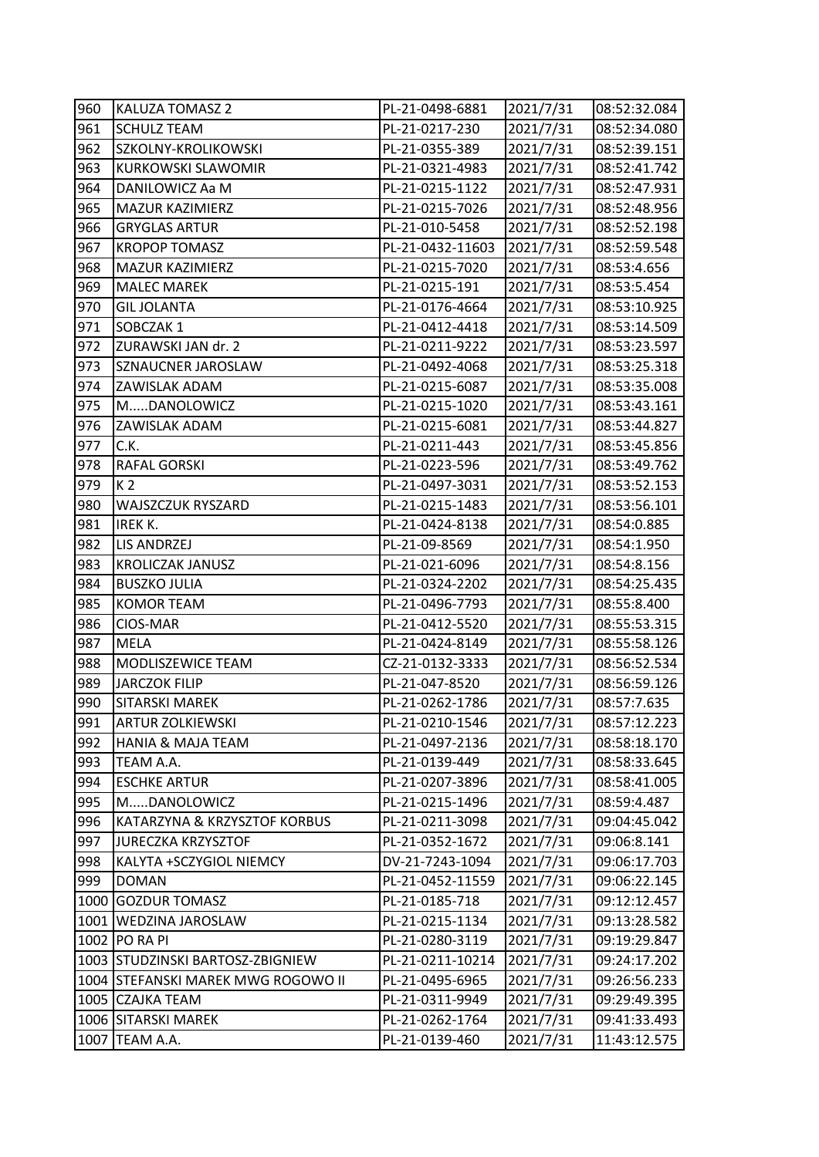| 960 | <b>KALUZA TOMASZ 2</b>             | PL-21-0498-6881  | 2021/7/31 | 08:52:32.084 |
|-----|------------------------------------|------------------|-----------|--------------|
| 961 | <b>SCHULZ TEAM</b>                 | PL-21-0217-230   | 2021/7/31 | 08:52:34.080 |
| 962 | SZKOLNY-KROLIKOWSKI                | PL-21-0355-389   | 2021/7/31 | 08:52:39.151 |
| 963 | <b>KURKOWSKI SLAWOMIR</b>          | PL-21-0321-4983  | 2021/7/31 | 08:52:41.742 |
| 964 | DANILOWICZ Aa M                    | PL-21-0215-1122  | 2021/7/31 | 08:52:47.931 |
| 965 | MAZUR KAZIMIERZ                    | PL-21-0215-7026  | 2021/7/31 | 08:52:48.956 |
| 966 | <b>GRYGLAS ARTUR</b>               | PL-21-010-5458   | 2021/7/31 | 08:52:52.198 |
| 967 | <b>KROPOP TOMASZ</b>               | PL-21-0432-11603 | 2021/7/31 | 08:52:59.548 |
| 968 | MAZUR KAZIMIERZ                    | PL-21-0215-7020  | 2021/7/31 | 08:53:4.656  |
| 969 | <b>MALEC MAREK</b>                 | PL-21-0215-191   | 2021/7/31 | 08:53:5.454  |
| 970 | <b>GIL JOLANTA</b>                 | PL-21-0176-4664  | 2021/7/31 | 08:53:10.925 |
| 971 | SOBCZAK 1                          | PL-21-0412-4418  | 2021/7/31 | 08:53:14.509 |
| 972 | ZURAWSKI JAN dr. 2                 | PL-21-0211-9222  | 2021/7/31 | 08:53:23.597 |
| 973 | SZNAUCNER JAROSLAW                 | PL-21-0492-4068  | 2021/7/31 | 08:53:25.318 |
| 974 | ZAWISLAK ADAM                      | PL-21-0215-6087  | 2021/7/31 | 08:53:35.008 |
| 975 | MDANOLOWICZ                        | PL-21-0215-1020  | 2021/7/31 | 08:53:43.161 |
| 976 | ZAWISLAK ADAM                      | PL-21-0215-6081  | 2021/7/31 | 08:53:44.827 |
| 977 | C.K.                               | PL-21-0211-443   | 2021/7/31 | 08:53:45.856 |
| 978 | RAFAL GORSKI                       | PL-21-0223-596   | 2021/7/31 | 08:53:49.762 |
| 979 | K <sub>2</sub>                     | PL-21-0497-3031  | 2021/7/31 | 08:53:52.153 |
| 980 | WAJSZCZUK RYSZARD                  | PL-21-0215-1483  | 2021/7/31 | 08:53:56.101 |
| 981 | <b>IREK K.</b>                     | PL-21-0424-8138  | 2021/7/31 | 08:54:0.885  |
| 982 | LIS ANDRZEJ                        | PL-21-09-8569    | 2021/7/31 | 08:54:1.950  |
| 983 | <b>KROLICZAK JANUSZ</b>            | PL-21-021-6096   | 2021/7/31 | 08:54:8.156  |
| 984 | <b>BUSZKO JULIA</b>                | PL-21-0324-2202  | 2021/7/31 | 08:54:25.435 |
| 985 | <b>KOMOR TEAM</b>                  | PL-21-0496-7793  | 2021/7/31 | 08:55:8.400  |
| 986 | CIOS-MAR                           | PL-21-0412-5520  | 2021/7/31 | 08:55:53.315 |
| 987 | <b>MELA</b>                        | PL-21-0424-8149  | 2021/7/31 | 08:55:58.126 |
| 988 | MODLISZEWICE TEAM                  | CZ-21-0132-3333  | 2021/7/31 | 08:56:52.534 |
| 989 | <b>JARCZOK FILIP</b>               | PL-21-047-8520   | 2021/7/31 | 08:56:59.126 |
| 990 | SITARSKI MAREK                     | PL-21-0262-1786  | 2021/7/31 | 08:57:7.635  |
| 991 | <b>ARTUR ZOLKIEWSKI</b>            | PL-21-0210-1546  | 2021/7/31 | 08:57:12.223 |
| 992 | <b>HANIA &amp; MAJA TEAM</b>       | PL-21-0497-2136  | 2021/7/31 | 08:58:18.170 |
| 993 | TEAM A.A.                          | PL-21-0139-449   | 2021/7/31 | 08:58:33.645 |
| 994 | <b>ESCHKE ARTUR</b>                | PL-21-0207-3896  | 2021/7/31 | 08:58:41.005 |
| 995 | MDANOLOWICZ                        | PL-21-0215-1496  | 2021/7/31 | 08:59:4.487  |
| 996 | KATARZYNA & KRZYSZTOF KORBUS       | PL-21-0211-3098  | 2021/7/31 | 09:04:45.042 |
| 997 | <b>JURECZKA KRZYSZTOF</b>          | PL-21-0352-1672  | 2021/7/31 | 09:06:8.141  |
| 998 | KALYTA +SCZYGIOL NIEMCY            | DV-21-7243-1094  | 2021/7/31 | 09:06:17.703 |
| 999 | <b>DOMAN</b>                       | PL-21-0452-11559 | 2021/7/31 | 09:06:22.145 |
|     | 1000 GOZDUR TOMASZ                 | PL-21-0185-718   | 2021/7/31 | 09:12:12.457 |
|     | 1001   WEDZINA JAROSLAW            | PL-21-0215-1134  | 2021/7/31 | 09:13:28.582 |
|     | 1002 PO RA PI                      | PL-21-0280-3119  | 2021/7/31 | 09:19:29.847 |
|     | 1003 STUDZINSKI BARTOSZ-ZBIGNIEW   | PL-21-0211-10214 | 2021/7/31 | 09:24:17.202 |
|     | 1004 STEFANSKI MAREK MWG ROGOWO II | PL-21-0495-6965  | 2021/7/31 | 09:26:56.233 |
|     | 1005 CZAJKA TEAM                   | PL-21-0311-9949  | 2021/7/31 | 09:29:49.395 |
|     | 1006 SITARSKI MAREK                | PL-21-0262-1764  | 2021/7/31 | 09:41:33.493 |
|     | 1007 TEAM A.A.                     | PL-21-0139-460   | 2021/7/31 | 11:43:12.575 |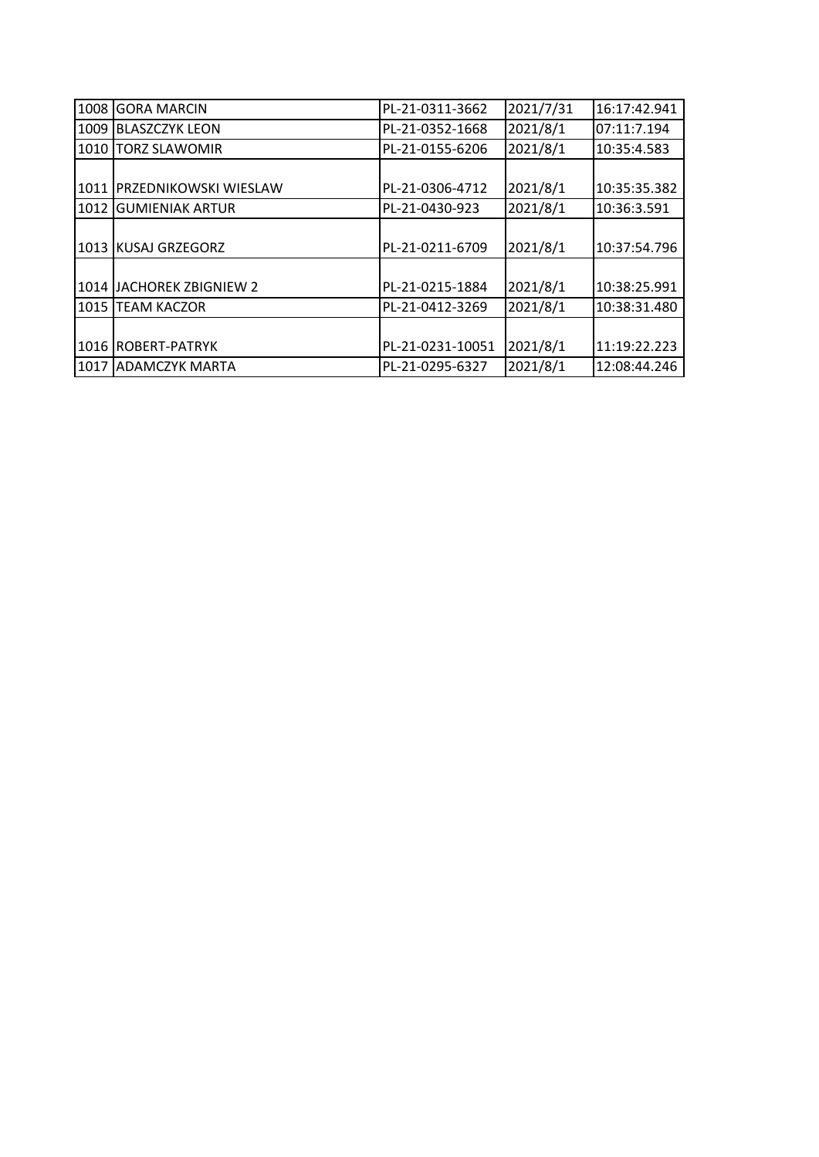| 1008 | <b>GORA MARCIN</b>     | PL-21-0311-3662  | 2021/7/31 | 16:17:42.941 |
|------|------------------------|------------------|-----------|--------------|
| 1009 | <b>BLASZCZYK LEON</b>  | PL-21-0352-1668  | 2021/8/1  | 07:11:7.194  |
| 1010 | <b>TORZ SLAWOMIR</b>   | PL-21-0155-6206  | 2021/8/1  | 10:35:4.583  |
|      |                        |                  |           |              |
| 1011 | PRZEDNIKOWSKI WIESLAW  | PL-21-0306-4712  | 2021/8/1  | 10:35:35.382 |
| 1012 | <b>GUMIENIAK ARTUR</b> | PL-21-0430-923   | 2021/8/1  | 10:36:3.591  |
|      |                        |                  |           |              |
|      | 1013 KUSAJ GRZEGORZ    | PL-21-0211-6709  | 2021/8/1  | 10:37:54.796 |
|      |                        |                  |           |              |
| 1014 | JACHOREK ZBIGNIEW 2    | PL-21-0215-1884  | 2021/8/1  | 10:38:25.991 |
| 1015 | TEAM KACZOR            | PL-21-0412-3269  | 2021/8/1  | 10:38:31.480 |
|      |                        |                  |           |              |
| 1016 | <b>ROBERT-PATRYK</b>   | PL-21-0231-10051 | 2021/8/1  | 11:19:22.223 |
| 1017 | <b>ADAMCZYK MARTA</b>  | PL-21-0295-6327  | 2021/8/1  | 12:08:44.246 |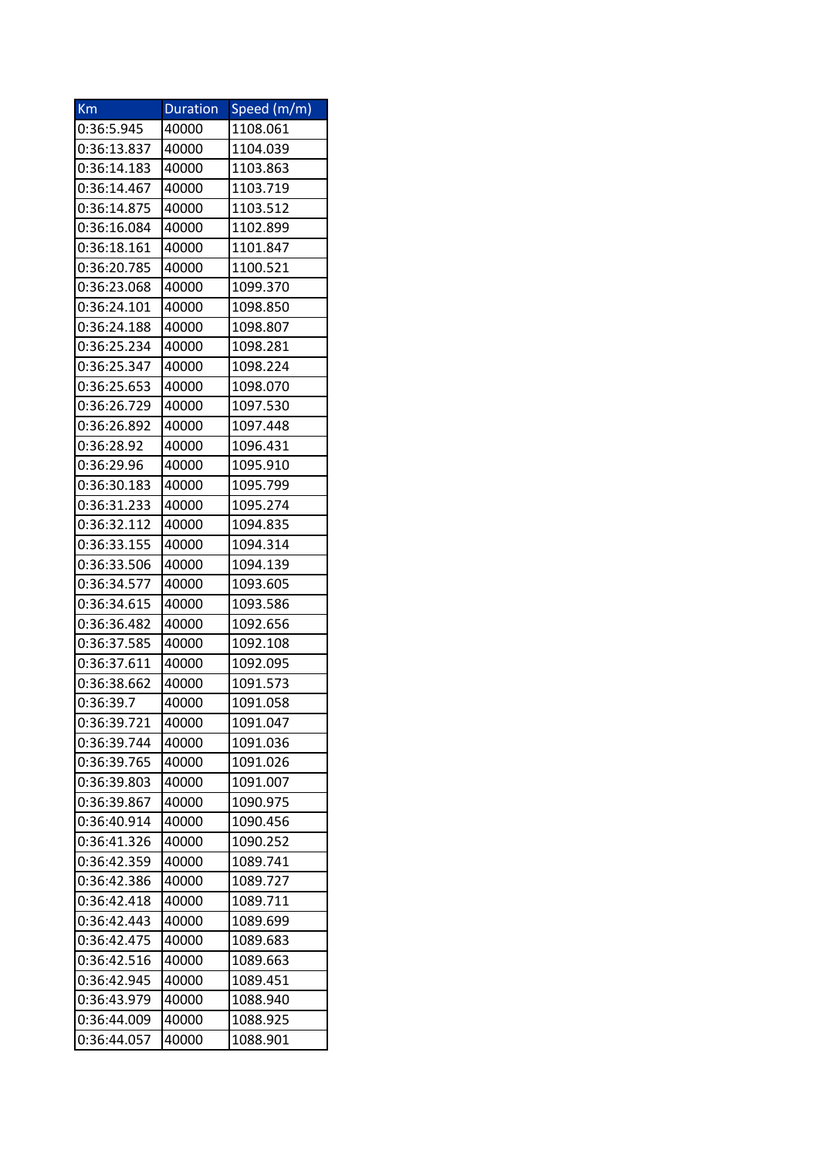| Km          | <b>Duration</b> | Speed (m/m) |
|-------------|-----------------|-------------|
| 0:36:5.945  | 40000           | 1108.061    |
| 0:36:13.837 | 40000           | 1104.039    |
| 0:36:14.183 | 40000           | 1103.863    |
| 0:36:14.467 | 40000           | 1103.719    |
| 0:36:14.875 | 40000           | 1103.512    |
| 0:36:16.084 | 40000           | 1102.899    |
| 0:36:18.161 | 40000           | 1101.847    |
| 0:36:20.785 | 40000           | 1100.521    |
| 0:36:23.068 | 40000           | 1099.370    |
| 0:36:24.101 | 40000           | 1098.850    |
| 0:36:24.188 | 40000           | 1098.807    |
| 0:36:25.234 | 40000           | 1098.281    |
| 0:36:25.347 | 40000           | 1098.224    |
| 0:36:25.653 | 40000           | 1098.070    |
| 0:36:26.729 | 40000           | 1097.530    |
| 0:36:26.892 | 40000           | 1097.448    |
| 0:36:28.92  | 40000           | 1096.431    |
| 0:36:29.96  | 40000           | 1095.910    |
| 0:36:30.183 | 40000           | 1095.799    |
| 0:36:31.233 | 40000           | 1095.274    |
| 0:36:32.112 | 40000           | 1094.835    |
| 0:36:33.155 | 40000           | 1094.314    |
| 0:36:33.506 | 40000           | 1094.139    |
| 0:36:34.577 | 40000           | 1093.605    |
| 0:36:34.615 | 40000           | 1093.586    |
| 0:36:36.482 | 40000           | 1092.656    |
| 0:36:37.585 | 40000           | 1092.108    |
| 0:36:37.611 | 40000           | 1092.095    |
| 0:36:38.662 | 40000           | 1091.573    |
| 0:36:39.7   | 40000           | 1091.058    |
| 0:36:39.721 | 40000           | 1091.047    |
| 0:36:39.744 | 40000           | 1091.036    |
| 0:36:39.765 | 40000           | 1091.026    |
| 0:36:39.803 | 40000           | 1091.007    |
| 0:36:39.867 | 40000           | 1090.975    |
| 0:36:40.914 | 40000           | 1090.456    |
| 0:36:41.326 | 40000           | 1090.252    |
| 0:36:42.359 | 40000           | 1089.741    |
| 0:36:42.386 | 40000           | 1089.727    |
| 0:36:42.418 | 40000           | 1089.711    |
| 0:36:42.443 | 40000           | 1089.699    |
| 0:36:42.475 | 40000           | 1089.683    |
| 0:36:42.516 | 40000           | 1089.663    |
| 0:36:42.945 | 40000           | 1089.451    |
| 0:36:43.979 | 40000           | 1088.940    |
| 0:36:44.009 | 40000           | 1088.925    |
| 0:36:44.057 | 40000           | 1088.901    |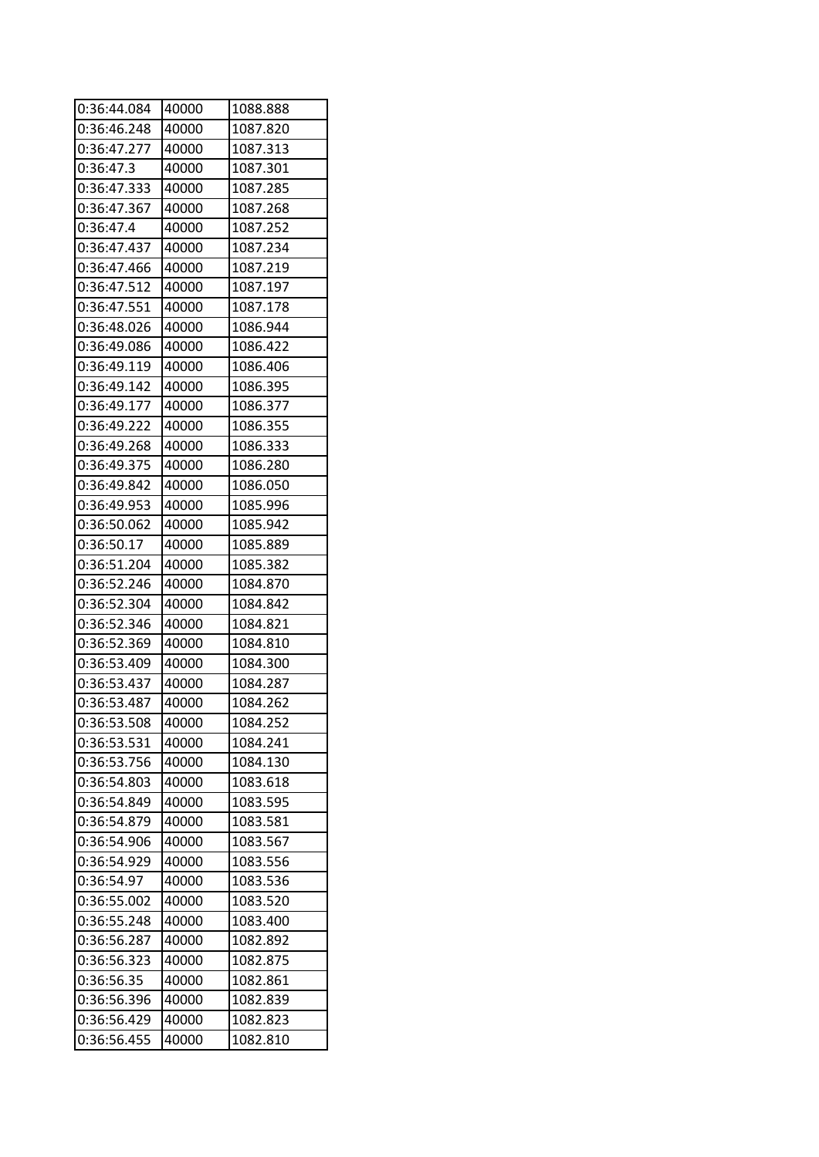| 0:36:44.084 | 40000 | 1088.888 |
|-------------|-------|----------|
| 0:36:46.248 | 40000 | 1087.820 |
| 0:36:47.277 | 40000 | 1087.313 |
| 0:36:47.3   | 40000 | 1087.301 |
| 0:36:47.333 | 40000 | 1087.285 |
| 0:36:47.367 | 40000 | 1087.268 |
| 0:36:47.4   | 40000 | 1087.252 |
| 0:36:47.437 | 40000 | 1087.234 |
| 0:36:47.466 | 40000 | 1087.219 |
| 0:36:47.512 | 40000 | 1087.197 |
| 0:36:47.551 | 40000 | 1087.178 |
| 0:36:48.026 | 40000 | 1086.944 |
| 0:36:49.086 | 40000 | 1086.422 |
| 0:36:49.119 | 40000 | 1086.406 |
| 0:36:49.142 | 40000 | 1086.395 |
| 0:36:49.177 | 40000 | 1086.377 |
| 0:36:49.222 | 40000 | 1086.355 |
| 0:36:49.268 | 40000 | 1086.333 |
| 0:36:49.375 | 40000 | 1086.280 |
| 0:36:49.842 | 40000 | 1086.050 |
| 0:36:49.953 | 40000 | 1085.996 |
| 0:36:50.062 | 40000 | 1085.942 |
| 0:36:50.17  | 40000 | 1085.889 |
| 0:36:51.204 | 40000 | 1085.382 |
| 0:36:52.246 | 40000 | 1084.870 |
| 0:36:52.304 | 40000 | 1084.842 |
| 0:36:52.346 | 40000 | 1084.821 |
| 0:36:52.369 | 40000 | 1084.810 |
| 0:36:53.409 | 40000 | 1084.300 |
| 0:36:53.437 | 40000 | 1084.287 |
| 0:36:53.487 | 40000 | 1084.262 |
| 0:36:53.508 | 40000 | 1084.252 |
| 0:36:53.531 | 40000 | 1084.241 |
| 0:36:53.756 | 40000 | 1084.130 |
| 0:36:54.803 | 40000 | 1083.618 |
| 0:36:54.849 | 40000 | 1083.595 |
| 0:36:54.879 | 40000 | 1083.581 |
| 0:36:54.906 | 40000 | 1083.567 |
| 0:36:54.929 | 40000 | 1083.556 |
| 0:36:54.97  | 40000 | 1083.536 |
| 0:36:55.002 | 40000 | 1083.520 |
| 0:36:55.248 | 40000 | 1083.400 |
| 0:36:56.287 | 40000 | 1082.892 |
| 0:36:56.323 | 40000 | 1082.875 |
| 0:36:56.35  | 40000 | 1082.861 |
| 0:36:56.396 | 40000 | 1082.839 |
| 0:36:56.429 | 40000 | 1082.823 |
| 0:36:56.455 | 40000 | 1082.810 |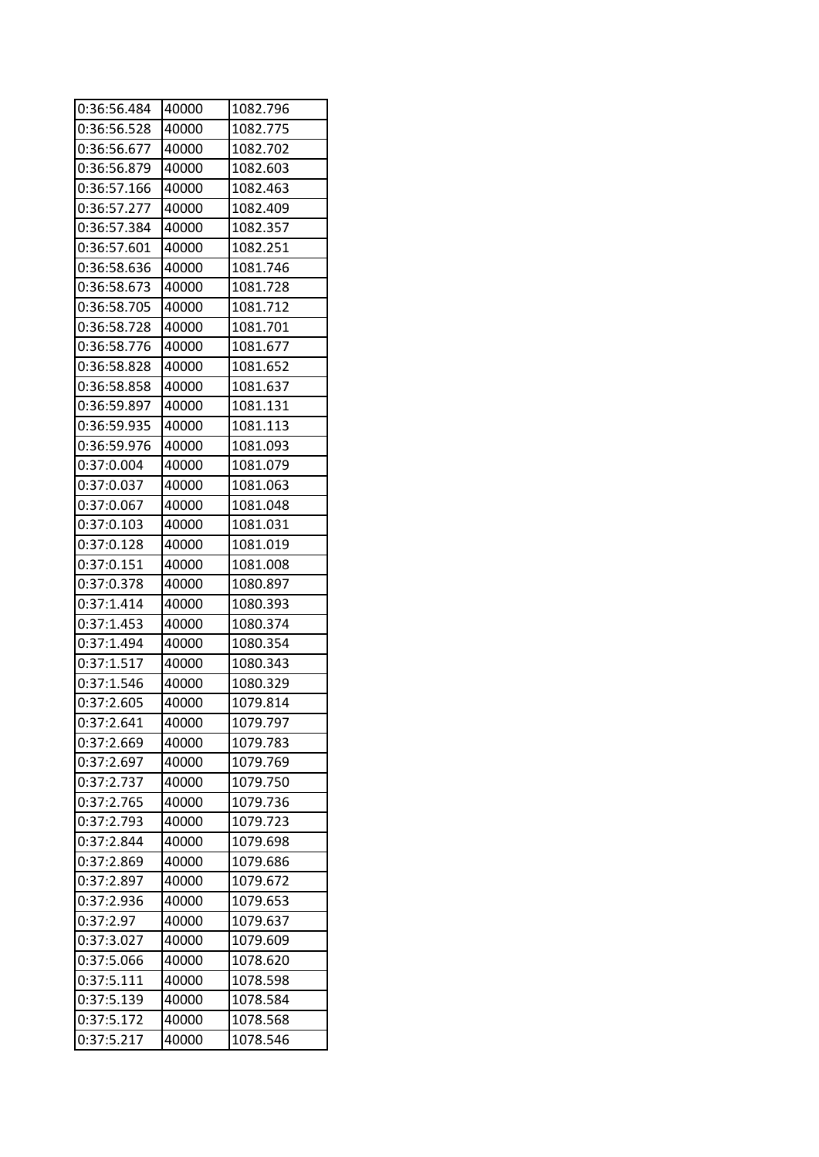| 0:36:56.484 | 40000 | 1082.796 |
|-------------|-------|----------|
| 0:36:56.528 | 40000 | 1082.775 |
| 0:36:56.677 | 40000 | 1082.702 |
| 0:36:56.879 | 40000 | 1082.603 |
| 0:36:57.166 | 40000 | 1082.463 |
| 0:36:57.277 | 40000 | 1082.409 |
| 0:36:57.384 | 40000 | 1082.357 |
| 0:36:57.601 | 40000 | 1082.251 |
| 0:36:58.636 | 40000 | 1081.746 |
| 0:36:58.673 | 40000 | 1081.728 |
| 0:36:58.705 | 40000 | 1081.712 |
| 0:36:58.728 | 40000 | 1081.701 |
| 0:36:58.776 | 40000 | 1081.677 |
| 0:36:58.828 | 40000 | 1081.652 |
| 0:36:58.858 | 40000 | 1081.637 |
| 0:36:59.897 | 40000 | 1081.131 |
| 0:36:59.935 | 40000 | 1081.113 |
| 0:36:59.976 | 40000 | 1081.093 |
| 0:37:0.004  | 40000 | 1081.079 |
| 0:37:0.037  | 40000 | 1081.063 |
| 0:37:0.067  | 40000 | 1081.048 |
| 0:37:0.103  | 40000 | 1081.031 |
| 0:37:0.128  | 40000 | 1081.019 |
| 0:37:0.151  | 40000 | 1081.008 |
| 0:37:0.378  | 40000 | 1080.897 |
| 0:37:1.414  | 40000 | 1080.393 |
| 0:37:1.453  | 40000 | 1080.374 |
| 0:37:1.494  | 40000 | 1080.354 |
| 0:37:1.517  | 40000 | 1080.343 |
| 0:37:1.546  | 40000 | 1080.329 |
| 0:37:2.605  | 40000 | 1079.814 |
| 0:37:2.641  | 40000 | 1079.797 |
| 0:37:2.669  | 40000 | 1079.783 |
| 0:37:2.697  | 40000 | 1079.769 |
| 0:37:2.737  | 40000 | 1079.750 |
| 0:37:2.765  | 40000 | 1079.736 |
| 0:37:2.793  | 40000 | 1079.723 |
| 0:37:2.844  | 40000 | 1079.698 |
| 0:37:2.869  | 40000 | 1079.686 |
| 0:37:2.897  | 40000 | 1079.672 |
| 0:37:2.936  | 40000 | 1079.653 |
| 0:37:2.97   | 40000 | 1079.637 |
| 0:37:3.027  | 40000 | 1079.609 |
| 0:37:5.066  | 40000 | 1078.620 |
| 0:37:5.111  | 40000 | 1078.598 |
| 0:37:5.139  | 40000 | 1078.584 |
| 0:37:5.172  | 40000 | 1078.568 |
| 0:37:5.217  | 40000 | 1078.546 |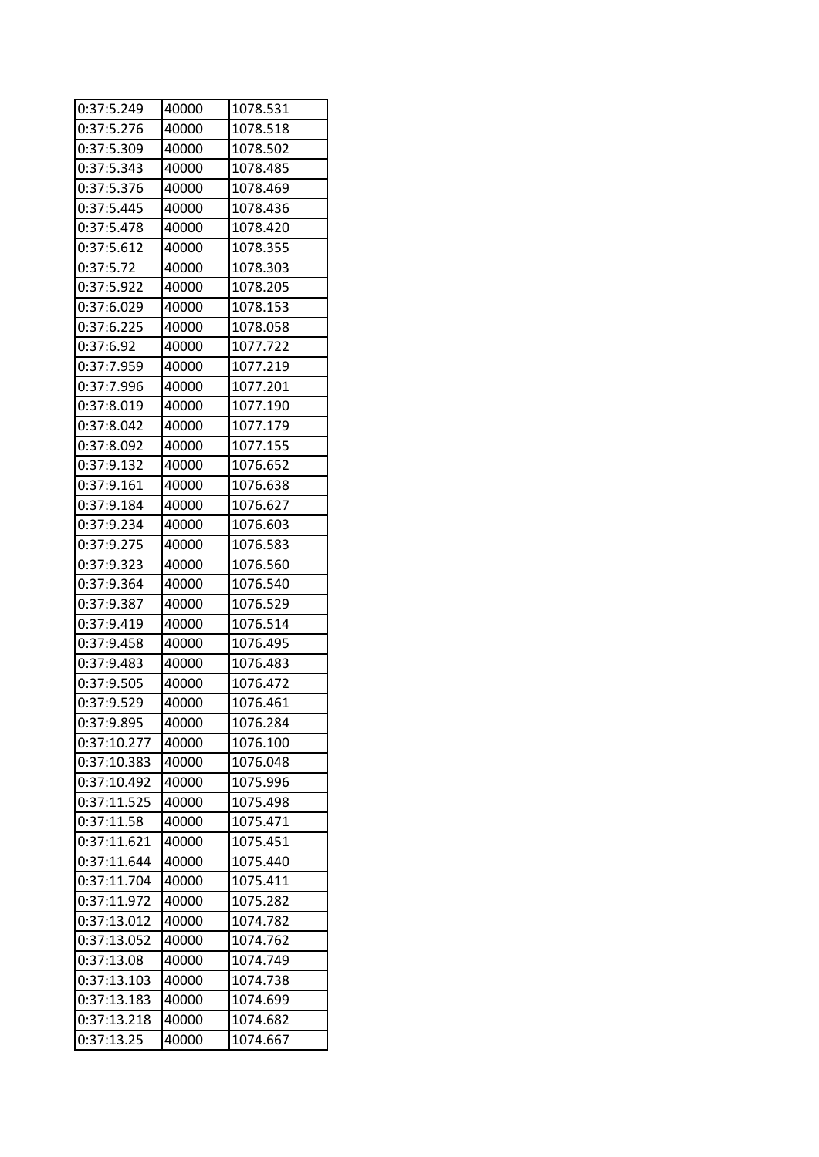| 0:37:5.249  | 40000 | 1078.531 |
|-------------|-------|----------|
| 0:37:5.276  | 40000 | 1078.518 |
| 0:37:5.309  | 40000 | 1078.502 |
| 0:37:5.343  | 40000 | 1078.485 |
| 0:37:5.376  | 40000 | 1078.469 |
| 0:37:5.445  | 40000 | 1078.436 |
| 0:37:5.478  | 40000 | 1078.420 |
| 0:37:5.612  | 40000 | 1078.355 |
| 0:37:5.72   | 40000 | 1078.303 |
| 0:37:5.922  | 40000 | 1078.205 |
| 0:37:6.029  | 40000 | 1078.153 |
| 0:37:6.225  | 40000 | 1078.058 |
| 0:37:6.92   | 40000 | 1077.722 |
| 0:37:7.959  | 40000 | 1077.219 |
| 0:37:7.996  | 40000 | 1077.201 |
| 0:37:8.019  | 40000 | 1077.190 |
| 0:37:8.042  | 40000 | 1077.179 |
| 0:37:8.092  | 40000 | 1077.155 |
| 0:37:9.132  | 40000 | 1076.652 |
| 0:37:9.161  | 40000 | 1076.638 |
| 0:37:9.184  | 40000 | 1076.627 |
| 0:37:9.234  | 40000 | 1076.603 |
| 0:37:9.275  | 40000 | 1076.583 |
| 0:37:9.323  | 40000 | 1076.560 |
| 0:37:9.364  | 40000 | 1076.540 |
| 0:37:9.387  | 40000 | 1076.529 |
| 0:37:9.419  | 40000 | 1076.514 |
| 0:37:9.458  | 40000 | 1076.495 |
| 0:37:9.483  | 40000 | 1076.483 |
| 0:37:9.505  | 40000 | 1076.472 |
| 0:37:9.529  | 40000 | 1076.461 |
| 0:37:9.895  | 40000 | 1076.284 |
| 0:37:10.277 | 40000 | 1076.100 |
| 0:37:10.383 | 40000 | 1076.048 |
| 0:37:10.492 | 40000 | 1075.996 |
| 0:37:11.525 | 40000 | 1075.498 |
| 0:37:11.58  | 40000 | 1075.471 |
| 0:37:11.621 | 40000 | 1075.451 |
| 0:37:11.644 | 40000 | 1075.440 |
| 0:37:11.704 | 40000 | 1075.411 |
| 0:37:11.972 | 40000 | 1075.282 |
| 0:37:13.012 | 40000 | 1074.782 |
| 0:37:13.052 | 40000 | 1074.762 |
| 0:37:13.08  | 40000 | 1074.749 |
| 0:37:13.103 | 40000 | 1074.738 |
| 0:37:13.183 | 40000 | 1074.699 |
| 0:37:13.218 | 40000 | 1074.682 |
| 0:37:13.25  | 40000 | 1074.667 |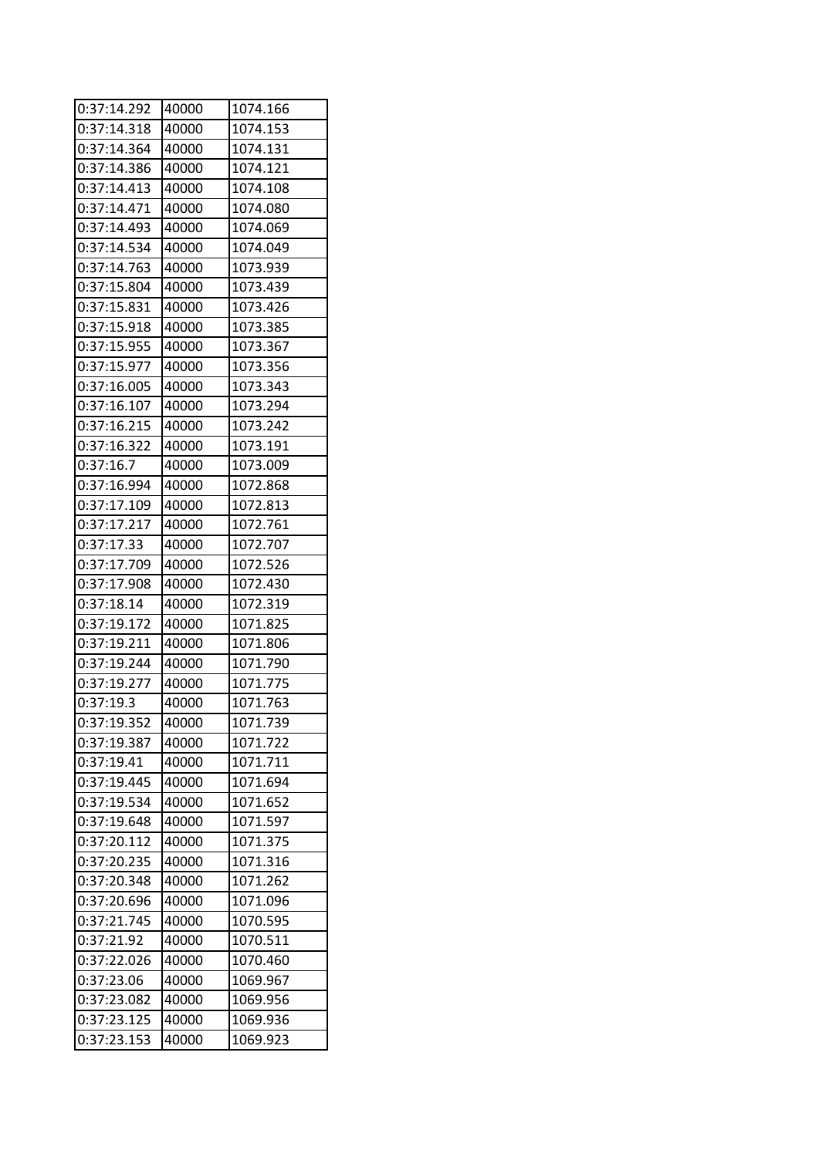| 0:37:14.292              | 40000 | 1074.166 |
|--------------------------|-------|----------|
| 0:37:14.318              | 40000 | 1074.153 |
| 0:37:14.364              | 40000 | 1074.131 |
| 0:37:14.386              | 40000 | 1074.121 |
| 0:37:14.413              | 40000 | 1074.108 |
| 0:37:14.471              | 40000 | 1074.080 |
| 0:37:14.493              | 40000 | 1074.069 |
| 0:37:14.534              | 40000 | 1074.049 |
| 0:37:14.763              | 40000 | 1073.939 |
| 0:37:15.804              | 40000 | 1073.439 |
| 0:37:15.831              | 40000 | 1073.426 |
| 0:37:15.918              | 40000 | 1073.385 |
| 0:37:15.955              | 40000 | 1073.367 |
| 0:37:15.977              | 40000 | 1073.356 |
| 0:37:16.005              | 40000 | 1073.343 |
| 0:37:16.107              | 40000 | 1073.294 |
| 0:37:16.215              | 40000 | 1073.242 |
| 0:37:16.322              | 40000 | 1073.191 |
| 0:37:16.7                | 40000 | 1073.009 |
| 0:37:16.994              | 40000 | 1072.868 |
| 0:37:17.109              | 40000 | 1072.813 |
| 0:37:17.217              | 40000 | 1072.761 |
| 0:37:17.33               | 40000 | 1072.707 |
| 0:37:17.709              | 40000 | 1072.526 |
| 0:37:17.908              | 40000 | 1072.430 |
| 0:37:18.14               | 40000 | 1072.319 |
| 0:37:19.172              | 40000 | 1071.825 |
| 0:37:19.211              | 40000 | 1071.806 |
| 0:37:19.244              | 40000 | 1071.790 |
| 0:37:19.277              | 40000 | 1071.775 |
| 0:37:19.3                | 40000 | 1071.763 |
| $0:37:19.\overline{352}$ | 40000 | 1071.739 |
| 0:37:19.387              | 40000 | 1071.722 |
| 0:37:19.41               | 40000 | 1071.711 |
| 0:37:19.445              | 40000 | 1071.694 |
| 0:37:19.534              | 40000 | 1071.652 |
| 0:37:19.648              | 40000 | 1071.597 |
| 0:37:20.112              | 40000 | 1071.375 |
| 0:37:20.235              | 40000 | 1071.316 |
| 0:37:20.348              | 40000 | 1071.262 |
| 0:37:20.696              | 40000 | 1071.096 |
| 0:37:21.745              | 40000 | 1070.595 |
| 0:37:21.92               | 40000 | 1070.511 |
| 0:37:22.026              | 40000 | 1070.460 |
| 0:37:23.06               | 40000 | 1069.967 |
| 0:37:23.082              | 40000 | 1069.956 |
| 0:37:23.125              | 40000 | 1069.936 |
| 0:37:23.153              | 40000 | 1069.923 |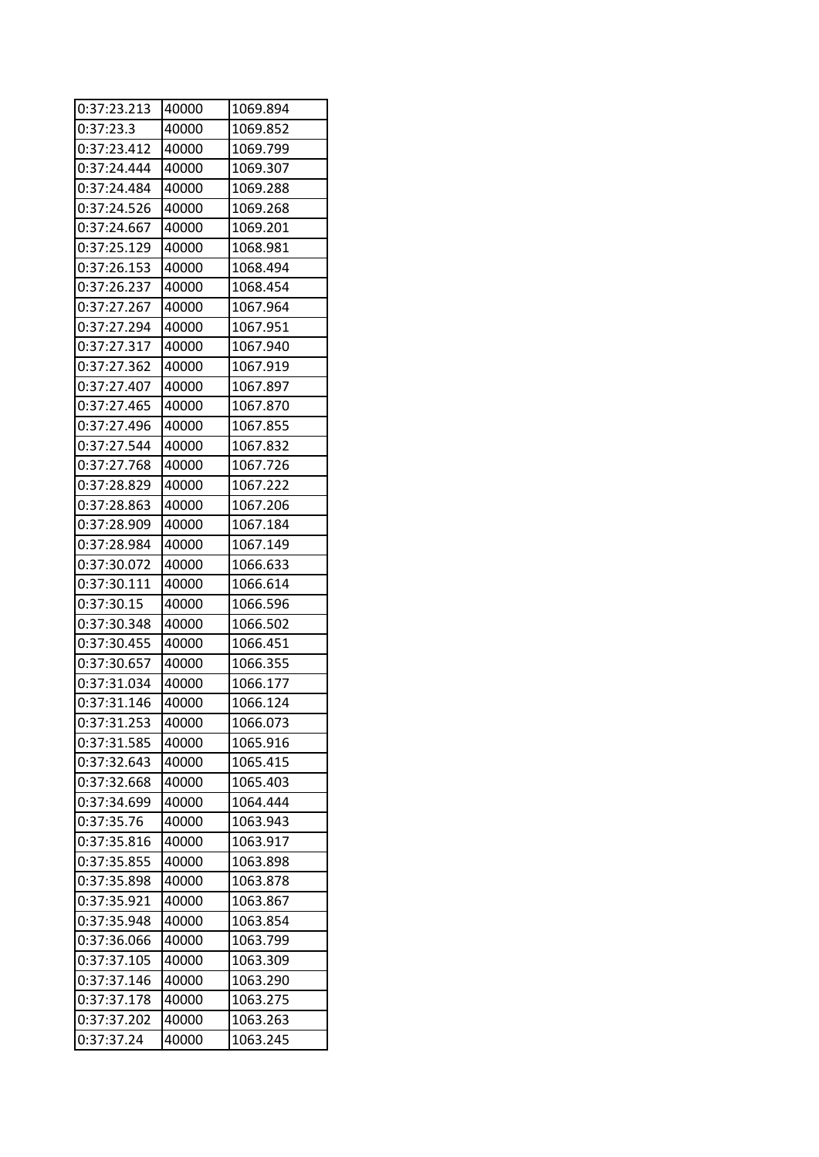| 0:37:23.213 | 40000 | 1069.894 |
|-------------|-------|----------|
| 0:37:23.3   | 40000 | 1069.852 |
| 0:37:23.412 | 40000 | 1069.799 |
| 0:37:24.444 | 40000 | 1069.307 |
| 0:37:24.484 | 40000 | 1069.288 |
| 0:37:24.526 | 40000 | 1069.268 |
| 0:37:24.667 | 40000 | 1069.201 |
| 0:37:25.129 | 40000 | 1068.981 |
| 0:37:26.153 | 40000 | 1068.494 |
| 0:37:26.237 | 40000 | 1068.454 |
| 0:37:27.267 | 40000 | 1067.964 |
| 0:37:27.294 | 40000 | 1067.951 |
| 0:37:27.317 | 40000 | 1067.940 |
| 0:37:27.362 | 40000 | 1067.919 |
| 0:37:27.407 | 40000 | 1067.897 |
| 0:37:27.465 | 40000 | 1067.870 |
| 0:37:27.496 | 40000 | 1067.855 |
| 0:37:27.544 | 40000 | 1067.832 |
| 0:37:27.768 | 40000 | 1067.726 |
| 0:37:28.829 | 40000 | 1067.222 |
| 0:37:28.863 | 40000 | 1067.206 |
| 0:37:28.909 | 40000 | 1067.184 |
| 0:37:28.984 | 40000 | 1067.149 |
| 0:37:30.072 | 40000 | 1066.633 |
| 0:37:30.111 | 40000 | 1066.614 |
| 0:37:30.15  | 40000 | 1066.596 |
| 0:37:30.348 | 40000 | 1066.502 |
| 0:37:30.455 | 40000 | 1066.451 |
| 0:37:30.657 | 40000 | 1066.355 |
| 0:37:31.034 | 40000 | 1066.177 |
| 0:37:31.146 | 40000 | 1066.124 |
| 0:37:31.253 | 40000 | 1066.073 |
| 0:37:31.585 | 40000 | 1065.916 |
| 0:37:32.643 | 40000 | 1065.415 |
| 0:37:32.668 | 40000 | 1065.403 |
| 0:37:34.699 | 40000 | 1064.444 |
| 0:37:35.76  | 40000 | 1063.943 |
| 0:37:35.816 | 40000 | 1063.917 |
| 0:37:35.855 | 40000 | 1063.898 |
| 0:37:35.898 | 40000 | 1063.878 |
| 0:37:35.921 | 40000 | 1063.867 |
| 0:37:35.948 | 40000 | 1063.854 |
| 0:37:36.066 | 40000 | 1063.799 |
| 0:37:37.105 | 40000 | 1063.309 |
| 0:37:37.146 | 40000 | 1063.290 |
| 0:37:37.178 | 40000 | 1063.275 |
| 0:37:37.202 | 40000 | 1063.263 |
| 0:37:37.24  | 40000 | 1063.245 |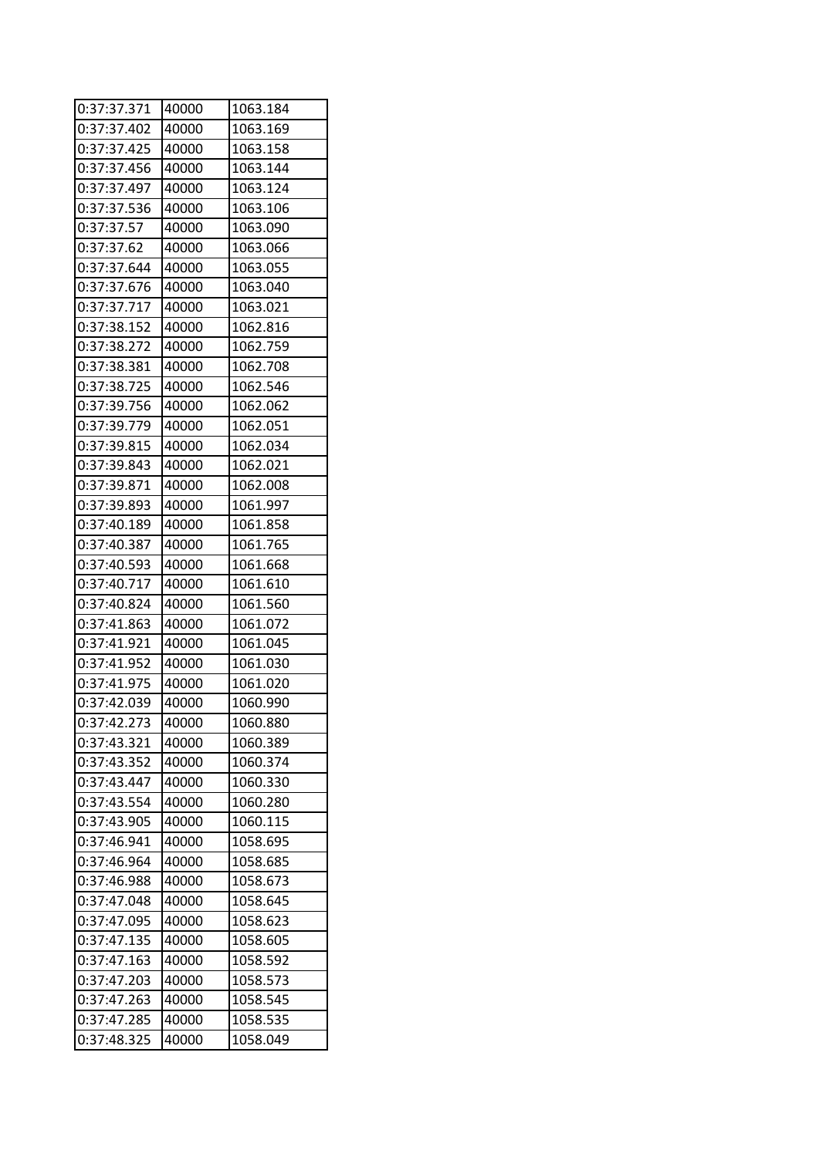| 0:37:37.371 | 40000 | 1063.184 |  |
|-------------|-------|----------|--|
| 0:37:37.402 | 40000 | 1063.169 |  |
| 0:37:37.425 | 40000 | 1063.158 |  |
| 0:37:37.456 | 40000 | 1063.144 |  |
| 0:37:37.497 | 40000 | 1063.124 |  |
| 0:37:37.536 | 40000 | 1063.106 |  |
| 0:37:37.57  | 40000 | 1063.090 |  |
| 0:37:37.62  | 40000 | 1063.066 |  |
| 0:37:37.644 | 40000 | 1063.055 |  |
| 0:37:37.676 | 40000 | 1063.040 |  |
| 0:37:37.717 | 40000 | 1063.021 |  |
| 0:37:38.152 | 40000 | 1062.816 |  |
| 0:37:38.272 | 40000 | 1062.759 |  |
| 0:37:38.381 | 40000 | 1062.708 |  |
| 0:37:38.725 | 40000 | 1062.546 |  |
| 0:37:39.756 | 40000 | 1062.062 |  |
| 0:37:39.779 | 40000 | 1062.051 |  |
| 0:37:39.815 | 40000 | 1062.034 |  |
| 0:37:39.843 | 40000 | 1062.021 |  |
| 0:37:39.871 | 40000 | 1062.008 |  |
| 0:37:39.893 | 40000 | 1061.997 |  |
| 0:37:40.189 | 40000 | 1061.858 |  |
| 0:37:40.387 | 40000 | 1061.765 |  |
| 0:37:40.593 | 40000 | 1061.668 |  |
| 0:37:40.717 | 40000 | 1061.610 |  |
| 0:37:40.824 | 40000 | 1061.560 |  |
| 0:37:41.863 | 40000 | 1061.072 |  |
| 0:37:41.921 | 40000 | 1061.045 |  |
| 0:37:41.952 | 40000 | 1061.030 |  |
| 0:37:41.975 | 40000 | 1061.020 |  |
| 0:37:42.039 | 40000 | 1060.990 |  |
| 0:37:42.273 | 40000 | 1060.880 |  |
| 0:37:43.321 | 40000 | 1060.389 |  |
| 0:37:43.352 | 40000 | 1060.374 |  |
| 0:37:43.447 | 40000 | 1060.330 |  |
| 0:37:43.554 | 40000 | 1060.280 |  |
| 0:37:43.905 | 40000 | 1060.115 |  |
| 0:37:46.941 | 40000 | 1058.695 |  |
| 0:37:46.964 | 40000 | 1058.685 |  |
| 0:37:46.988 | 40000 | 1058.673 |  |
| 0:37:47.048 | 40000 | 1058.645 |  |
| 0:37:47.095 | 40000 | 1058.623 |  |
| 0:37:47.135 | 40000 | 1058.605 |  |
| 0:37:47.163 | 40000 | 1058.592 |  |
| 0:37:47.203 | 40000 | 1058.573 |  |
| 0:37:47.263 | 40000 | 1058.545 |  |
| 0:37:47.285 | 40000 | 1058.535 |  |
| 0:37:48.325 | 40000 | 1058.049 |  |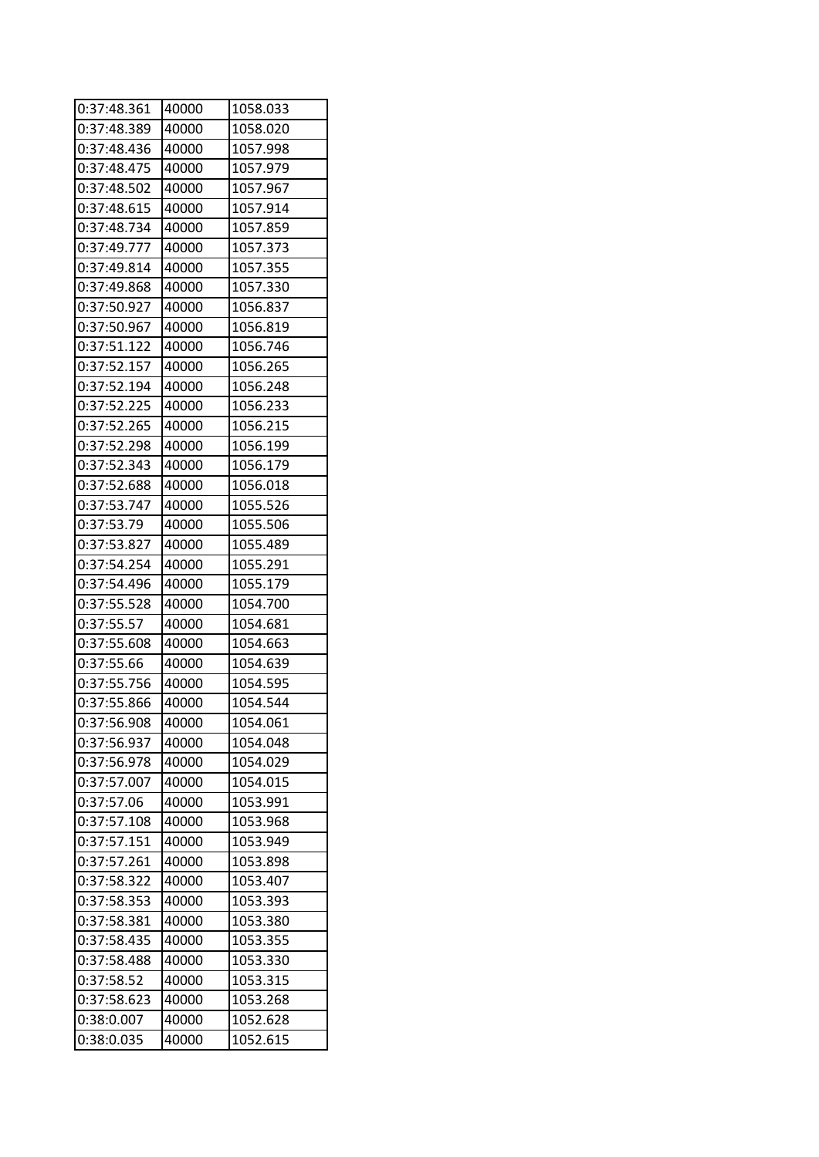| 0:37:48.361 | 40000 | 1058.033 |
|-------------|-------|----------|
| 0:37:48.389 | 40000 | 1058.020 |
| 0:37:48.436 | 40000 | 1057.998 |
| 0:37:48.475 | 40000 | 1057.979 |
| 0:37:48.502 | 40000 | 1057.967 |
| 0:37:48.615 | 40000 | 1057.914 |
| 0:37:48.734 | 40000 | 1057.859 |
| 0:37:49.777 | 40000 | 1057.373 |
| 0:37:49.814 | 40000 | 1057.355 |
| 0:37:49.868 | 40000 | 1057.330 |
| 0:37:50.927 | 40000 | 1056.837 |
| 0:37:50.967 | 40000 | 1056.819 |
| 0:37:51.122 | 40000 | 1056.746 |
| 0:37:52.157 | 40000 | 1056.265 |
| 0:37:52.194 | 40000 | 1056.248 |
| 0:37:52.225 | 40000 | 1056.233 |
| 0:37:52.265 | 40000 | 1056.215 |
| 0:37:52.298 | 40000 | 1056.199 |
| 0:37:52.343 | 40000 | 1056.179 |
| 0:37:52.688 | 40000 | 1056.018 |
| 0:37:53.747 | 40000 | 1055.526 |
| 0:37:53.79  | 40000 | 1055.506 |
| 0:37:53.827 | 40000 | 1055.489 |
| 0:37:54.254 | 40000 | 1055.291 |
| 0:37:54.496 | 40000 | 1055.179 |
| 0:37:55.528 | 40000 | 1054.700 |
| 0:37:55.57  | 40000 | 1054.681 |
| 0:37:55.608 | 40000 | 1054.663 |
| 0:37:55.66  | 40000 | 1054.639 |
| 0:37:55.756 | 40000 | 1054.595 |
| 0:37:55.866 | 40000 | 1054.544 |
| 0:37:56.908 | 40000 | 1054.061 |
| 0:37:56.937 | 40000 | 1054.048 |
| 0:37:56.978 | 40000 | 1054.029 |
| 0:37:57.007 | 40000 | 1054.015 |
| 0:37:57.06  | 40000 | 1053.991 |
| 0:37:57.108 | 40000 | 1053.968 |
| 0:37:57.151 | 40000 | 1053.949 |
| 0:37:57.261 | 40000 | 1053.898 |
| 0:37:58.322 | 40000 | 1053.407 |
| 0:37:58.353 | 40000 | 1053.393 |
| 0:37:58.381 | 40000 | 1053.380 |
| 0:37:58.435 | 40000 | 1053.355 |
| 0:37:58.488 | 40000 | 1053.330 |
| 0:37:58.52  | 40000 | 1053.315 |
| 0:37:58.623 | 40000 | 1053.268 |
| 0:38:0.007  | 40000 | 1052.628 |
| 0:38:0.035  | 40000 | 1052.615 |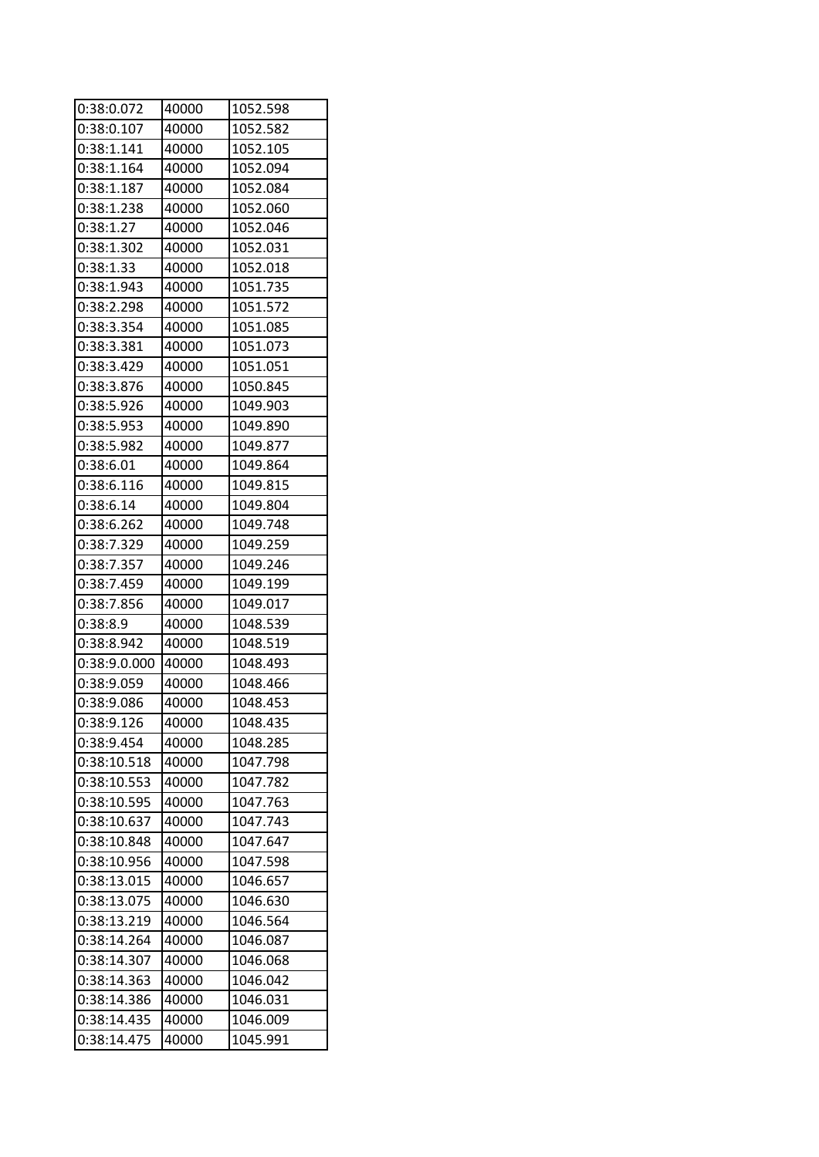| 0:38:0.072   | 40000 | 1052.598 |
|--------------|-------|----------|
| 0:38:0.107   | 40000 | 1052.582 |
| 0:38:1.141   | 40000 | 1052.105 |
| 0:38:1.164   | 40000 | 1052.094 |
| 0:38:1.187   | 40000 | 1052.084 |
| 0:38:1.238   | 40000 | 1052.060 |
| 0:38:1.27    | 40000 | 1052.046 |
| 0:38:1.302   | 40000 | 1052.031 |
| 0:38:1.33    | 40000 | 1052.018 |
| 0:38:1.943   | 40000 | 1051.735 |
| 0:38:2.298   | 40000 | 1051.572 |
| 0:38:3.354   | 40000 | 1051.085 |
| 0:38:3.381   | 40000 | 1051.073 |
| 0:38:3.429   | 40000 | 1051.051 |
| 0:38:3.876   | 40000 | 1050.845 |
| 0:38:5.926   | 40000 | 1049.903 |
| 0:38:5.953   | 40000 | 1049.890 |
| 0:38:5.982   | 40000 | 1049.877 |
| 0:38:6.01    | 40000 | 1049.864 |
| 0:38:6.116   | 40000 | 1049.815 |
| 0:38:6.14    | 40000 | 1049.804 |
| 0:38:6.262   | 40000 | 1049.748 |
| 0:38:7.329   | 40000 | 1049.259 |
| 0:38:7.357   | 40000 | 1049.246 |
| 0:38:7.459   | 40000 | 1049.199 |
| 0:38:7.856   | 40000 | 1049.017 |
| 0:38:8.9     | 40000 | 1048.539 |
| 0:38:8.942   | 40000 | 1048.519 |
| 0:38:9.0.000 | 40000 | 1048.493 |
| 0:38:9.059   | 40000 | 1048.466 |
| 0:38:9.086   | 40000 | 1048.453 |
| 0:38:9.126   | 40000 | 1048.435 |
| 0:38:9.454   | 40000 | 1048.285 |
| 0:38:10.518  | 40000 | 1047.798 |
| 0:38:10.553  | 40000 | 1047.782 |
| 0:38:10.595  | 40000 | 1047.763 |
| 0:38:10.637  | 40000 | 1047.743 |
| 0:38:10.848  | 40000 | 1047.647 |
| 0:38:10.956  | 40000 | 1047.598 |
| 0:38:13.015  | 40000 | 1046.657 |
| 0:38:13.075  | 40000 | 1046.630 |
| 0:38:13.219  | 40000 | 1046.564 |
| 0:38:14.264  | 40000 | 1046.087 |
| 0:38:14.307  | 40000 | 1046.068 |
| 0:38:14.363  | 40000 | 1046.042 |
| 0:38:14.386  | 40000 | 1046.031 |
| 0:38:14.435  | 40000 | 1046.009 |
| 0:38:14.475  | 40000 | 1045.991 |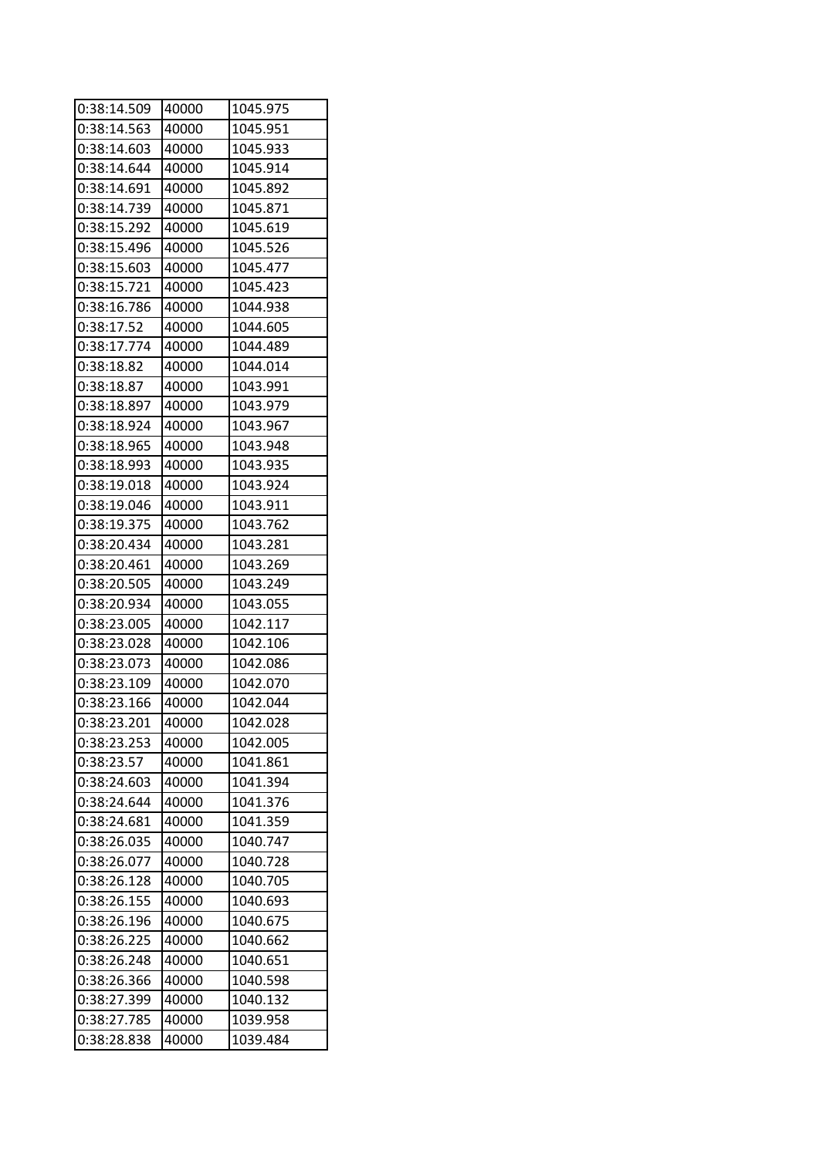| 0:38:14.509              | 40000 | 1045.975 |
|--------------------------|-------|----------|
| 0:38:14.563              | 40000 | 1045.951 |
| 0:38:14.603              | 40000 | 1045.933 |
| 0:38:14.644              | 40000 | 1045.914 |
| 0:38:14.691              | 40000 | 1045.892 |
| 0:38:14.739              | 40000 | 1045.871 |
| 0:38:15.292              | 40000 | 1045.619 |
| 0:38:15.496              | 40000 | 1045.526 |
| 0:38:15.603              | 40000 | 1045.477 |
| 0:38:15.721              | 40000 | 1045.423 |
| 0:38:16.786              | 40000 | 1044.938 |
| 0:38:17.52               | 40000 | 1044.605 |
| 0:38:17.774              | 40000 | 1044.489 |
| 0:38:18.82               | 40000 | 1044.014 |
| 0:38:18.87               | 40000 | 1043.991 |
| 0:38:18.897              | 40000 | 1043.979 |
| 0:38:18.924              | 40000 | 1043.967 |
| 0:38:18.965              | 40000 | 1043.948 |
| 0:38:18.993              | 40000 | 1043.935 |
| 0:38:19.018              | 40000 | 1043.924 |
| 0:38:19.046              | 40000 | 1043.911 |
| 0:38:19.375              | 40000 | 1043.762 |
| 0:38:20.434              | 40000 | 1043.281 |
| 0:38:20.461              | 40000 | 1043.269 |
| 0:38:20.505              | 40000 | 1043.249 |
| 0:38:20.934              | 40000 | 1043.055 |
| 0:38:23.005              | 40000 | 1042.117 |
| 0:38:23.028              | 40000 | 1042.106 |
| 0:38:23.073              | 40000 | 1042.086 |
| 0:38:23.109              | 40000 | 1042.070 |
| 0:38:23.166              | 40000 | 1042.044 |
| $0:38:23.\overline{201}$ | 40000 | 1042.028 |
| 0:38:23.253              | 40000 | 1042.005 |
| 0:38:23.57               | 40000 | 1041.861 |
| 0:38:24.603              | 40000 | 1041.394 |
| 0:38:24.644              | 40000 | 1041.376 |
| 0:38:24.681              | 40000 | 1041.359 |
| 0:38:26.035              | 40000 | 1040.747 |
| 0:38:26.077              | 40000 | 1040.728 |
| 0:38:26.128              | 40000 | 1040.705 |
| 0:38:26.155              | 40000 | 1040.693 |
| 0:38:26.196              | 40000 | 1040.675 |
| 0:38:26.225              | 40000 | 1040.662 |
| 0:38:26.248              | 40000 | 1040.651 |
| 0:38:26.366              | 40000 | 1040.598 |
| 0:38:27.399              | 40000 | 1040.132 |
| 0:38:27.785              | 40000 | 1039.958 |
| 0:38:28.838              | 40000 | 1039.484 |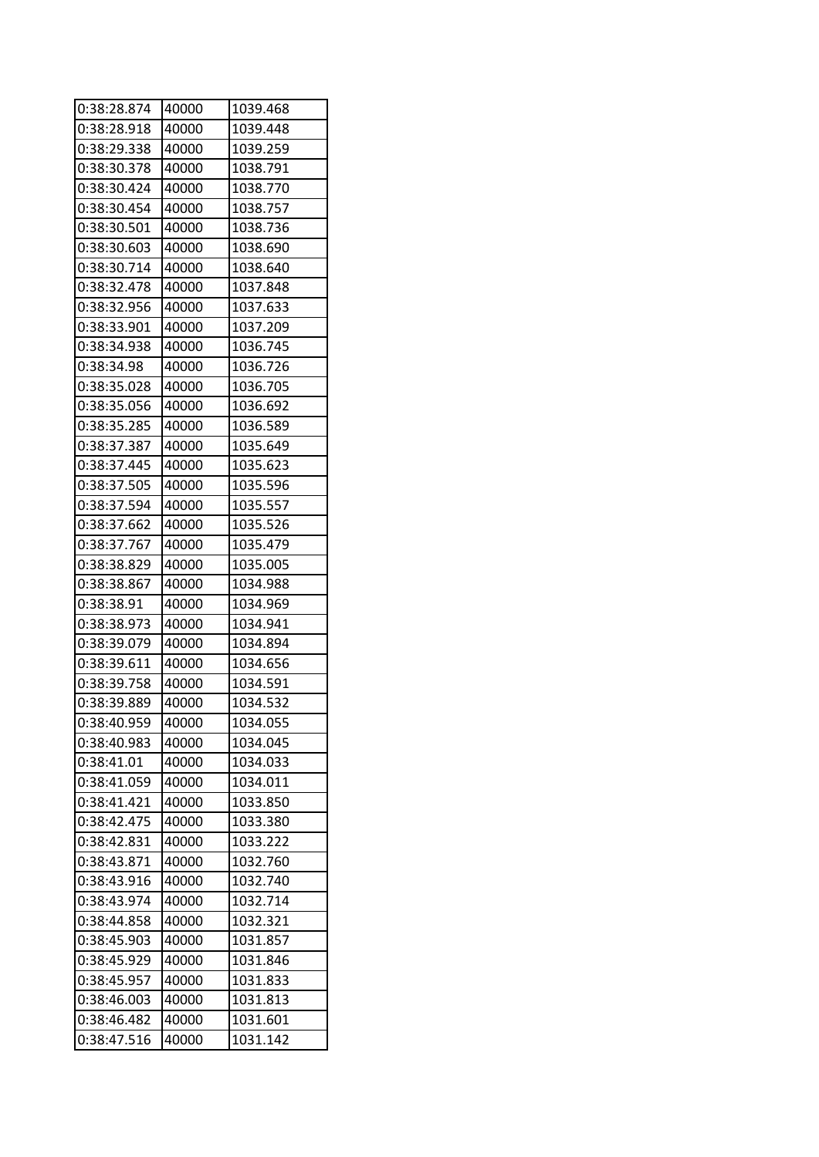| 0:38:28.874 | 40000 | 1039.468 |
|-------------|-------|----------|
| 0:38:28.918 | 40000 | 1039.448 |
| 0:38:29.338 | 40000 | 1039.259 |
| 0:38:30.378 | 40000 | 1038.791 |
| 0:38:30.424 | 40000 | 1038.770 |
| 0:38:30.454 | 40000 | 1038.757 |
| 0:38:30.501 | 40000 | 1038.736 |
| 0:38:30.603 | 40000 | 1038.690 |
| 0:38:30.714 | 40000 | 1038.640 |
| 0:38:32.478 | 40000 | 1037.848 |
| 0:38:32.956 | 40000 | 1037.633 |
| 0:38:33.901 | 40000 | 1037.209 |
| 0:38:34.938 | 40000 | 1036.745 |
| 0:38:34.98  | 40000 | 1036.726 |
| 0:38:35.028 | 40000 | 1036.705 |
| 0:38:35.056 | 40000 | 1036.692 |
| 0:38:35.285 | 40000 | 1036.589 |
| 0:38:37.387 | 40000 | 1035.649 |
| 0:38:37.445 | 40000 | 1035.623 |
| 0:38:37.505 | 40000 | 1035.596 |
| 0:38:37.594 | 40000 | 1035.557 |
| 0:38:37.662 | 40000 | 1035.526 |
| 0:38:37.767 | 40000 | 1035.479 |
| 0:38:38.829 | 40000 | 1035.005 |
| 0:38:38.867 | 40000 | 1034.988 |
| 0:38:38.91  | 40000 | 1034.969 |
| 0:38:38.973 | 40000 | 1034.941 |
| 0:38:39.079 | 40000 | 1034.894 |
| 0:38:39.611 | 40000 | 1034.656 |
| 0:38:39.758 | 40000 | 1034.591 |
| 0:38:39.889 | 40000 | 1034.532 |
| 0:38:40.959 | 40000 | 1034.055 |
| 0:38:40.983 | 40000 | 1034.045 |
| 0:38:41.01  | 40000 | 1034.033 |
| 0:38:41.059 | 40000 | 1034.011 |
| 0:38:41.421 | 40000 | 1033.850 |
| 0:38:42.475 | 40000 | 1033.380 |
| 0:38:42.831 | 40000 | 1033.222 |
| 0:38:43.871 | 40000 | 1032.760 |
| 0:38:43.916 | 40000 | 1032.740 |
| 0:38:43.974 | 40000 | 1032.714 |
| 0:38:44.858 | 40000 | 1032.321 |
| 0:38:45.903 | 40000 | 1031.857 |
| 0:38:45.929 | 40000 | 1031.846 |
| 0:38:45.957 | 40000 | 1031.833 |
| 0:38:46.003 | 40000 | 1031.813 |
| 0:38:46.482 | 40000 | 1031.601 |
| 0:38:47.516 | 40000 | 1031.142 |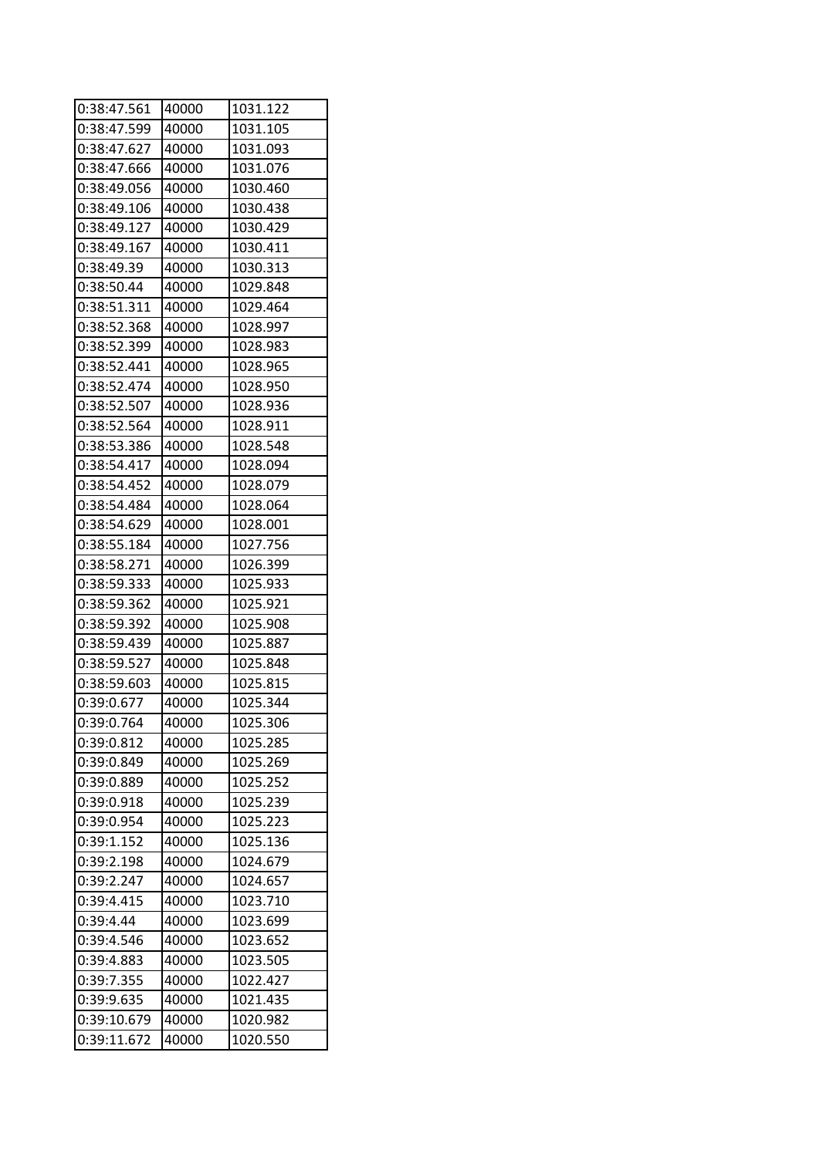| 0:38:47.561 | 40000 | 1031.122 |
|-------------|-------|----------|
| 0:38:47.599 | 40000 | 1031.105 |
| 0:38:47.627 | 40000 | 1031.093 |
| 0:38:47.666 | 40000 | 1031.076 |
| 0:38:49.056 | 40000 | 1030.460 |
| 0:38:49.106 | 40000 | 1030.438 |
| 0:38:49.127 | 40000 | 1030.429 |
| 0:38:49.167 | 40000 | 1030.411 |
| 0:38:49.39  | 40000 | 1030.313 |
| 0:38:50.44  | 40000 | 1029.848 |
| 0:38:51.311 | 40000 | 1029.464 |
| 0:38:52.368 | 40000 | 1028.997 |
| 0:38:52.399 | 40000 | 1028.983 |
| 0:38:52.441 | 40000 | 1028.965 |
| 0:38:52.474 | 40000 | 1028.950 |
| 0:38:52.507 | 40000 | 1028.936 |
| 0:38:52.564 | 40000 | 1028.911 |
| 0:38:53.386 | 40000 | 1028.548 |
| 0:38:54.417 | 40000 | 1028.094 |
| 0:38:54.452 | 40000 | 1028.079 |
| 0:38:54.484 | 40000 | 1028.064 |
| 0:38:54.629 | 40000 | 1028.001 |
| 0:38:55.184 | 40000 | 1027.756 |
| 0:38:58.271 | 40000 | 1026.399 |
| 0:38:59.333 | 40000 | 1025.933 |
| 0:38:59.362 | 40000 | 1025.921 |
| 0:38:59.392 | 40000 | 1025.908 |
| 0:38:59.439 | 40000 | 1025.887 |
| 0:38:59.527 | 40000 | 1025.848 |
| 0:38:59.603 | 40000 | 1025.815 |
| 0:39:0.677  | 40000 | 1025.344 |
| 0:39:0.764  | 40000 | 1025.306 |
| 0:39:0.812  | 40000 | 1025.285 |
| 0:39:0.849  | 40000 | 1025.269 |
| 0:39:0.889  | 40000 | 1025.252 |
| 0:39:0.918  | 40000 | 1025.239 |
| 0:39:0.954  | 40000 | 1025.223 |
| 0:39:1.152  | 40000 | 1025.136 |
| 0:39:2.198  | 40000 | 1024.679 |
| 0:39:2.247  | 40000 | 1024.657 |
| 0:39:4.415  | 40000 | 1023.710 |
| 0:39:4.44   | 40000 | 1023.699 |
| 0:39:4.546  | 40000 | 1023.652 |
| 0:39:4.883  | 40000 | 1023.505 |
| 0:39:7.355  | 40000 | 1022.427 |
| 0:39:9.635  | 40000 | 1021.435 |
| 0:39:10.679 | 40000 | 1020.982 |
| 0:39:11.672 | 40000 | 1020.550 |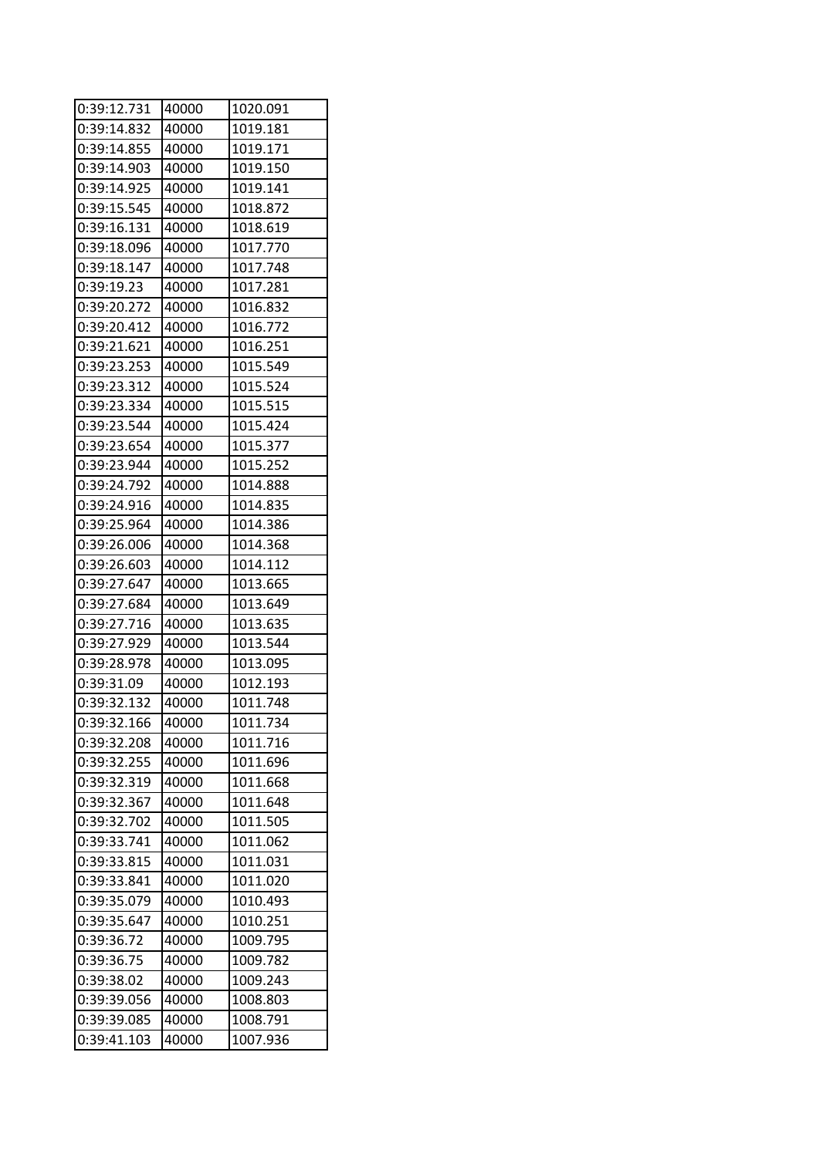| 0:39:12.731 | 40000 | 1020.091 |
|-------------|-------|----------|
| 0:39:14.832 | 40000 | 1019.181 |
| 0:39:14.855 | 40000 | 1019.171 |
| 0:39:14.903 | 40000 | 1019.150 |
| 0:39:14.925 | 40000 | 1019.141 |
| 0:39:15.545 | 40000 | 1018.872 |
| 0:39:16.131 | 40000 | 1018.619 |
| 0:39:18.096 | 40000 | 1017.770 |
| 0:39:18.147 | 40000 | 1017.748 |
| 0:39:19.23  | 40000 | 1017.281 |
| 0:39:20.272 | 40000 | 1016.832 |
| 0:39:20.412 | 40000 | 1016.772 |
| 0:39:21.621 | 40000 | 1016.251 |
| 0:39:23.253 | 40000 | 1015.549 |
| 0:39:23.312 | 40000 | 1015.524 |
| 0:39:23.334 | 40000 | 1015.515 |
| 0:39:23.544 | 40000 | 1015.424 |
| 0:39:23.654 | 40000 | 1015.377 |
| 0:39:23.944 | 40000 | 1015.252 |
| 0:39:24.792 | 40000 | 1014.888 |
| 0:39:24.916 | 40000 | 1014.835 |
| 0:39:25.964 | 40000 | 1014.386 |
| 0:39:26.006 | 40000 | 1014.368 |
| 0:39:26.603 | 40000 | 1014.112 |
| 0:39:27.647 | 40000 | 1013.665 |
| 0:39:27.684 | 40000 | 1013.649 |
| 0:39:27.716 | 40000 | 1013.635 |
| 0:39:27.929 | 40000 | 1013.544 |
| 0:39:28.978 | 40000 | 1013.095 |
| 0:39:31.09  | 40000 | 1012.193 |
| 0:39:32.132 | 40000 | 1011.748 |
| 0:39:32.166 | 40000 | 1011.734 |
| 0:39:32.208 | 40000 | 1011.716 |
| 0:39:32.255 | 40000 | 1011.696 |
| 0:39:32.319 | 40000 | 1011.668 |
| 0:39:32.367 | 40000 | 1011.648 |
| 0:39:32.702 | 40000 | 1011.505 |
| 0:39:33.741 | 40000 | 1011.062 |
| 0:39:33.815 | 40000 | 1011.031 |
| 0:39:33.841 | 40000 | 1011.020 |
| 0:39:35.079 | 40000 | 1010.493 |
| 0:39:35.647 | 40000 | 1010.251 |
| 0:39:36.72  | 40000 | 1009.795 |
| 0:39:36.75  | 40000 | 1009.782 |
| 0:39:38.02  | 40000 | 1009.243 |
| 0:39:39.056 | 40000 | 1008.803 |
| 0:39:39.085 | 40000 | 1008.791 |
| 0:39:41.103 | 40000 | 1007.936 |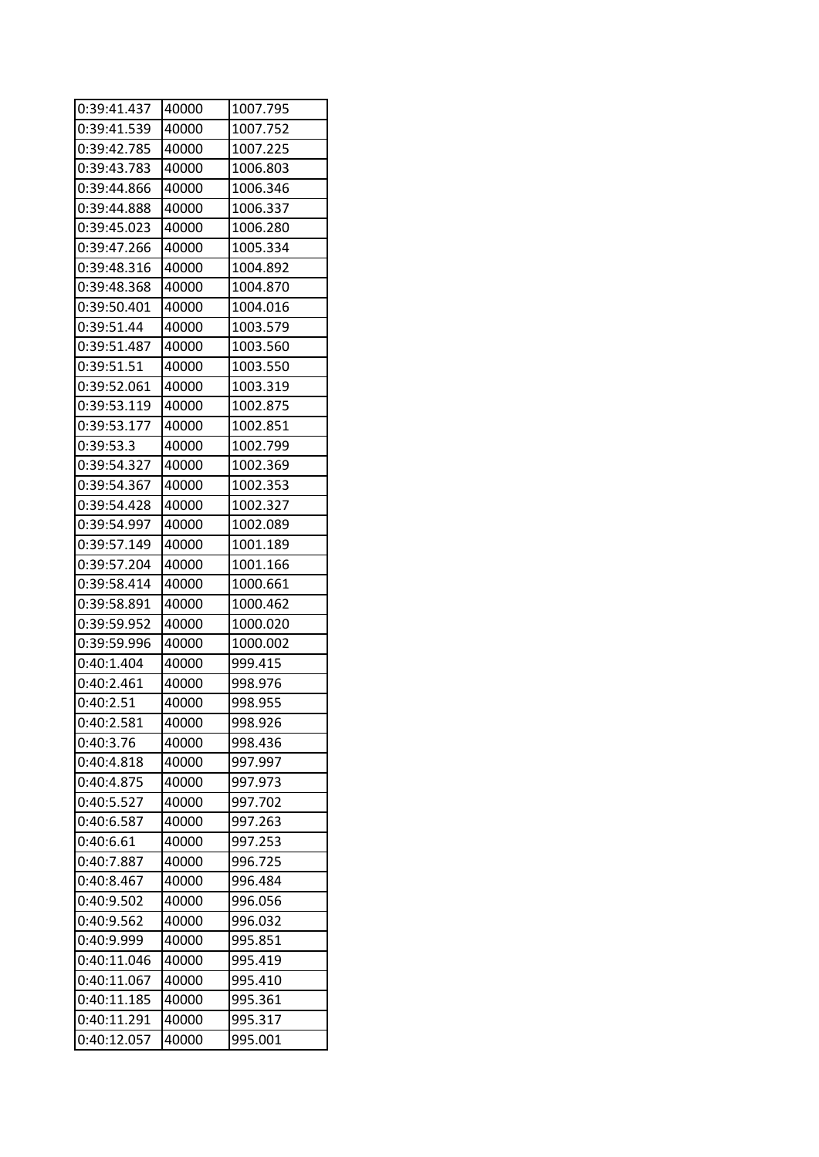| 0:39:41.437 | 40000 | 1007.795 |
|-------------|-------|----------|
| 0:39:41.539 | 40000 | 1007.752 |
| 0:39:42.785 | 40000 | 1007.225 |
| 0:39:43.783 | 40000 | 1006.803 |
| 0:39:44.866 | 40000 | 1006.346 |
| 0:39:44.888 | 40000 | 1006.337 |
| 0:39:45.023 | 40000 | 1006.280 |
| 0:39:47.266 | 40000 | 1005.334 |
| 0:39:48.316 | 40000 | 1004.892 |
| 0:39:48.368 | 40000 | 1004.870 |
| 0:39:50.401 | 40000 | 1004.016 |
| 0:39:51.44  | 40000 | 1003.579 |
| 0:39:51.487 | 40000 | 1003.560 |
| 0:39:51.51  | 40000 | 1003.550 |
| 0:39:52.061 | 40000 | 1003.319 |
| 0:39:53.119 | 40000 | 1002.875 |
| 0:39:53.177 | 40000 | 1002.851 |
| 0:39:53.3   | 40000 | 1002.799 |
| 0:39:54.327 | 40000 | 1002.369 |
| 0:39:54.367 | 40000 | 1002.353 |
| 0:39:54.428 | 40000 | 1002.327 |
| 0:39:54.997 | 40000 | 1002.089 |
| 0:39:57.149 | 40000 | 1001.189 |
| 0:39:57.204 | 40000 | 1001.166 |
| 0:39:58.414 | 40000 | 1000.661 |
| 0:39:58.891 | 40000 | 1000.462 |
| 0:39:59.952 | 40000 | 1000.020 |
| 0:39:59.996 | 40000 | 1000.002 |
| 0:40:1.404  | 40000 | 999.415  |
| 0:40:2.461  | 40000 | 998.976  |
| 0:40:2.51   | 40000 | 998.955  |
| 0:40:2.581  | 40000 | 998.926  |
| 0:40:3.76   | 40000 | 998.436  |
| 0:40:4.818  | 40000 | 997.997  |
| 0:40:4.875  | 40000 | 997.973  |
| 0:40:5.527  | 40000 | 997.702  |
| 0:40:6.587  | 40000 | 997.263  |
| 0:40:6.61   | 40000 | 997.253  |
| 0:40:7.887  | 40000 | 996.725  |
| 0:40:8.467  | 40000 | 996.484  |
| 0:40:9.502  | 40000 | 996.056  |
| 0:40:9.562  | 40000 | 996.032  |
| 0:40:9.999  | 40000 | 995.851  |
| 0:40:11.046 | 40000 | 995.419  |
| 0:40:11.067 | 40000 | 995.410  |
| 0:40:11.185 | 40000 | 995.361  |
| 0:40:11.291 | 40000 | 995.317  |
| 0:40:12.057 | 40000 | 995.001  |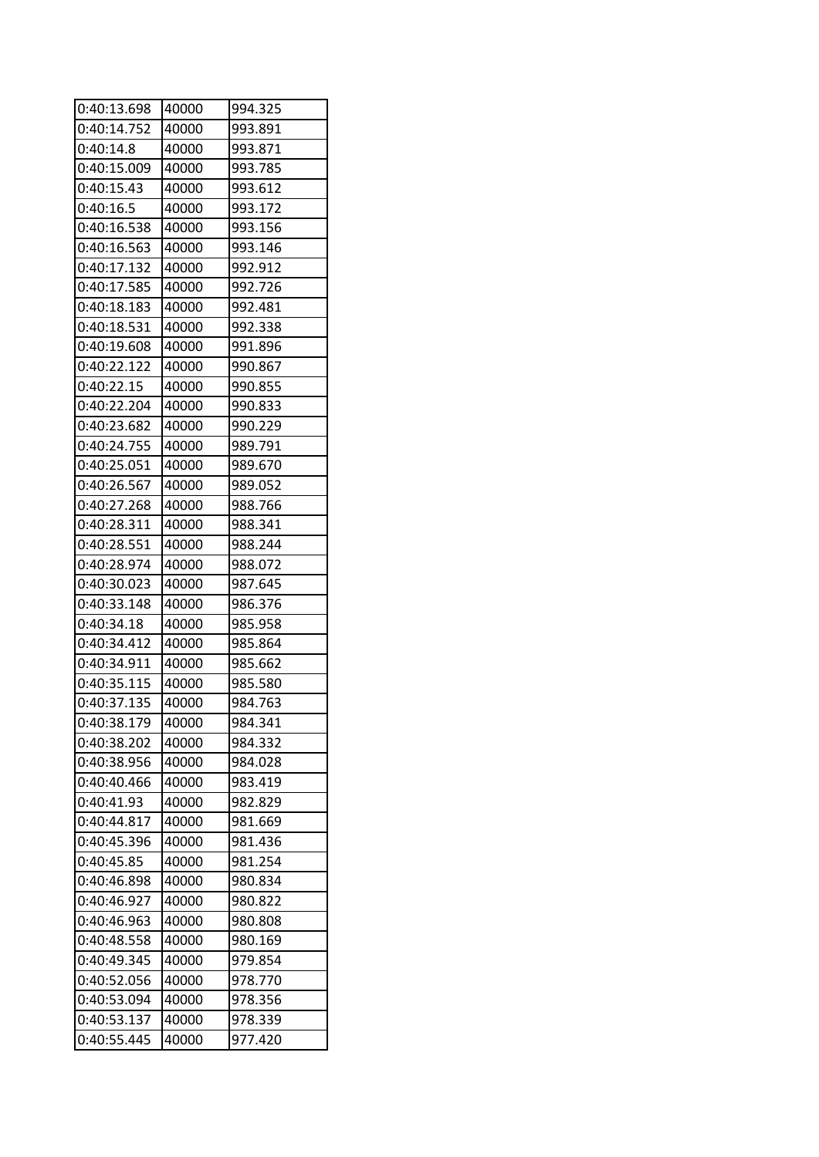| 0:40:13.698 | 40000 | 994.325 |
|-------------|-------|---------|
| 0:40:14.752 | 40000 | 993.891 |
| 0:40:14.8   | 40000 | 993.871 |
| 0:40:15.009 | 40000 | 993.785 |
| 0:40:15.43  | 40000 | 993.612 |
| 0:40:16.5   | 40000 | 993.172 |
| 0:40:16.538 | 40000 | 993.156 |
| 0:40:16.563 | 40000 | 993.146 |
| 0:40:17.132 | 40000 | 992.912 |
| 0:40:17.585 | 40000 | 992.726 |
| 0:40:18.183 | 40000 | 992.481 |
| 0:40:18.531 | 40000 | 992.338 |
| 0:40:19.608 | 40000 | 991.896 |
| 0:40:22.122 | 40000 | 990.867 |
| 0:40:22.15  | 40000 | 990.855 |
| 0:40:22.204 | 40000 | 990.833 |
| 0:40:23.682 | 40000 | 990.229 |
| 0:40:24.755 | 40000 | 989.791 |
| 0:40:25.051 | 40000 | 989.670 |
| 0:40:26.567 | 40000 | 989.052 |
| 0:40:27.268 | 40000 | 988.766 |
| 0:40:28.311 | 40000 | 988.341 |
| 0:40:28.551 | 40000 | 988.244 |
| 0:40:28.974 | 40000 | 988.072 |
| 0:40:30.023 | 40000 | 987.645 |
| 0:40:33.148 | 40000 | 986.376 |
| 0:40:34.18  | 40000 | 985.958 |
| 0:40:34.412 | 40000 | 985.864 |
| 0:40:34.911 | 40000 | 985.662 |
| 0:40:35.115 | 40000 | 985.580 |
| 0:40:37.135 | 40000 | 984.763 |
| 0:40:38.179 | 40000 | 984.341 |
| 0:40:38.202 | 40000 | 984.332 |
| 0:40:38.956 | 40000 | 984.028 |
| 0:40:40.466 | 40000 | 983.419 |
| 0:40:41.93  | 40000 | 982.829 |
| 0:40:44.817 | 40000 | 981.669 |
| 0:40:45.396 | 40000 | 981.436 |
| 0:40:45.85  | 40000 | 981.254 |
| 0:40:46.898 | 40000 | 980.834 |
| 0:40:46.927 | 40000 | 980.822 |
| 0:40:46.963 | 40000 | 980.808 |
| 0:40:48.558 | 40000 | 980.169 |
| 0:40:49.345 | 40000 | 979.854 |
| 0:40:52.056 | 40000 | 978.770 |
| 0:40:53.094 | 40000 | 978.356 |
| 0:40:53.137 | 40000 | 978.339 |
| 0:40:55.445 | 40000 | 977.420 |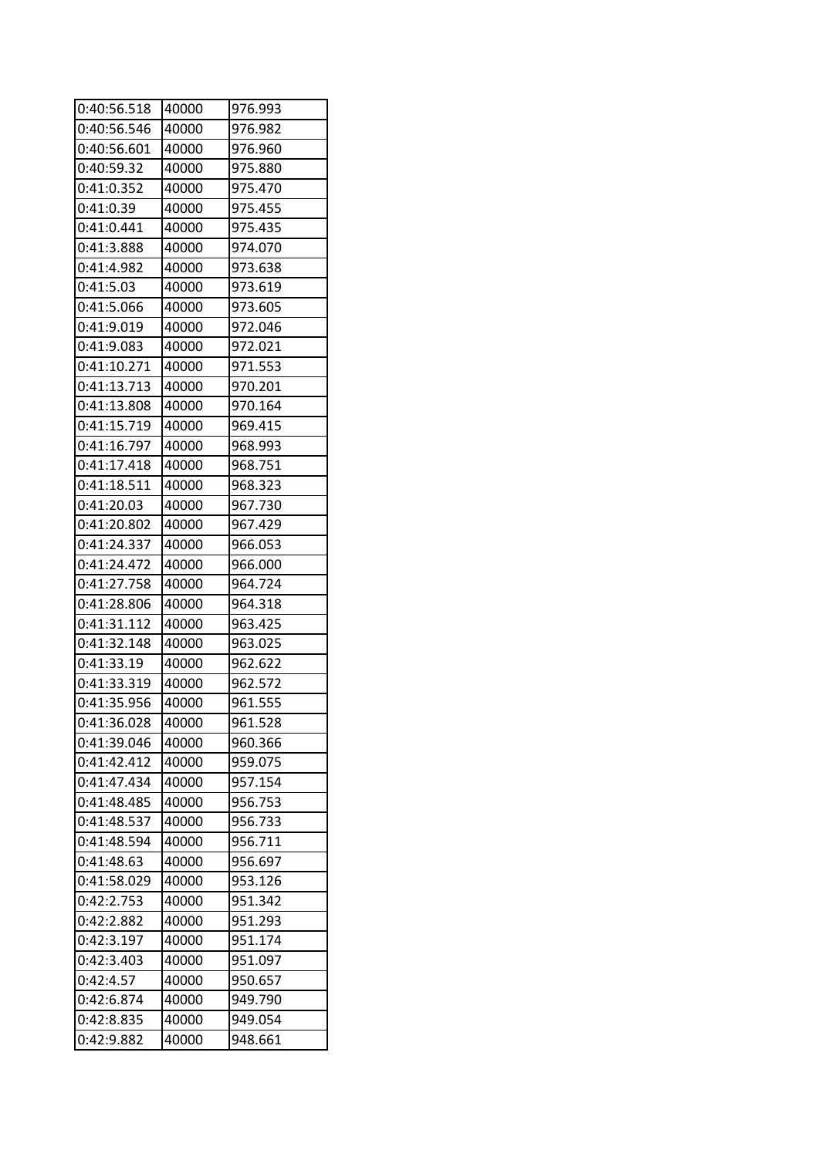| 0:40:56.518 | 40000 | 976.993 |
|-------------|-------|---------|
| 0:40:56.546 | 40000 | 976.982 |
| 0:40:56.601 | 40000 | 976.960 |
| 0:40:59.32  | 40000 | 975.880 |
| 0:41:0.352  | 40000 | 975.470 |
| 0:41:0.39   | 40000 | 975.455 |
| 0:41:0.441  | 40000 | 975.435 |
| 0:41:3.888  | 40000 | 974.070 |
| 0:41:4.982  | 40000 | 973.638 |
| 0:41:5.03   | 40000 | 973.619 |
| 0:41:5.066  | 40000 | 973.605 |
| 0:41:9.019  | 40000 | 972.046 |
| 0:41:9.083  | 40000 | 972.021 |
| 0:41:10.271 | 40000 | 971.553 |
| 0:41:13.713 | 40000 | 970.201 |
| 0:41:13.808 | 40000 | 970.164 |
| 0:41:15.719 | 40000 | 969.415 |
| 0:41:16.797 | 40000 | 968.993 |
| 0:41:17.418 | 40000 | 968.751 |
| 0:41:18.511 | 40000 | 968.323 |
| 0:41:20.03  | 40000 | 967.730 |
| 0:41:20.802 | 40000 | 967.429 |
| 0:41:24.337 | 40000 | 966.053 |
| 0:41:24.472 | 40000 | 966.000 |
| 0:41:27.758 | 40000 | 964.724 |
| 0:41:28.806 | 40000 | 964.318 |
| 0:41:31.112 | 40000 | 963.425 |
| 0:41:32.148 | 40000 | 963.025 |
| 0:41:33.19  | 40000 | 962.622 |
| 0:41:33.319 | 40000 | 962.572 |
| 0:41:35.956 | 40000 | 961.555 |
| 0:41:36.028 | 40000 | 961.528 |
| 0:41:39.046 | 40000 | 960.366 |
| 0:41:42.412 | 40000 | 959.075 |
| 0:41:47.434 | 40000 | 957.154 |
| 0:41:48.485 | 40000 | 956.753 |
| 0:41:48.537 | 40000 | 956.733 |
| 0:41:48.594 | 40000 | 956.711 |
| 0:41:48.63  | 40000 | 956.697 |
| 0:41:58.029 | 40000 | 953.126 |
| 0:42:2.753  | 40000 | 951.342 |
| 0:42:2.882  | 40000 | 951.293 |
| 0:42:3.197  | 40000 | 951.174 |
| 0:42:3.403  | 40000 | 951.097 |
| 0:42:4.57   | 40000 | 950.657 |
| 0:42:6.874  | 40000 | 949.790 |
| 0:42:8.835  | 40000 | 949.054 |
| 0:42:9.882  | 40000 | 948.661 |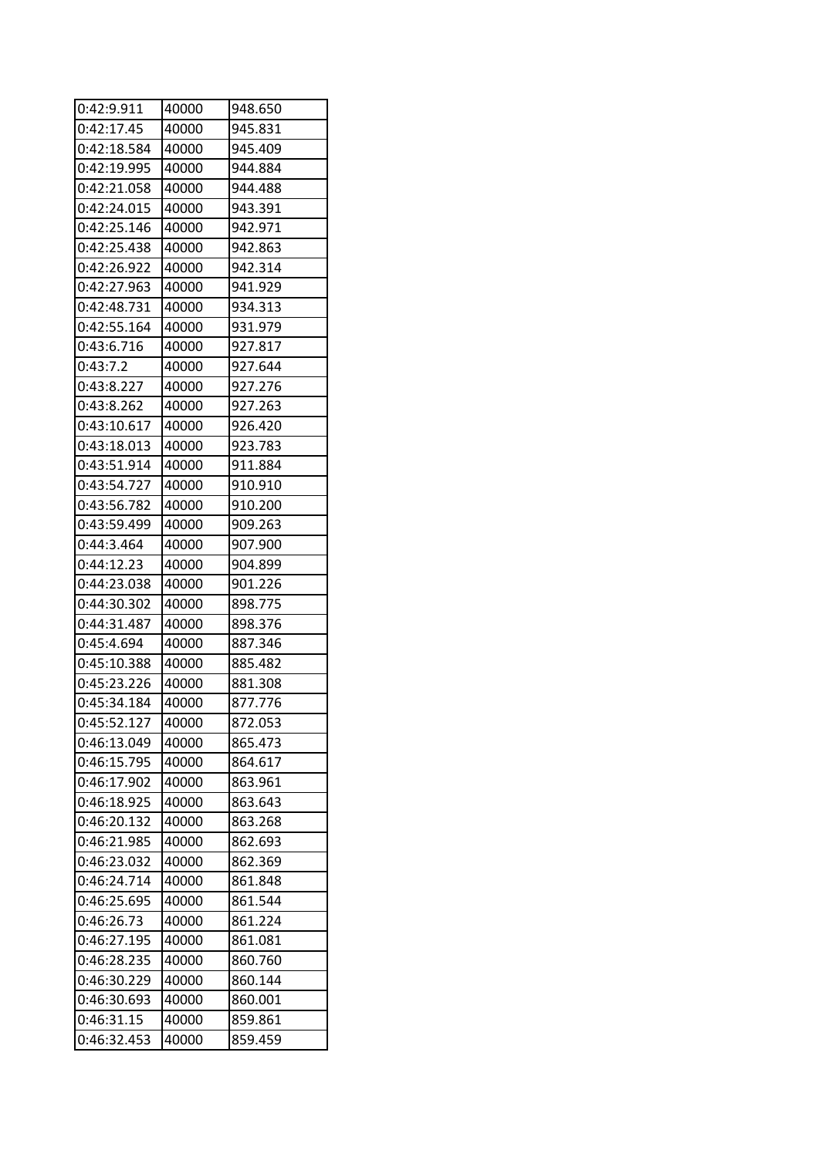| 0:42:9.911  | 40000 | 948.650 |
|-------------|-------|---------|
| 0:42:17.45  | 40000 | 945.831 |
| 0:42:18.584 | 40000 | 945.409 |
| 0:42:19.995 | 40000 | 944.884 |
| 0:42:21.058 | 40000 | 944.488 |
| 0:42:24.015 | 40000 | 943.391 |
| 0:42:25.146 | 40000 | 942.971 |
| 0:42:25.438 | 40000 | 942.863 |
| 0:42:26.922 | 40000 | 942.314 |
| 0:42:27.963 | 40000 | 941.929 |
| 0:42:48.731 | 40000 | 934.313 |
| 0:42:55.164 | 40000 | 931.979 |
| 0:43:6.716  | 40000 | 927.817 |
| 0:43:7.2    | 40000 | 927.644 |
| 0:43:8.227  | 40000 | 927.276 |
| 0:43:8.262  | 40000 | 927.263 |
| 0:43:10.617 | 40000 | 926.420 |
| 0:43:18.013 | 40000 | 923.783 |
| 0:43:51.914 | 40000 | 911.884 |
| 0:43:54.727 | 40000 | 910.910 |
| 0:43:56.782 | 40000 | 910.200 |
| 0:43:59.499 | 40000 | 909.263 |
| 0:44:3.464  | 40000 | 907.900 |
| 0:44:12.23  | 40000 | 904.899 |
| 0:44:23.038 | 40000 | 901.226 |
| 0:44:30.302 | 40000 | 898.775 |
| 0:44:31.487 | 40000 | 898.376 |
| 0:45:4.694  | 40000 | 887.346 |
| 0:45:10.388 | 40000 | 885.482 |
| 0:45:23.226 | 40000 | 881.308 |
| 0:45:34.184 | 40000 | 877.776 |
| 0:45:52.127 | 40000 | 872.053 |
| 0:46:13.049 | 40000 | 865.473 |
| 0:46:15.795 | 40000 | 864.617 |
| 0:46:17.902 | 40000 | 863.961 |
| 0:46:18.925 | 40000 | 863.643 |
| 0:46:20.132 | 40000 | 863.268 |
| 0:46:21.985 | 40000 | 862.693 |
| 0:46:23.032 | 40000 | 862.369 |
| 0:46:24.714 | 40000 | 861.848 |
| 0:46:25.695 | 40000 | 861.544 |
| 0:46:26.73  | 40000 | 861.224 |
| 0:46:27.195 | 40000 | 861.081 |
| 0:46:28.235 | 40000 | 860.760 |
| 0:46:30.229 | 40000 | 860.144 |
| 0:46:30.693 | 40000 | 860.001 |
| 0:46:31.15  | 40000 | 859.861 |
| 0:46:32.453 | 40000 | 859.459 |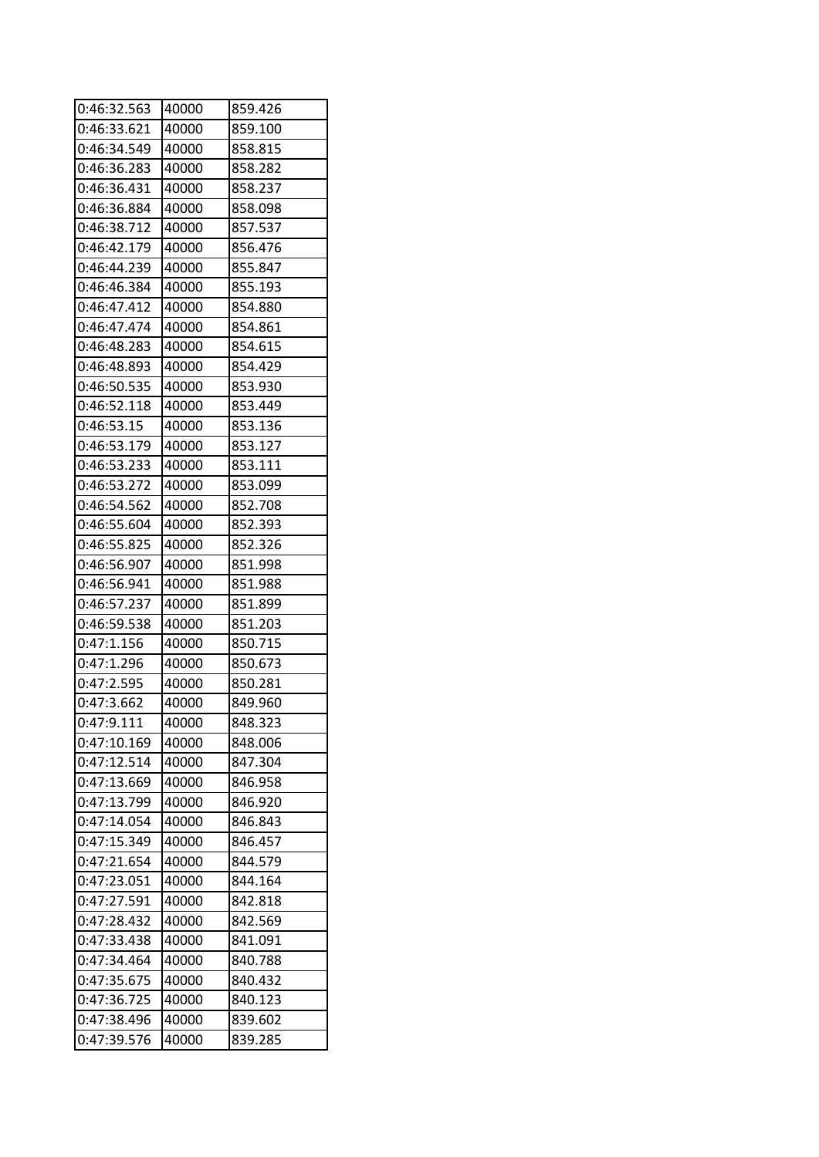| 0:46:32.563 | 40000 | 859.426 |
|-------------|-------|---------|
| 0:46:33.621 | 40000 | 859.100 |
| 0:46:34.549 | 40000 | 858.815 |
| 0:46:36.283 | 40000 | 858.282 |
| 0:46:36.431 | 40000 | 858.237 |
| 0:46:36.884 | 40000 | 858.098 |
| 0:46:38.712 | 40000 | 857.537 |
| 0:46:42.179 | 40000 | 856.476 |
| 0:46:44.239 | 40000 | 855.847 |
| 0:46:46.384 | 40000 | 855.193 |
| 0:46:47.412 | 40000 | 854.880 |
| 0:46:47.474 | 40000 | 854.861 |
| 0:46:48.283 | 40000 | 854.615 |
| 0:46:48.893 | 40000 | 854.429 |
| 0:46:50.535 | 40000 | 853.930 |
| 0:46:52.118 | 40000 | 853.449 |
| 0:46:53.15  | 40000 | 853.136 |
| 0:46:53.179 | 40000 | 853.127 |
| 0:46:53.233 | 40000 | 853.111 |
| 0:46:53.272 | 40000 | 853.099 |
| 0:46:54.562 | 40000 | 852.708 |
| 0:46:55.604 | 40000 | 852.393 |
| 0:46:55.825 | 40000 | 852.326 |
| 0:46:56.907 | 40000 | 851.998 |
| 0:46:56.941 | 40000 | 851.988 |
| 0:46:57.237 | 40000 | 851.899 |
| 0:46:59.538 | 40000 | 851.203 |
| 0:47:1.156  | 40000 | 850.715 |
| 0:47:1.296  | 40000 | 850.673 |
| 0:47:2.595  | 40000 | 850.281 |
| 0:47:3.662  | 40000 | 849.960 |
| 0:47:9.111  | 40000 | 848.323 |
| 0:47:10.169 | 40000 | 848.006 |
| 0:47:12.514 | 40000 | 847.304 |
| 0:47:13.669 | 40000 | 846.958 |
| 0:47:13.799 | 40000 | 846.920 |
| 0:47:14.054 | 40000 | 846.843 |
| 0:47:15.349 | 40000 | 846.457 |
| 0:47:21.654 | 40000 | 844.579 |
| 0:47:23.051 | 40000 | 844.164 |
| 0:47:27.591 | 40000 | 842.818 |
| 0:47:28.432 | 40000 | 842.569 |
| 0:47:33.438 | 40000 | 841.091 |
| 0:47:34.464 | 40000 | 840.788 |
| 0:47:35.675 | 40000 | 840.432 |
| 0:47:36.725 | 40000 | 840.123 |
| 0:47:38.496 | 40000 | 839.602 |
| 0:47:39.576 | 40000 | 839.285 |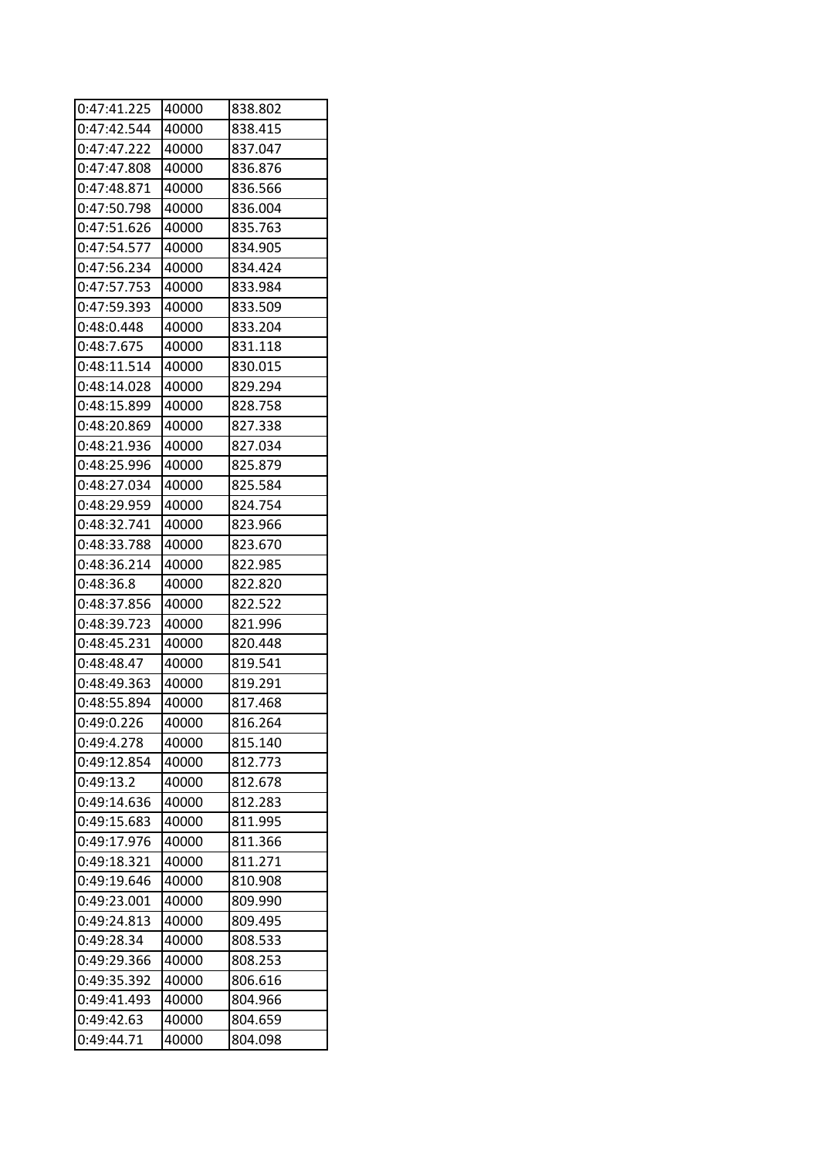| 0:47:41.225 | 40000 | 838.802 |
|-------------|-------|---------|
| 0:47:42.544 | 40000 | 838.415 |
| 0:47:47.222 | 40000 | 837.047 |
| 0:47:47.808 | 40000 | 836.876 |
| 0:47:48.871 | 40000 | 836.566 |
| 0:47:50.798 | 40000 | 836.004 |
| 0:47:51.626 | 40000 | 835.763 |
| 0:47:54.577 | 40000 | 834.905 |
| 0:47:56.234 | 40000 | 834.424 |
| 0:47:57.753 | 40000 | 833.984 |
| 0:47:59.393 | 40000 | 833.509 |
| 0:48:0.448  | 40000 | 833.204 |
| 0:48:7.675  | 40000 | 831.118 |
| 0:48:11.514 | 40000 | 830.015 |
| 0:48:14.028 | 40000 | 829.294 |
| 0:48:15.899 | 40000 | 828.758 |
| 0:48:20.869 | 40000 | 827.338 |
| 0:48:21.936 | 40000 | 827.034 |
| 0:48:25.996 | 40000 | 825.879 |
| 0:48:27.034 | 40000 | 825.584 |
| 0:48:29.959 | 40000 | 824.754 |
| 0:48:32.741 | 40000 | 823.966 |
| 0:48:33.788 | 40000 | 823.670 |
| 0:48:36.214 | 40000 | 822.985 |
| 0:48:36.8   | 40000 | 822.820 |
| 0:48:37.856 | 40000 | 822.522 |
| 0:48:39.723 | 40000 | 821.996 |
| 0:48:45.231 | 40000 | 820.448 |
| 0:48:48.47  | 40000 | 819.541 |
| 0:48:49.363 | 40000 | 819.291 |
| 0:48:55.894 | 40000 | 817.468 |
| 0:49:0.226  | 40000 | 816.264 |
| 0:49:4.278  | 40000 | 815.140 |
| 0:49:12.854 | 40000 | 812.773 |
| 0:49:13.2   | 40000 | 812.678 |
| 0:49:14.636 | 40000 | 812.283 |
| 0:49:15.683 | 40000 | 811.995 |
| 0:49:17.976 | 40000 | 811.366 |
| 0:49:18.321 | 40000 | 811.271 |
| 0:49:19.646 | 40000 | 810.908 |
| 0:49:23.001 | 40000 | 809.990 |
| 0:49:24.813 | 40000 | 809.495 |
| 0:49:28.34  | 40000 | 808.533 |
| 0:49:29.366 | 40000 | 808.253 |
| 0:49:35.392 | 40000 | 806.616 |
| 0:49:41.493 | 40000 | 804.966 |
| 0:49:42.63  | 40000 | 804.659 |
| 0:49:44.71  | 40000 | 804.098 |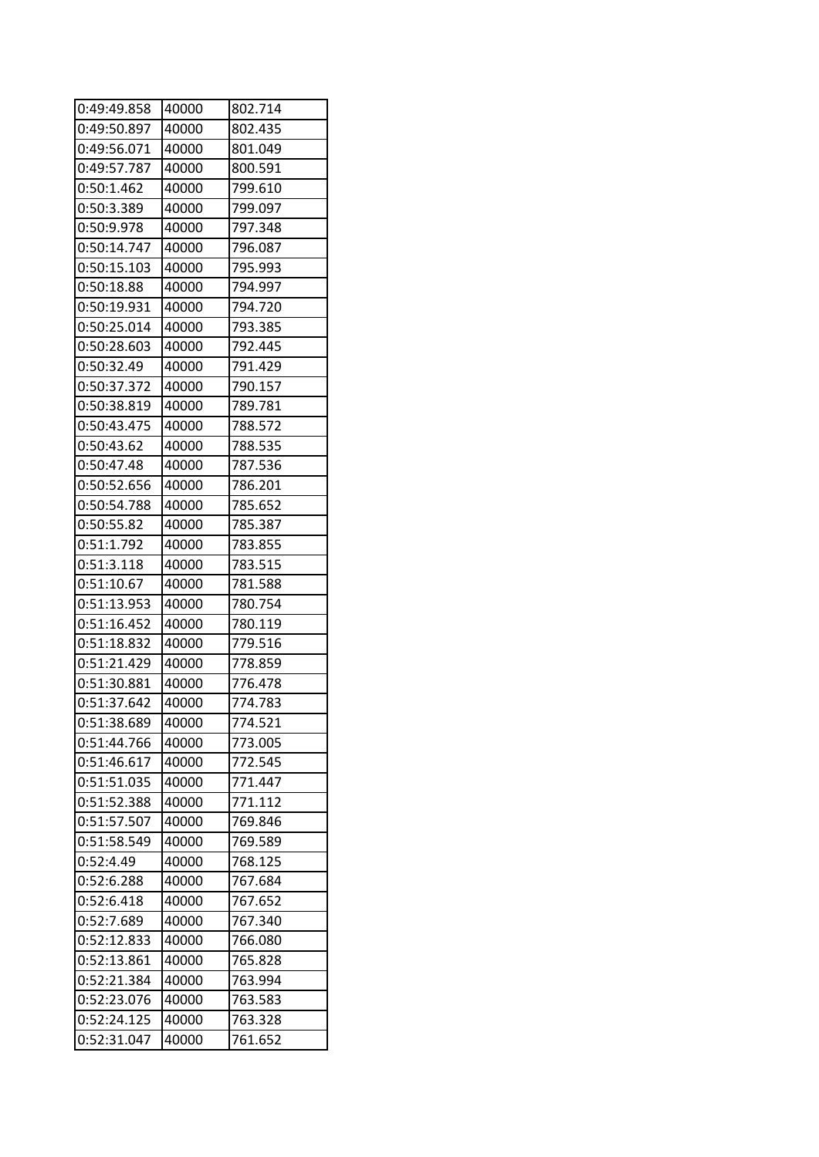| 0:49:49.858 | 40000 | 802.714 |
|-------------|-------|---------|
| 0:49:50.897 | 40000 | 802.435 |
| 0:49:56.071 | 40000 | 801.049 |
| 0:49:57.787 | 40000 | 800.591 |
| 0:50:1.462  | 40000 | 799.610 |
| 0:50:3.389  | 40000 | 799.097 |
| 0:50:9.978  | 40000 | 797.348 |
| 0:50:14.747 | 40000 | 796.087 |
| 0:50:15.103 | 40000 | 795.993 |
| 0:50:18.88  | 40000 | 794.997 |
| 0:50:19.931 | 40000 | 794.720 |
| 0:50:25.014 | 40000 | 793.385 |
| 0:50:28.603 | 40000 | 792.445 |
| 0:50:32.49  | 40000 | 791.429 |
| 0:50:37.372 | 40000 | 790.157 |
| 0:50:38.819 | 40000 | 789.781 |
| 0:50:43.475 | 40000 | 788.572 |
| 0:50:43.62  | 40000 | 788.535 |
| 0:50:47.48  | 40000 | 787.536 |
| 0:50:52.656 | 40000 | 786.201 |
| 0:50:54.788 | 40000 | 785.652 |
| 0:50:55.82  | 40000 | 785.387 |
| 0:51:1.792  | 40000 | 783.855 |
| 0:51:3.118  | 40000 | 783.515 |
| 0:51:10.67  | 40000 | 781.588 |
| 0:51:13.953 | 40000 | 780.754 |
| 0:51:16.452 | 40000 | 780.119 |
| 0:51:18.832 | 40000 | 779.516 |
| 0:51:21.429 | 40000 | 778.859 |
| 0:51:30.881 | 40000 | 776.478 |
| 0:51:37.642 | 40000 | 774.783 |
| 0:51:38.689 | 40000 | 774.521 |
| 0:51:44.766 | 40000 | 773.005 |
| 0:51:46.617 | 40000 | 772.545 |
| 0:51:51.035 | 40000 | 771.447 |
| 0:51:52.388 | 40000 | 771.112 |
| 0:51:57.507 | 40000 | 769.846 |
| 0:51:58.549 | 40000 | 769.589 |
| 0:52:4.49   | 40000 | 768.125 |
| 0:52:6.288  | 40000 | 767.684 |
| 0:52:6.418  | 40000 | 767.652 |
| 0:52:7.689  | 40000 | 767.340 |
| 0:52:12.833 | 40000 | 766.080 |
| 0:52:13.861 | 40000 | 765.828 |
| 0:52:21.384 | 40000 | 763.994 |
| 0:52:23.076 | 40000 | 763.583 |
| 0:52:24.125 | 40000 | 763.328 |
| 0:52:31.047 | 40000 | 761.652 |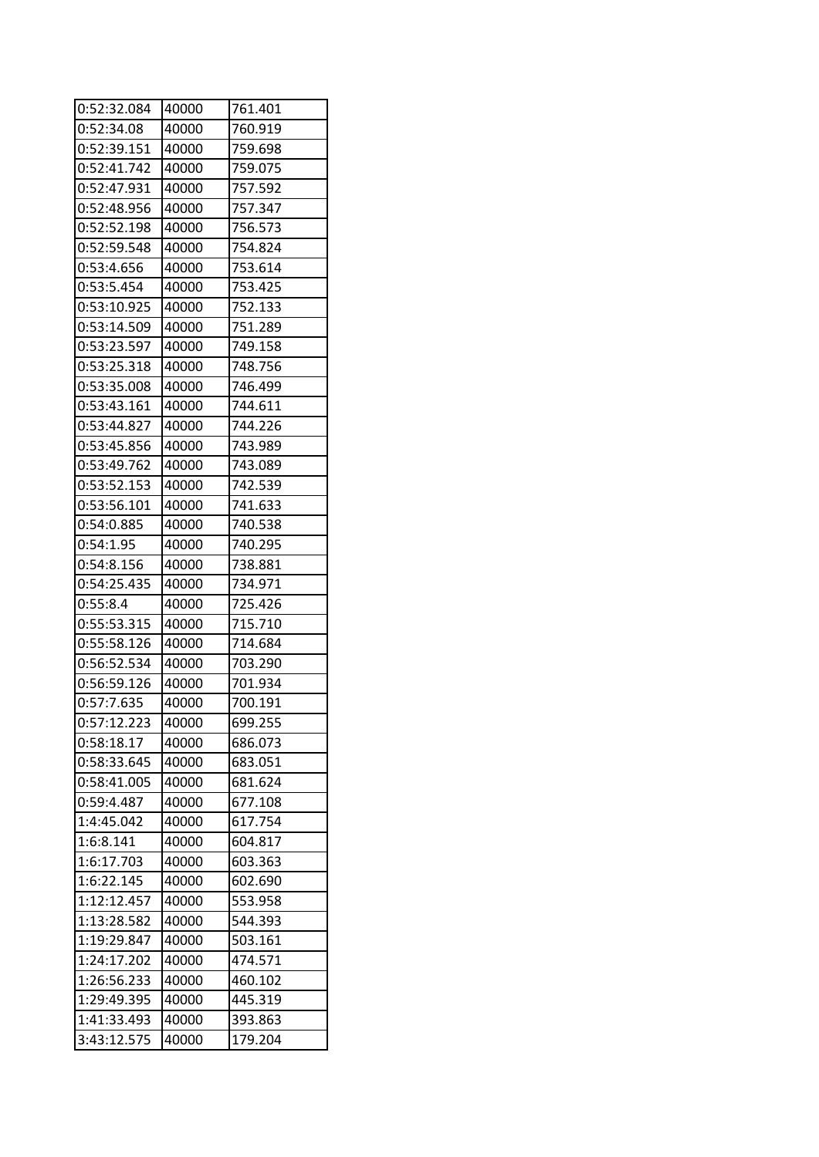| 0:52:32.084 | 40000 | 761.401 |
|-------------|-------|---------|
| 0:52:34.08  | 40000 | 760.919 |
| 0:52:39.151 | 40000 | 759.698 |
| 0:52:41.742 | 40000 | 759.075 |
| 0:52:47.931 | 40000 | 757.592 |
| 0:52:48.956 | 40000 | 757.347 |
| 0:52:52.198 | 40000 | 756.573 |
| 0:52:59.548 | 40000 | 754.824 |
| 0:53:4.656  | 40000 | 753.614 |
| 0:53:5.454  | 40000 | 753.425 |
| 0:53:10.925 | 40000 | 752.133 |
| 0:53:14.509 | 40000 | 751.289 |
| 0:53:23.597 | 40000 | 749.158 |
| 0:53:25.318 | 40000 | 748.756 |
| 0:53:35.008 | 40000 | 746.499 |
| 0:53:43.161 | 40000 | 744.611 |
| 0:53:44.827 | 40000 | 744.226 |
| 0:53:45.856 | 40000 | 743.989 |
| 0:53:49.762 | 40000 | 743.089 |
| 0:53:52.153 | 40000 | 742.539 |
| 0:53:56.101 | 40000 | 741.633 |
| 0:54:0.885  | 40000 | 740.538 |
| 0:54:1.95   | 40000 | 740.295 |
| 0:54:8.156  | 40000 | 738.881 |
| 0:54:25.435 | 40000 | 734.971 |
| 0:55:8.4    | 40000 | 725.426 |
| 0:55:53.315 | 40000 | 715.710 |
| 0:55:58.126 | 40000 | 714.684 |
| 0:56:52.534 | 40000 | 703.290 |
| 0:56:59.126 | 40000 | 701.934 |
| 0:57:7.635  | 40000 | 700.191 |
| 0:57:12.223 | 40000 | 699.255 |
| 0:58:18.17  | 40000 | 686.073 |
| 0:58:33.645 | 40000 | 683.051 |
| 0:58:41.005 | 40000 | 681.624 |
| 0:59:4.487  | 40000 | 677.108 |
| 1:4:45.042  | 40000 | 617.754 |
| 1:6:8.141   | 40000 | 604.817 |
| 1:6:17.703  | 40000 | 603.363 |
| 1:6:22.145  | 40000 | 602.690 |
| 1:12:12.457 | 40000 | 553.958 |
| 1:13:28.582 | 40000 | 544.393 |
| 1:19:29.847 | 40000 | 503.161 |
| 1:24:17.202 | 40000 | 474.571 |
| 1:26:56.233 | 40000 | 460.102 |
| 1:29:49.395 | 40000 | 445.319 |
| 1:41:33.493 | 40000 | 393.863 |
| 3:43:12.575 | 40000 | 179.204 |